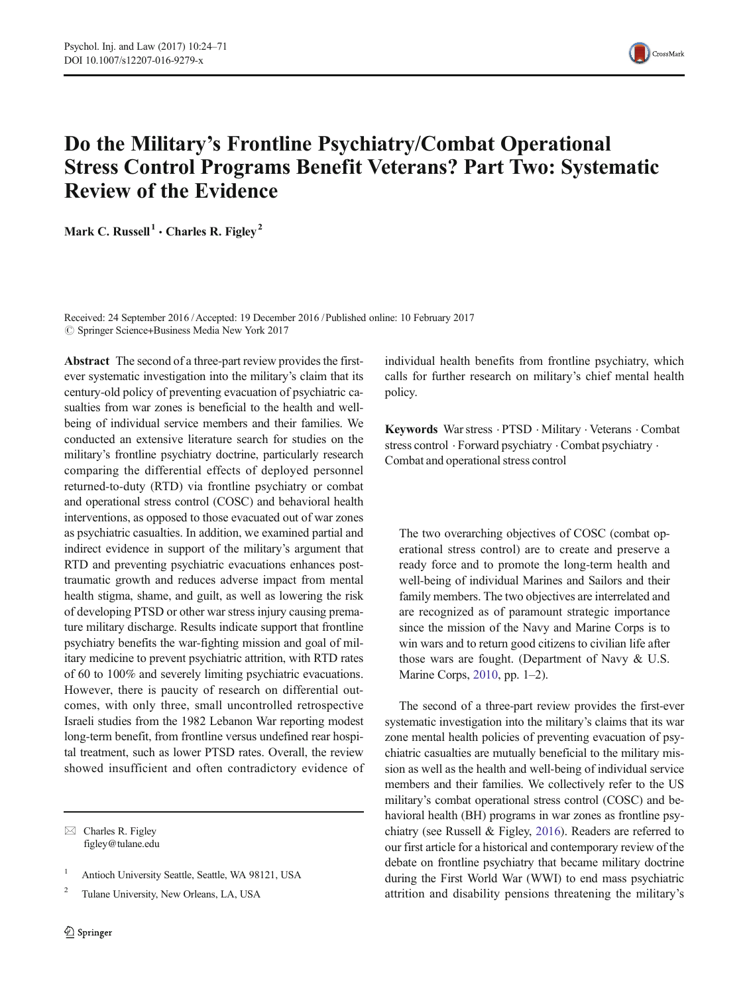

# Do the Military's Frontline Psychiatry/Combat Operational Stress Control Programs Benefit Veterans? Part Two: Systematic Review of the Evidence

Mark C. Russell<sup>1</sup>  $\cdot$  Charles R. Figley<sup>2</sup>

Received: 24 September 2016 /Accepted: 19 December 2016 /Published online: 10 February 2017  $\circled{c}$  Springer Science+Business Media New York 2017

Abstract The second of a three-part review provides the firstever systematic investigation into the military's claim that its century-old policy of preventing evacuation of psychiatric casualties from war zones is beneficial to the health and wellbeing of individual service members and their families. We conducted an extensive literature search for studies on the military's frontline psychiatry doctrine, particularly research comparing the differential effects of deployed personnel returned-to-duty (RTD) via frontline psychiatry or combat and operational stress control (COSC) and behavioral health interventions, as opposed to those evacuated out of war zones as psychiatric casualties. In addition, we examined partial and indirect evidence in support of the military's argument that RTD and preventing psychiatric evacuations enhances posttraumatic growth and reduces adverse impact from mental health stigma, shame, and guilt, as well as lowering the risk of developing PTSD or other war stress injury causing premature military discharge. Results indicate support that frontline psychiatry benefits the war-fighting mission and goal of military medicine to prevent psychiatric attrition, with RTD rates of 60 to 100% and severely limiting psychiatric evacuations. However, there is paucity of research on differential outcomes, with only three, small uncontrolled retrospective Israeli studies from the 1982 Lebanon War reporting modest long-term benefit, from frontline versus undefined rear hospital treatment, such as lower PTSD rates. Overall, the review showed insufficient and often contradictory evidence of

 $\boxtimes$  Charles R. Figley figley@tulane.edu

<sup>1</sup> Antioch University Seattle, Seattle, WA 98121, USA

<sup>2</sup> Tulane University, New Orleans, LA, USA

individual health benefits from frontline psychiatry, which calls for further research on military's chief mental health policy.

Keywords War stress . PTSD . Military . Veterans . Combat stress control . Forward psychiatry . Combat psychiatry . Combat and operational stress control

The two overarching objectives of COSC (combat operational stress control) are to create and preserve a ready force and to promote the long-term health and well-being of individual Marines and Sailors and their family members. The two objectives are interrelated and are recognized as of paramount strategic importance since the mission of the Navy and Marine Corps is to win wars and to return good citizens to civilian life after those wars are fought. (Department of Navy & U.S. Marine Corps, [2010,](#page-44-0) pp. 1–2).

The second of a three-part review provides the first-ever systematic investigation into the military's claims that its war zone mental health policies of preventing evacuation of psychiatric casualties are mutually beneficial to the military mission as well as the health and well-being of individual service members and their families. We collectively refer to the US military's combat operational stress control (COSC) and behavioral health (BH) programs in war zones as frontline psychiatry (see Russell & Figley, [2016\)](#page-46-0). Readers are referred to our first article for a historical and contemporary review of the debate on frontline psychiatry that became military doctrine during the First World War (WWI) to end mass psychiatric attrition and disability pensions threatening the military's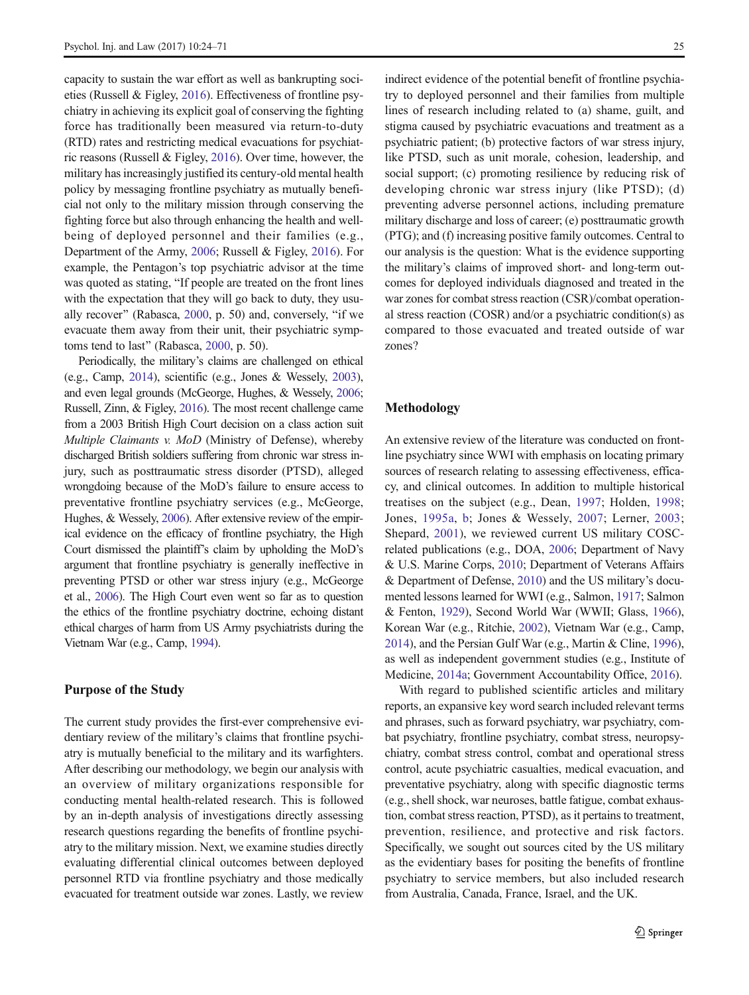capacity to sustain the war effort as well as bankrupting societies (Russell & Figley, [2016](#page-46-0)). Effectiveness of frontline psychiatry in achieving its explicit goal of conserving the fighting force has traditionally been measured via return-to-duty (RTD) rates and restricting medical evacuations for psychiatric reasons (Russell & Figley, [2016](#page-46-0)). Over time, however, the military has increasingly justified its century-old mental health policy by messaging frontline psychiatry as mutually beneficial not only to the military mission through conserving the fighting force but also through enhancing the health and wellbeing of deployed personnel and their families (e.g., Department of the Army, [2006;](#page-44-0) Russell & Figley, [2016](#page-46-0)). For example, the Pentagon's top psychiatric advisor at the time was quoted as stating, "If people are treated on the front lines with the expectation that they will go back to duty, they usu-ally recover" (Rabasca, [2000](#page-46-0), p. 50) and, conversely, "if we evacuate them away from their unit, their psychiatric symp-toms tend to last" (Rabasca, [2000](#page-46-0), p. 50).

Periodically, the military's claims are challenged on ethical (e.g., Camp, [2014\)](#page-44-0), scientific (e.g., Jones & Wessely, [2003\)](#page-45-0), and even legal grounds (McGeorge, Hughes, & Wessely, [2006](#page-46-0); Russell, Zinn, & Figley, [2016](#page-46-0)). The most recent challenge came from a 2003 British High Court decision on a class action suit Multiple Claimants v. MoD (Ministry of Defense), whereby discharged British soldiers suffering from chronic war stress injury, such as posttraumatic stress disorder (PTSD), alleged wrongdoing because of the MoD's failure to ensure access to preventative frontline psychiatry services (e.g., McGeorge, Hughes, & Wessely, [2006](#page-46-0)). After extensive review of the empirical evidence on the efficacy of frontline psychiatry, the High Court dismissed the plaintiff's claim by upholding the MoD's argument that frontline psychiatry is generally ineffective in preventing PTSD or other war stress injury (e.g., McGeorge et al., [2006](#page-46-0)). The High Court even went so far as to question the ethics of the frontline psychiatry doctrine, echoing distant ethical charges of harm from US Army psychiatrists during the Vietnam War (e.g., Camp, [1994](#page-44-0)).

#### Purpose of the Study

The current study provides the first-ever comprehensive evidentiary review of the military's claims that frontline psychiatry is mutually beneficial to the military and its warfighters. After describing our methodology, we begin our analysis with an overview of military organizations responsible for conducting mental health-related research. This is followed by an in-depth analysis of investigations directly assessing research questions regarding the benefits of frontline psychiatry to the military mission. Next, we examine studies directly evaluating differential clinical outcomes between deployed personnel RTD via frontline psychiatry and those medically evacuated for treatment outside war zones. Lastly, we review

indirect evidence of the potential benefit of frontline psychiatry to deployed personnel and their families from multiple lines of research including related to (a) shame, guilt, and stigma caused by psychiatric evacuations and treatment as a psychiatric patient; (b) protective factors of war stress injury, like PTSD, such as unit morale, cohesion, leadership, and social support; (c) promoting resilience by reducing risk of developing chronic war stress injury (like PTSD); (d) preventing adverse personnel actions, including premature military discharge and loss of career; (e) posttraumatic growth (PTG); and (f) increasing positive family outcomes. Central to our analysis is the question: What is the evidence supporting the military's claims of improved short- and long-term outcomes for deployed individuals diagnosed and treated in the war zones for combat stress reaction (CSR)/combat operational stress reaction (COSR) and/or a psychiatric condition(s) as compared to those evacuated and treated outside of war zones?

#### Methodology

An extensive review of the literature was conducted on frontline psychiatry since WWI with emphasis on locating primary sources of research relating to assessing effectiveness, efficacy, and clinical outcomes. In addition to multiple historical treatises on the subject (e.g., Dean, [1997](#page-44-0); Holden, [1998;](#page-45-0) Jones, [1995a](#page-45-0), [b](#page-45-0); Jones & Wessely, [2007](#page-45-0); Lerner, [2003;](#page-45-0) Shepard, [2001](#page-46-0)), we reviewed current US military COSCrelated publications (e.g., DOA, [2006](#page-44-0); Department of Navy & U.S. Marine Corps, [2010;](#page-44-0) Department of Veterans Affairs & Department of Defense, [2010](#page-44-0)) and the US military's documented lessons learned for WWI (e.g., Salmon, [1917;](#page-46-0) Salmon & Fenton, [1929\)](#page-46-0), Second World War (WWII; Glass, [1966\)](#page-44-0), Korean War (e.g., Ritchie, [2002](#page-46-0)), Vietnam War (e.g., Camp, [2014\)](#page-44-0), and the Persian Gulf War (e.g., Martin & Cline, [1996\)](#page-46-0), as well as independent government studies (e.g., Institute of Medicine, [2014a;](#page-45-0) Government Accountability Office, [2016](#page-44-0)).

With regard to published scientific articles and military reports, an expansive key word search included relevant terms and phrases, such as forward psychiatry, war psychiatry, combat psychiatry, frontline psychiatry, combat stress, neuropsychiatry, combat stress control, combat and operational stress control, acute psychiatric casualties, medical evacuation, and preventative psychiatry, along with specific diagnostic terms (e.g., shell shock, war neuroses, battle fatigue, combat exhaustion, combat stress reaction, PTSD), as it pertains to treatment, prevention, resilience, and protective and risk factors. Specifically, we sought out sources cited by the US military as the evidentiary bases for positing the benefits of frontline psychiatry to service members, but also included research from Australia, Canada, France, Israel, and the UK.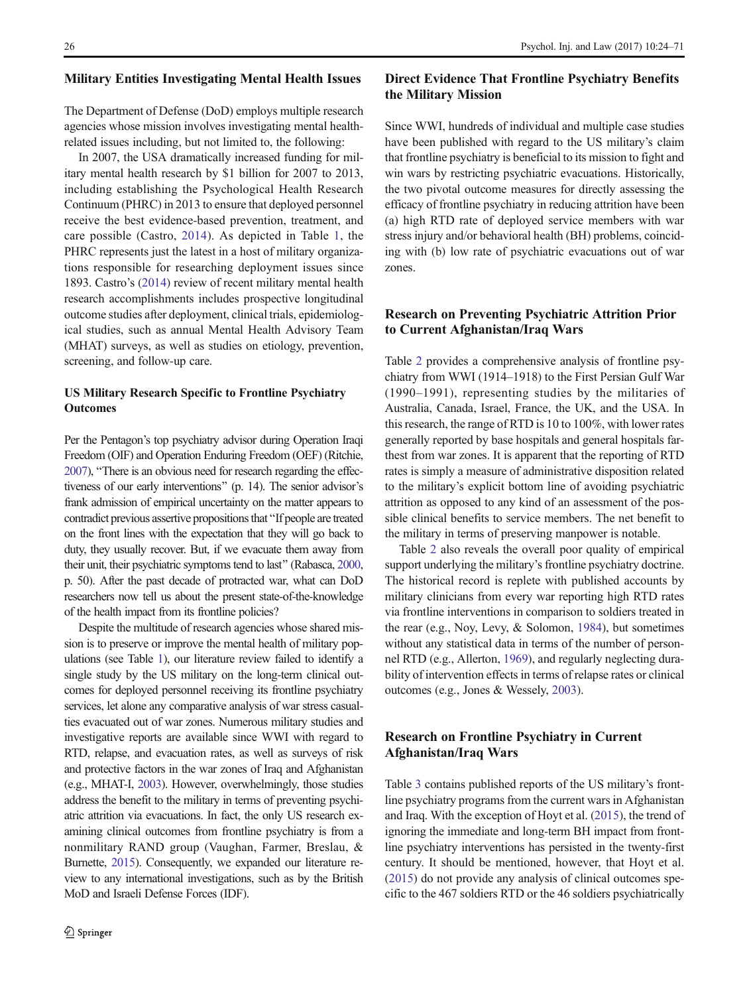#### Military Entities Investigating Mental Health Issues

The Department of Defense (DoD) employs multiple research agencies whose mission involves investigating mental healthrelated issues including, but not limited to, the following:

In 2007, the USA dramatically increased funding for military mental health research by \$1 billion for 2007 to 2013, including establishing the Psychological Health Research Continuum (PHRC) in 2013 to ensure that deployed personnel receive the best evidence-based prevention, treatment, and care possible (Castro, [2014\)](#page-44-0). As depicted in Table [1](#page-3-0), the PHRC represents just the latest in a host of military organizations responsible for researching deployment issues since 1893. Castro's ([2014](#page-44-0)) review of recent military mental health research accomplishments includes prospective longitudinal outcome studies after deployment, clinical trials, epidemiological studies, such as annual Mental Health Advisory Team (MHAT) surveys, as well as studies on etiology, prevention, screening, and follow-up care.

#### US Military Research Specific to Frontline Psychiatry **Outcomes**

Per the Pentagon's top psychiatry advisor during Operation Iraqi Freedom (OIF) and Operation Enduring Freedom (OEF) (Ritchie, [2007](#page-46-0)), "There is an obvious need for research regarding the effectiveness of our early interventions^ (p. 14). The senior advisor's frank admission of empirical uncertainty on the matter appears to contradict previous assertive propositions that "If people are treated on the front lines with the expectation that they will go back to duty, they usually recover. But, if we evacuate them away from their unit, their psychiatric symptoms tend to last^ (Rabasca, [2000,](#page-46-0) p. 50). After the past decade of protracted war, what can DoD researchers now tell us about the present state-of-the-knowledge of the health impact from its frontline policies?

Despite the multitude of research agencies whose shared mission is to preserve or improve the mental health of military populations (see Table [1\)](#page-3-0), our literature review failed to identify a single study by the US military on the long-term clinical outcomes for deployed personnel receiving its frontline psychiatry services, let alone any comparative analysis of war stress casualties evacuated out of war zones. Numerous military studies and investigative reports are available since WWI with regard to RTD, relapse, and evacuation rates, as well as surveys of risk and protective factors in the war zones of Iraq and Afghanistan (e.g., MHAT-I, [2003](#page-46-0)). However, overwhelmingly, those studies address the benefit to the military in terms of preventing psychiatric attrition via evacuations. In fact, the only US research examining clinical outcomes from frontline psychiatry is from a nonmilitary RAND group (Vaughan, Farmer, Breslau, & Burnette, [2015](#page-47-0)). Consequently, we expanded our literature review to any international investigations, such as by the British MoD and Israeli Defense Forces (IDF).

## Direct Evidence That Frontline Psychiatry Benefits the Military Mission

Since WWI, hundreds of individual and multiple case studies have been published with regard to the US military's claim that frontline psychiatry is beneficial to its mission to fight and win wars by restricting psychiatric evacuations. Historically, the two pivotal outcome measures for directly assessing the efficacy of frontline psychiatry in reducing attrition have been (a) high RTD rate of deployed service members with war stress injury and/or behavioral health (BH) problems, coinciding with (b) low rate of psychiatric evacuations out of war zones.

#### Research on Preventing Psychiatric Attrition Prior to Current Afghanistan/Iraq Wars

Table [2](#page-4-0) provides a comprehensive analysis of frontline psychiatry from WWI (1914–1918) to the First Persian Gulf War (1990–1991), representing studies by the militaries of Australia, Canada, Israel, France, the UK, and the USA. In this research, the range of RTD is 10 to 100%, with lower rates generally reported by base hospitals and general hospitals farthest from war zones. It is apparent that the reporting of RTD rates is simply a measure of administrative disposition related to the military's explicit bottom line of avoiding psychiatric attrition as opposed to any kind of an assessment of the possible clinical benefits to service members. The net benefit to the military in terms of preserving manpower is notable.

Table [2](#page-4-0) also reveals the overall poor quality of empirical support underlying the military's frontline psychiatry doctrine. The historical record is replete with published accounts by military clinicians from every war reporting high RTD rates via frontline interventions in comparison to soldiers treated in the rear (e.g., Noy, Levy, & Solomon, [1984\)](#page-46-0), but sometimes without any statistical data in terms of the number of personnel RTD (e.g., Allerton, [1969\)](#page-44-0), and regularly neglecting durability of intervention effects in terms of relapse rates or clinical outcomes (e.g., Jones & Wessely, [2003\)](#page-45-0).

# Research on Frontline Psychiatry in Current Afghanistan/Iraq Wars

Table [3](#page-10-0) contains published reports of the US military's frontline psychiatry programs from the current wars in Afghanistan and Iraq. With the exception of Hoyt et al. ([2015](#page-45-0)), the trend of ignoring the immediate and long-term BH impact from frontline psychiatry interventions has persisted in the twenty-first century. It should be mentioned, however, that Hoyt et al. [\(2015\)](#page-45-0) do not provide any analysis of clinical outcomes specific to the 467 soldiers RTD or the 46 soldiers psychiatrically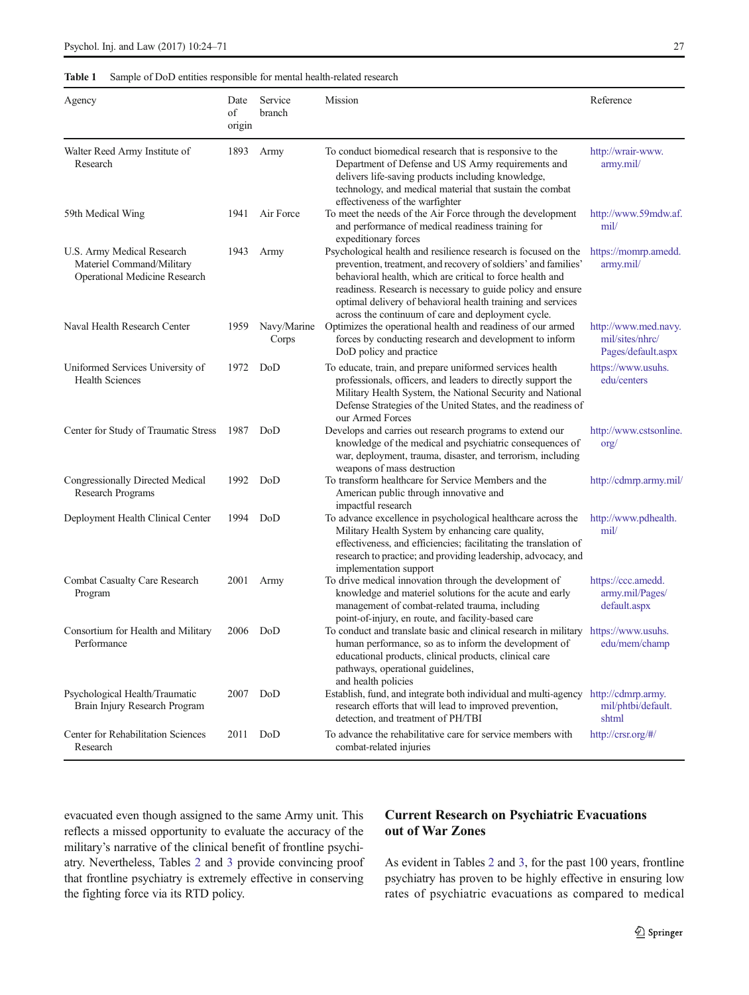<span id="page-3-0"></span>

|  |  |  |  |  | <b>Table 1</b> Sample of DoD entities responsible for mental health-related research |  |
|--|--|--|--|--|--------------------------------------------------------------------------------------|--|
|--|--|--|--|--|--------------------------------------------------------------------------------------|--|

| Agency                                                                                          | Date<br>of<br>origin | Service<br>branch    | Mission                                                                                                                                                                                                                                                                                                                                                                           | Reference                                                     |
|-------------------------------------------------------------------------------------------------|----------------------|----------------------|-----------------------------------------------------------------------------------------------------------------------------------------------------------------------------------------------------------------------------------------------------------------------------------------------------------------------------------------------------------------------------------|---------------------------------------------------------------|
| Walter Reed Army Institute of<br>Research                                                       | 1893                 | Army                 | To conduct biomedical research that is responsive to the<br>Department of Defense and US Army requirements and<br>delivers life-saving products including knowledge,<br>technology, and medical material that sustain the combat<br>effectiveness of the warfighter                                                                                                               | http://wrair-www.<br>army.mil/                                |
| 59th Medical Wing                                                                               | 1941                 | Air Force            | To meet the needs of the Air Force through the development<br>and performance of medical readiness training for<br>expeditionary forces                                                                                                                                                                                                                                           | http://www.59mdw.af.<br>mil/                                  |
| U.S. Army Medical Research<br>Materiel Command/Military<br><b>Operational Medicine Research</b> | 1943                 | Army                 | Psychological health and resilience research is focused on the<br>prevention, treatment, and recovery of soldiers' and families'<br>behavioral health, which are critical to force health and<br>readiness. Research is necessary to guide policy and ensure<br>optimal delivery of behavioral health training and services<br>across the continuum of care and deployment cycle. | https://momrp.amedd.<br>army.mil/                             |
| Naval Health Research Center                                                                    | 1959                 | Navy/Marine<br>Corps | Optimizes the operational health and readiness of our armed<br>forces by conducting research and development to inform<br>DoD policy and practice                                                                                                                                                                                                                                 | http://www.med.navy.<br>mil/sites/nhrc/<br>Pages/default.aspx |
| Uniformed Services University of<br><b>Health Sciences</b>                                      | 1972                 | DoD                  | To educate, train, and prepare uniformed services health<br>professionals, officers, and leaders to directly support the<br>Military Health System, the National Security and National<br>Defense Strategies of the United States, and the readiness of<br>our Armed Forces                                                                                                       | https://www.usuhs.<br>edu/centers                             |
| Center for Study of Traumatic Stress                                                            | 1987                 | DoD                  | Develops and carries out research programs to extend our<br>knowledge of the medical and psychiatric consequences of<br>war, deployment, trauma, disaster, and terrorism, including<br>weapons of mass destruction                                                                                                                                                                | http://www.cstsonline.<br>$\text{org}/$                       |
| Congressionally Directed Medical<br>Research Programs                                           | 1992                 | DoD                  | To transform healthcare for Service Members and the<br>American public through innovative and<br>impactful research                                                                                                                                                                                                                                                               | http://cdmrp.army.mil/                                        |
| Deployment Health Clinical Center                                                               | 1994                 | DoD                  | To advance excellence in psychological healthcare across the<br>Military Health System by enhancing care quality,<br>effectiveness, and efficiencies; facilitating the translation of<br>research to practice; and providing leadership, advocacy, and<br>implementation support                                                                                                  | http://www.pdhealth.<br>mil/                                  |
| Combat Casualty Care Research<br>Program                                                        | 2001                 | Army                 | To drive medical innovation through the development of<br>knowledge and materiel solutions for the acute and early<br>management of combat-related trauma, including<br>point-of-injury, en route, and facility-based care                                                                                                                                                        | https://ccc.amedd.<br>army.mil/Pages/<br>default.aspx         |
| Consortium for Health and Military<br>Performance                                               | 2006                 | DoD                  | To conduct and translate basic and clinical research in military<br>human performance, so as to inform the development of<br>educational products, clinical products, clinical care<br>pathways, operational guidelines,<br>and health policies                                                                                                                                   | https://www.usuhs.<br>edu/mem/champ                           |
| Psychological Health/Traumatic<br>Brain Injury Research Program                                 | 2007                 | DoD                  | Establish, fund, and integrate both individual and multi-agency http://cdmrp.army.<br>research efforts that will lead to improved prevention,<br>detection, and treatment of PH/TBI                                                                                                                                                                                               | mil/phtbi/default.<br>shtml                                   |
| Center for Rehabilitation Sciences<br>Research                                                  | 2011                 | DoD                  | To advance the rehabilitative care for service members with<br>combat-related injuries                                                                                                                                                                                                                                                                                            | http://crsr.org/#/                                            |

evacuated even though assigned to the same Army unit. This reflects a missed opportunity to evaluate the accuracy of the military's narrative of the clinical benefit of frontline psychiatry. Nevertheless, Tables [2](#page-4-0) and [3](#page-10-0) provide convincing proof that frontline psychiatry is extremely effective in conserving the fighting force via its RTD policy.

# Current Research on Psychiatric Evacuations out of War Zones

As evident in Tables [2](#page-4-0) and [3](#page-10-0), for the past 100 years, frontline psychiatry has proven to be highly effective in ensuring low rates of psychiatric evacuations as compared to medical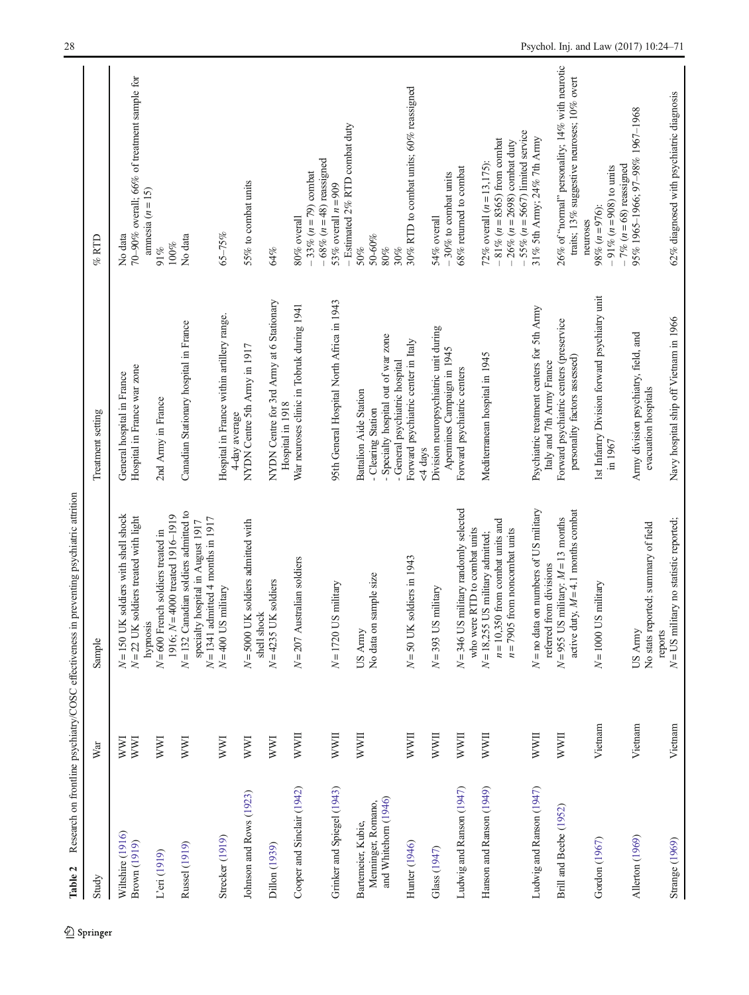<span id="page-4-0"></span>

|                                                                  |             | המת מדי                                                                                                                                                  |                                                                                                       |                                                                                                                                                 |
|------------------------------------------------------------------|-------------|----------------------------------------------------------------------------------------------------------------------------------------------------------|-------------------------------------------------------------------------------------------------------|-------------------------------------------------------------------------------------------------------------------------------------------------|
| Study                                                            | War         | Sample                                                                                                                                                   | Treatment setting                                                                                     | $\%$ RTD                                                                                                                                        |
| Wiltshire (1916)<br>Brown (1919)                                 | WWI<br>WWI  | $N = 150$ UK soldiers with shell shock<br>soldiers treated with light<br>$N = 22$ UK                                                                     | Hospital in France war zone<br>General hospital in France                                             | 70-90% overall; 66% of treatment sample for<br>No data                                                                                          |
| L'eri (1919)                                                     | <b>NWI</b>  | $N = 600$ French soldiers treated in<br>hypnosis                                                                                                         | 2nd Army in France                                                                                    | amnesia $(n = 15)$<br>91%                                                                                                                       |
| Russel (1919)                                                    | WWI         | $N = 132$ Canadian soldiers admitted to<br>1916; $N=4000$ treated 1916-1919<br>$N = 1341$ admitted 4 months in 1917<br>specialty hospital in August 1917 | Canadian Stationary hospital in France                                                                | No data<br>$100\%$                                                                                                                              |
| Strecker (1919)                                                  | WWI         | $N=400$ US military                                                                                                                                      | Hospital in France within artillery range.                                                            | $65 - 75%$                                                                                                                                      |
| Johnson and Rows (1923)                                          | <b>NVI</b>  | $N = 5000$ UK soldiers admitted with<br>shell shock                                                                                                      | NYDN Centre 5th Army in 1917<br>4-day average                                                         | 55% to combat units                                                                                                                             |
| Dillon (1939)                                                    | <b>NVI</b>  | $N = 4235$ UK soldiers                                                                                                                                   | NYDN Centre for 3rd Army at 6 Stationary<br>Hospital in 1918                                          | 64%                                                                                                                                             |
| Cooper and Sinclair (1942)                                       | <b>NWII</b> | $N = 207$ Australian soldiers                                                                                                                            | War neuroses clinic in Tobruk during 1941                                                             | $-33\% (n=79)$ combat<br>80% overall                                                                                                            |
| Grinker and Spiegel (1943)                                       | <b>NWII</b> | $N = 1720$ US military                                                                                                                                   | 95th General Hospital North Africa in 1943                                                            | $-$ Estimated 2% RTD combat duty<br>$-68\% (n=48)$ reassigned<br>53% overall $n = 909$                                                          |
| and Whitehorn (1946)<br>Menninger, Romano,<br>Bartemeier, Kubie, | <b>NWII</b> | sample size<br>No data on<br>US Army                                                                                                                     | - Specialty hospital out of war zone<br>Battalion Aide Station<br>- Clearing Station                  | 50-60%<br>50%<br>$80\%$<br>30%                                                                                                                  |
| <b>Hunter</b> (1946)                                             | <b>NWII</b> | soldiers in 1943<br>$N = 50$ UK                                                                                                                          | Forward psychiatric center in Italy<br>- General psychiatric hospital<br><4 days                      | 30% RTD to combat units; 60% reassigned                                                                                                         |
| Glass (1947)                                                     | <b>IIMM</b> | military<br>$N=393$ US                                                                                                                                   | Division neuropsychiatric unit during<br>Apennines Campaign in 1945                                   | $-30\%$ to combat units<br>54% overall                                                                                                          |
| Ludwig and Ranson (1947)                                         | <b>NWII</b> | $N = 346$ US military randomly selected<br>who were RTD to combat units                                                                                  | Forward psychiatric centers                                                                           | 68% returned to combat                                                                                                                          |
| Hanson and Ranson (1949)                                         | <b>NWII</b> | $n = 10,350$ from combat units and<br>$n = 7905$ from noncombat units<br>$N = 18,255$ US military admitted;                                              | Mediterranean hospital in 1945                                                                        | $-55\%$ ( $n = 5667$ ) limited service<br>$-81\% (n = 8365)$ from combat<br>$-26\%$ ( $n = 2698$ ) combat duty<br>72% overall $(n = 13, 175)$ : |
| Ludwig and Ranson (1947)                                         | <b>NWII</b> | on numbers of US military<br>$N = no$ data                                                                                                               | Psychiatric treatment centers for 5th Army                                                            | 31% 5th Army; 24% 7th Army                                                                                                                      |
| Brill and Beebe (1952)                                           | <b>NWII</b> | active duty, $M = 4.1$ months combat<br>$N = 955$ US military: $M = 13$ months<br>referred from divisions                                                | Forward psychiatric centers (preservice<br>personality factors assessed)<br>Italy and 7th Army France | 26% of "normal" personality; 14% with neurotic<br>traits; 13% suggestive neuroses; 10% overt                                                    |
| Gordon (1967)                                                    | Vietnam     | $N = 1000$ US military                                                                                                                                   | 1st Infantry Division forward psychiatry unit<br>in 1967                                              | $-7\%$ (n = 68) reassigned<br>$-91\% (n=908)$ to units<br>98% $(n=976)$ :<br>neuroses                                                           |
| Allerton (1969)                                                  | Vietnam     | No stats reported; summary of field<br>US Army                                                                                                           | Army division psychiatry, field, and<br>evacuation hospitals                                          | 95% 1965-1966; 97-98% 1967-1968                                                                                                                 |
| Strange (1969)                                                   | Vietnam     | $N = US$ military no statistic reported;<br>reports                                                                                                      | Navy hospital ship off Vietnam in 1966                                                                | 62% diagnosed with psychiatric diagnosis                                                                                                        |

Table 2 Research on frontline psychiatry/COSC effectiveness in preventing psychiatric attrition Table 2 Research on frontline psychiatry/COSC effectiveness in preventing psychiatric attrition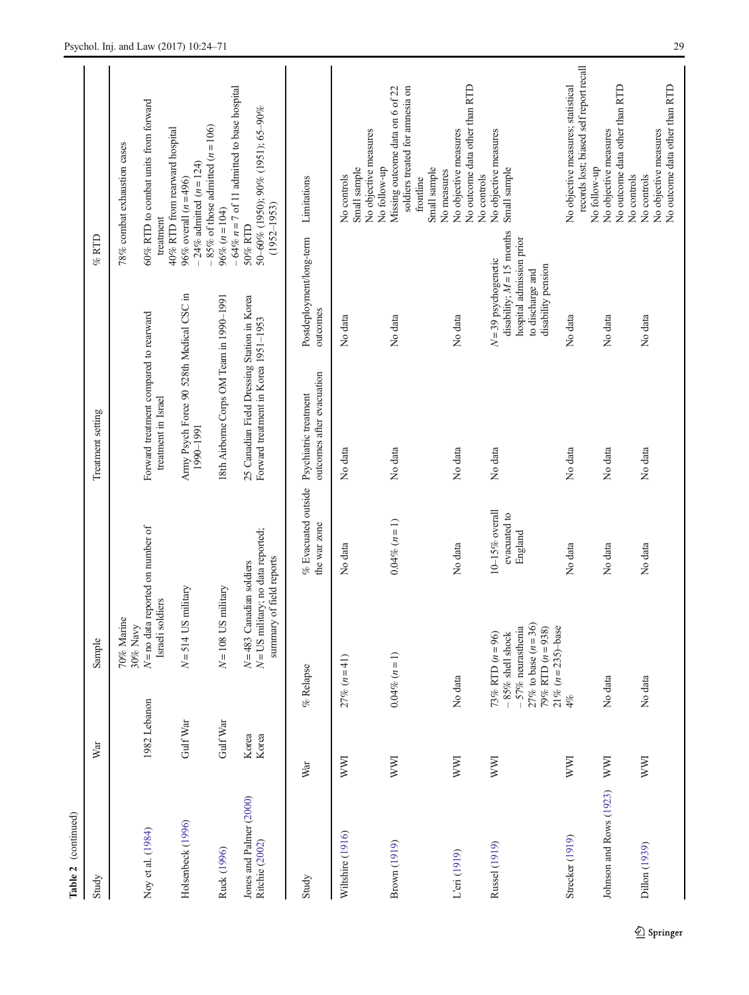| Table 2 (continued)                       |                |                                                                                                                                             |                                           |                                                                                     |                                                                                                                             |                                                                                                                |
|-------------------------------------------|----------------|---------------------------------------------------------------------------------------------------------------------------------------------|-------------------------------------------|-------------------------------------------------------------------------------------|-----------------------------------------------------------------------------------------------------------------------------|----------------------------------------------------------------------------------------------------------------|
| Study                                     | War            | Sample                                                                                                                                      |                                           | Treatment setting                                                                   |                                                                                                                             | $%$ RTD                                                                                                        |
| Noy et al. (1984)                         | 1982 Lebanon   | $N =$ no data reported on number of<br>Israeli soldiers<br>70% Marine<br>30% Navy                                                           |                                           | Forward treatment compared to rearward<br>treatment in Israel                       |                                                                                                                             | 60% RTD to combat units from forward<br>78% combat exhaustion cases<br>treatment                               |
| Holsenbeck (1996)                         | Gulf War       | $N = 514$ US military                                                                                                                       |                                           | Army Psych Force 90 528th Medical CSC in<br>1990-1991                               |                                                                                                                             | 40% RTD from rearward hospital<br>$-24\%$ admitted ( $n = 124$ )<br>96% overall $(n = 496)$                    |
| Ruck (1996)                               | Gulf War       | $N = 108$ US military                                                                                                                       |                                           | 18th Airborne Corps OM Team in 1990-1991                                            |                                                                                                                             | $-64\%$ $n = 7$ of 11 admitted to base hospital<br>$-85%$ of those admitted $(n = 106)$<br>$96\% (n = 104)$    |
| Jones and Palmer (2000)<br>Ritchie (2002) | Korea<br>Korea | $N = US$ military; no data reported;<br>summary of field reports<br>$N = 483$ Canadian soldiers                                             |                                           | 25 Canadian Field Dressing Station in Korea<br>Forward treatment in Korea 1951-1953 |                                                                                                                             | 50-60% (1950); 90% (1951); 65-90%<br>$(1952 - 1953)$<br>50% RTD                                                |
| Study                                     | War            | $%$ Relapse                                                                                                                                 | % Evacuated outside<br>the war zone       | outcomes after evacuation<br>Psychiatric treatment                                  | Postdeployment/long-term<br>outcomes                                                                                        | Limitations                                                                                                    |
| Wiltshire (1916)                          | <b>NVI</b>     | $27\% (n=41)$                                                                                                                               | No data                                   | No data                                                                             | No data                                                                                                                     | No objective measures<br>No follow-up<br>Small sample<br>No controls                                           |
| Brown (1919)                              | <b>WWI</b>     | $0.04\% (n=1)$                                                                                                                              | $0.04\% (n = 1)$                          | No data                                                                             | No data                                                                                                                     | soldiers treated for amnesia on<br>Missing outcome data on 6 of 22<br>Small sample<br>No measures<br>frontline |
| L'eri (1919)                              | WWI            | No data                                                                                                                                     | No data                                   | No data                                                                             | No data                                                                                                                     | No outcome data other than RTD<br>No objective measures<br>No controls                                         |
| Russel (1919)                             | <b>WWI</b>     | $-57%$ neurasthenia<br>27% to base $(n = 36)$<br>79% RTD $(n = 938)$<br>$21\% (n = 235)$ -base<br>73% RTD $(n = 96)$<br>$-85\%$ shell shock | 10-15% overall<br>evacuated to<br>England | No data                                                                             | disability; $M = 15$ months<br>hospital admission prior<br>$N = 39$ psychogenetic<br>disability pension<br>to discharge and | No objective measures<br>Small sample                                                                          |
| Strecker (1919)                           | WWI            | $4\%$                                                                                                                                       | No data                                   | No data                                                                             | No data                                                                                                                     | records lost; biased self report recall<br>No objective measures; statistical<br>No follow-up                  |
| Johnson and Rows (1923)                   | WWI            | No data                                                                                                                                     | No data                                   | No data                                                                             | No data                                                                                                                     | No outcome data other than RTD<br>No objective measures<br>No controls                                         |
| Dillon (1939)                             | WWI            | No data                                                                                                                                     | No data                                   | No data                                                                             | No data                                                                                                                     | No outcome data other than RTD<br>No objective measures<br>No controls                                         |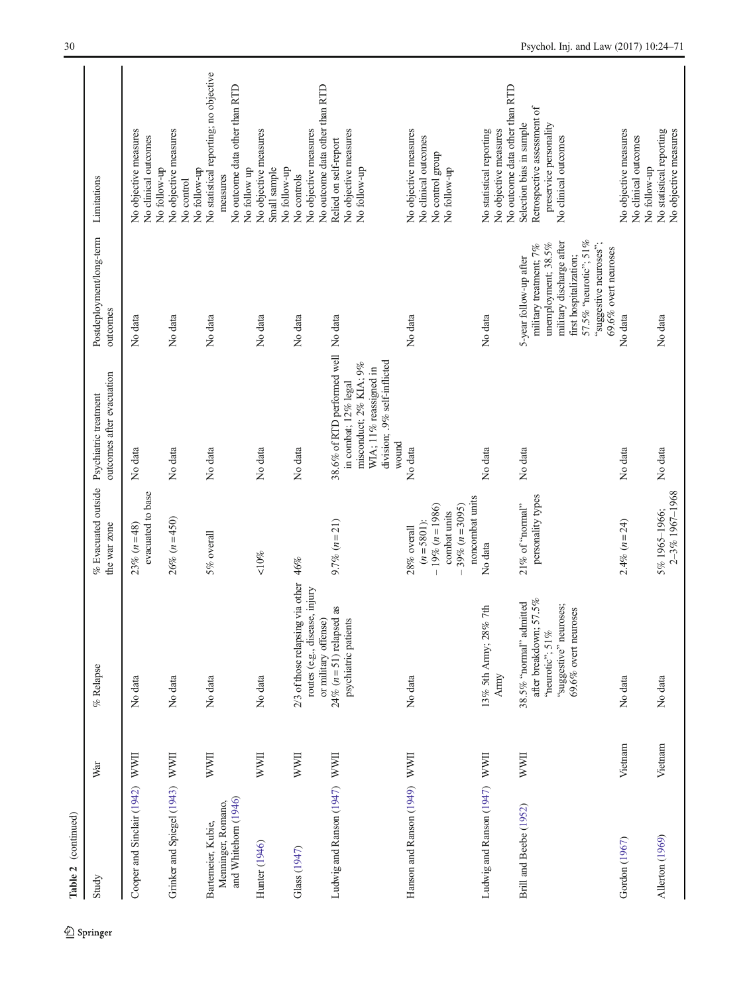| Table 2 (continued)                                              |              |                                                                                                                           |                                                                                                           |                                                                                                                                                          |                                                                                                                                                                                                          |                                                                                                           |
|------------------------------------------------------------------|--------------|---------------------------------------------------------------------------------------------------------------------------|-----------------------------------------------------------------------------------------------------------|----------------------------------------------------------------------------------------------------------------------------------------------------------|----------------------------------------------------------------------------------------------------------------------------------------------------------------------------------------------------------|-----------------------------------------------------------------------------------------------------------|
| Study                                                            | War          | $%$ Relapse                                                                                                               | $%$ Evacuated outside<br>the war zone                                                                     | outcomes after evacuation<br>Psychiatric treatment                                                                                                       | Postdeployment/long-term<br>outcomes                                                                                                                                                                     | Limitations                                                                                               |
| Cooper and Sinclair (1942) WWII                                  |              | No data                                                                                                                   | evacuated to base<br>$23\% (n=48)$                                                                        | No data                                                                                                                                                  | No data                                                                                                                                                                                                  | No objective measures<br>No clinical outcomes<br>No follow-up                                             |
| Grinker and Spiegel (1943)                                       | <b>NWII</b>  | No data                                                                                                                   | $26\% (n = 450)$                                                                                          | No data                                                                                                                                                  | No data                                                                                                                                                                                                  | No objective measures<br>No follow-up<br>No control                                                       |
| and Whitehorn (1946)<br>Menninger, Romano,<br>Bartemeier, Kubie, | <b>NVVII</b> | No data                                                                                                                   | 5% overall                                                                                                | No data                                                                                                                                                  | No data                                                                                                                                                                                                  | No statistical reporting; no objective<br>No outcome data other than RTD<br>No follow up<br>measures      |
| Hunter (1946)                                                    | <b>NWII</b>  | No data                                                                                                                   | ${<}10\%$                                                                                                 | No data                                                                                                                                                  | No data                                                                                                                                                                                                  | No objective measures<br>Small sample<br>No follow-up                                                     |
| Glass (1947)                                                     | <b>NWII</b>  | 2/3 of those relapsing via other<br>routes (e.g., disease, injury<br>or military offense)                                 | 46%                                                                                                       | No data                                                                                                                                                  | No data                                                                                                                                                                                                  | No outcome data other than RTD<br>No objective measures<br>No controls                                    |
| Ludwig and Ranson (1947) WWII                                    |              | 24% ( $n = 51$ ) relapsed as<br>psychiatric patients                                                                      | $9.7\% (n=21)$                                                                                            | 38.6% of RTD performed well No data<br>division; .9% self-inflicted<br>misconduct; 2% KIA; 9%<br>WIA; 11% reassigned in<br>in combat; 12% legal<br>wound |                                                                                                                                                                                                          | No objective measures<br>Relied on self-report<br>No follow-up                                            |
| Hanson and Ranson (1949) WWII                                    |              | No data                                                                                                                   | noncombat units<br>$-19\% (n=1986)$<br>$39\% (n = 3095)$<br>combat units<br>$(n = 5801)$ :<br>28% overall | No data                                                                                                                                                  | No data                                                                                                                                                                                                  | No objective measures<br>No clinical outcomes<br>No control group<br>No follow-up                         |
| Ludwig and Ranson (1947)                                         | <b>NWII</b>  | 13% 5th Army; 28% 7th<br>Army                                                                                             | No data                                                                                                   | No data                                                                                                                                                  | No data                                                                                                                                                                                                  | No outcome data other than RTD<br>No statistical reporting<br>No objective measures                       |
| Brill and Beebe (1952)                                           | <b>NWII</b>  | after breakdown; 57.5%<br>38.5% "normal" admitted<br>"suggestive" neuroses;<br>69.6% overt neuroses<br>"neurotic"; $51\%$ | personality types<br>21% of "normal"                                                                      | No data                                                                                                                                                  | 57.5% "neurotic"; 51%<br>military discharge after<br>"suggestive neuroses";<br>unemployment; 38.5%<br>military treatment; 7%<br>69.6% overt neuroses<br>first hospitalization;<br>5-year follow-up after | Retrospective assessment of<br>preservice personality<br>Selection bias in sample<br>No clinical outcomes |
| Gordon (1967)                                                    | Vietnam      | No data                                                                                                                   | $2.4\% (n=24)$                                                                                            | No data                                                                                                                                                  | No data                                                                                                                                                                                                  | No objective measures<br>No clinical outcomes<br>No follow-up                                             |
| Allerton (1969)                                                  | Vietnam      | No data                                                                                                                   | 2-3% 1967-1968<br>5% 1965-1966;                                                                           | No data                                                                                                                                                  | No data                                                                                                                                                                                                  | No statistical reporting<br>No objective measures                                                         |

 $\underline{\textcircled{\tiny 2}}$  Springer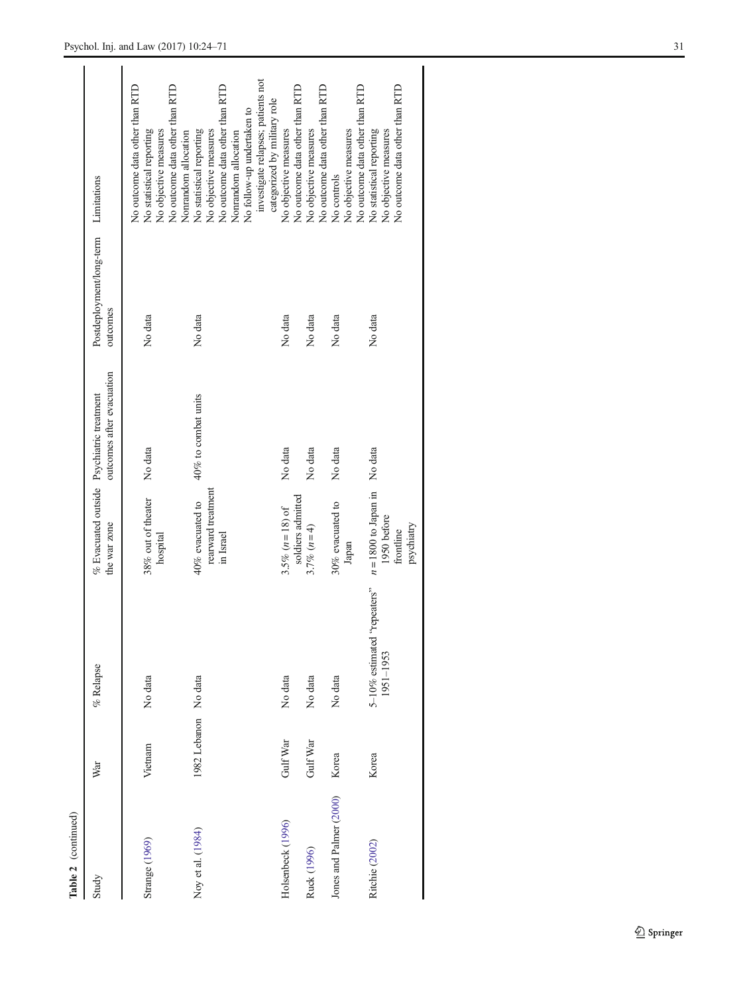| $\sum$                  |                      |                                          |                                                                  |                           |                                      |                                                                                                                                                                                                                                         |
|-------------------------|----------------------|------------------------------------------|------------------------------------------------------------------|---------------------------|--------------------------------------|-----------------------------------------------------------------------------------------------------------------------------------------------------------------------------------------------------------------------------------------|
| Study                   | War                  | $%$ Relapse                              | % Evacuated outside Psychiatric treatment<br>the war zone        | outcomes after evacuation | Postdeployment/long-term<br>outcomes | Limitations                                                                                                                                                                                                                             |
| Strange (1969)          | Vietnam              | No data                                  | 38% out of theater<br>hospital                                   | No data                   | No data                              | No outcome data other than RTD<br>No outcome data other than RTD<br>No objective measures<br>No statistical reporting                                                                                                                   |
| Noy et al. (1984)       | 1982 Lebanon No data |                                          | rearward treatment<br>40% evacuated to<br>in Israel              | 40% to combat units       | No data                              | investigate relapses; patients not<br>No outcome data other than RTD<br>categorized by military role<br>No follow-up undertaken to<br>No statistical reporting<br>No objective measures<br>Nonrandom allocation<br>Nonrandom allocation |
| Holsenbeck (1996)       | Gulf War             | No data                                  | soldiers admitted<br>3.5% ( $n = 18$ ) of                        | No data                   | No data                              | No outcome data other than RTD<br>No objective measures                                                                                                                                                                                 |
| Ruck (1996)             | Gulf War             | No data                                  | 3.7% $(n=4)$                                                     | No data                   | No data                              | No outcome data other than RTD<br>No objective measures                                                                                                                                                                                 |
| Jones and Palmer (2000) | Korea                | No data                                  | $30\%$ evacuated to<br>Japan                                     | No data                   | No data                              | No outcome data other than RTD<br>No objective measures<br>No controls                                                                                                                                                                  |
| Ritchie (2002)          | Korea                | 5-10% estimated "repeaters"<br>1951-1953 | $n = 1800$ to Japan in<br>1950 before<br>psychiatry<br>frontline | No data                   | No data                              | No outcome data other than RTD<br>No statistical reporting<br>No objective measures                                                                                                                                                     |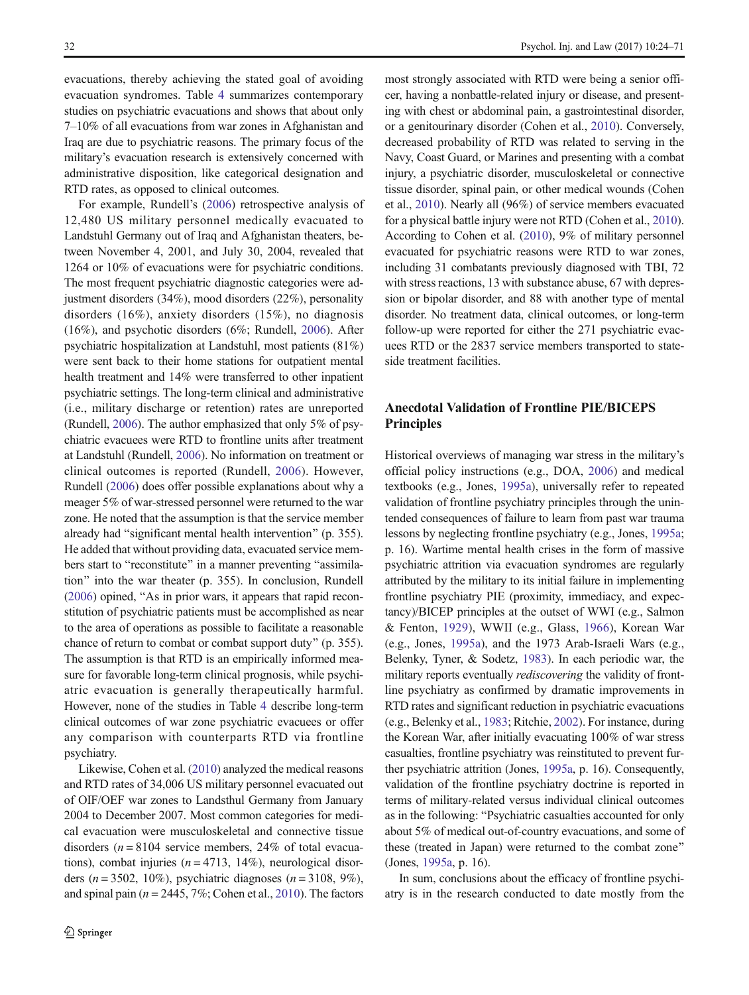evacuations, thereby achieving the stated goal of avoiding evacuation syndromes. Table [4](#page-13-0) summarizes contemporary studies on psychiatric evacuations and shows that about only 7–10% of all evacuations from war zones in Afghanistan and Iraq are due to psychiatric reasons. The primary focus of the military's evacuation research is extensively concerned with administrative disposition, like categorical designation and RTD rates, as opposed to clinical outcomes.

For example, Rundell's [\(2006](#page-46-0)) retrospective analysis of 12,480 US military personnel medically evacuated to Landstuhl Germany out of Iraq and Afghanistan theaters, between November 4, 2001, and July 30, 2004, revealed that 1264 or 10% of evacuations were for psychiatric conditions. The most frequent psychiatric diagnostic categories were adjustment disorders (34%), mood disorders (22%), personality disorders (16%), anxiety disorders (15%), no diagnosis (16%), and psychotic disorders (6%; Rundell, [2006](#page-46-0)). After psychiatric hospitalization at Landstuhl, most patients (81%) were sent back to their home stations for outpatient mental health treatment and 14% were transferred to other inpatient psychiatric settings. The long-term clinical and administrative (i.e., military discharge or retention) rates are unreported (Rundell, [2006](#page-46-0)). The author emphasized that only 5% of psychiatric evacuees were RTD to frontline units after treatment at Landstuhl (Rundell, [2006\)](#page-46-0). No information on treatment or clinical outcomes is reported (Rundell, [2006\)](#page-46-0). However, Rundell ([2006](#page-46-0)) does offer possible explanations about why a meager 5% of war-stressed personnel were returned to the war zone. He noted that the assumption is that the service member already had "significant mental health intervention" (p. 355). He added that without providing data, evacuated service members start to "reconstitute" in a manner preventing "assimilation" into the war theater (p. 355). In conclusion, Rundell  $(2006)$  opined, "As in prior wars, it appears that rapid reconstitution of psychiatric patients must be accomplished as near to the area of operations as possible to facilitate a reasonable chance of return to combat or combat support duty^ (p. 355). The assumption is that RTD is an empirically informed measure for favorable long-term clinical prognosis, while psychiatric evacuation is generally therapeutically harmful. However, none of the studies in Table [4](#page-13-0) describe long-term clinical outcomes of war zone psychiatric evacuees or offer any comparison with counterparts RTD via frontline psychiatry.

Likewise, Cohen et al. ([2010](#page-44-0)) analyzed the medical reasons and RTD rates of 34,006 US military personnel evacuated out of OIF/OEF war zones to Landsthul Germany from January 2004 to December 2007. Most common categories for medical evacuation were musculoskeletal and connective tissue disorders ( $n = 8104$  service members, 24% of total evacuations), combat injuries ( $n = 4713$ , 14%), neurological disorders ( $n = 3502, 10\%$ ), psychiatric diagnoses ( $n = 3108, 9\%$ ), and spinal pain ( $n = 2445, 7\%$ ; Cohen et al., [2010\)](#page-44-0). The factors

most strongly associated with RTD were being a senior officer, having a nonbattle-related injury or disease, and presenting with chest or abdominal pain, a gastrointestinal disorder, or a genitourinary disorder (Cohen et al., [2010\)](#page-44-0). Conversely, decreased probability of RTD was related to serving in the Navy, Coast Guard, or Marines and presenting with a combat injury, a psychiatric disorder, musculoskeletal or connective tissue disorder, spinal pain, or other medical wounds (Cohen et al., [2010\)](#page-44-0). Nearly all (96%) of service members evacuated for a physical battle injury were not RTD (Cohen et al., [2010\)](#page-44-0). According to Cohen et al. [\(2010](#page-44-0)), 9% of military personnel evacuated for psychiatric reasons were RTD to war zones, including 31 combatants previously diagnosed with TBI, 72 with stress reactions, 13 with substance abuse, 67 with depression or bipolar disorder, and 88 with another type of mental disorder. No treatment data, clinical outcomes, or long-term follow-up were reported for either the 271 psychiatric evacuees RTD or the 2837 service members transported to stateside treatment facilities.

# Anecdotal Validation of Frontline PIE/BICEPS **Principles**

Historical overviews of managing war stress in the military's official policy instructions (e.g., DOA, [2006\)](#page-44-0) and medical textbooks (e.g., Jones, [1995a\)](#page-45-0), universally refer to repeated validation of frontline psychiatry principles through the unintended consequences of failure to learn from past war trauma lessons by neglecting frontline psychiatry (e.g., Jones, [1995a;](#page-45-0) p. 16). Wartime mental health crises in the form of massive psychiatric attrition via evacuation syndromes are regularly attributed by the military to its initial failure in implementing frontline psychiatry PIE (proximity, immediacy, and expectancy)/BICEP principles at the outset of WWI (e.g., Salmon & Fenton, [1929](#page-46-0)), WWII (e.g., Glass, [1966\)](#page-44-0), Korean War (e.g., Jones, [1995a](#page-45-0)), and the 1973 Arab-Israeli Wars (e.g., Belenky, Tyner, & Sodetz, [1983](#page-44-0)). In each periodic war, the military reports eventually rediscovering the validity of frontline psychiatry as confirmed by dramatic improvements in RTD rates and significant reduction in psychiatric evacuations (e.g., Belenky et al., [1983;](#page-44-0) Ritchie, [2002](#page-46-0)). For instance, during the Korean War, after initially evacuating 100% of war stress casualties, frontline psychiatry was reinstituted to prevent further psychiatric attrition (Jones, [1995a,](#page-45-0) p. 16). Consequently, validation of the frontline psychiatry doctrine is reported in terms of military-related versus individual clinical outcomes as in the following: "Psychiatric casualties accounted for only about 5% of medical out-of-country evacuations, and some of these (treated in Japan) were returned to the combat zone^ (Jones, [1995a,](#page-45-0) p. 16).

In sum, conclusions about the efficacy of frontline psychiatry is in the research conducted to date mostly from the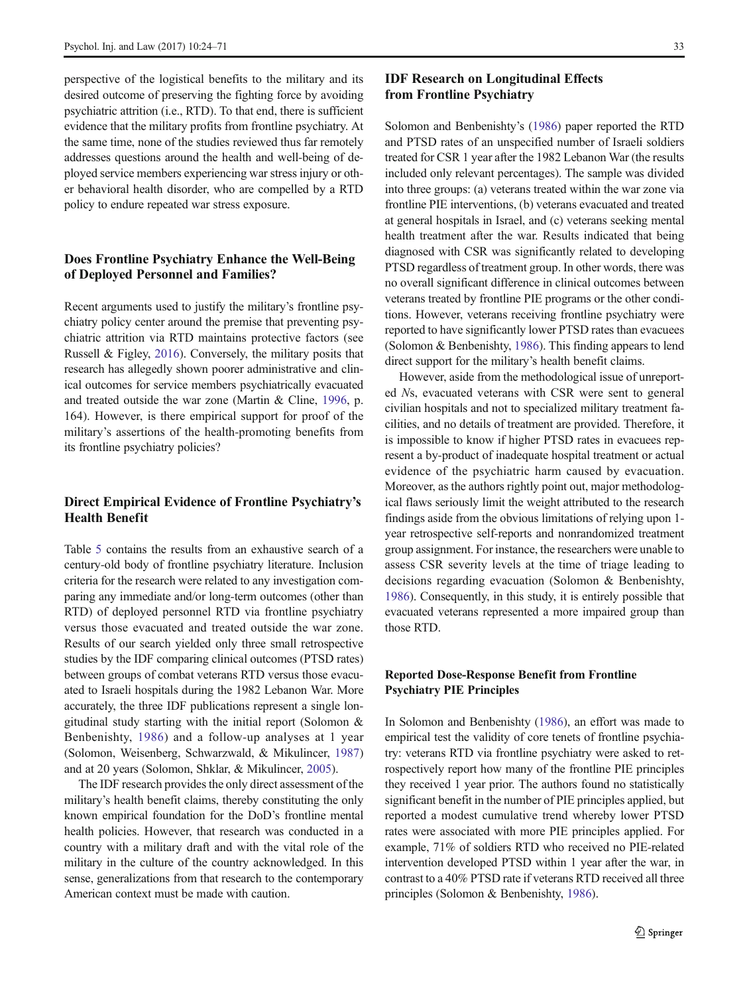perspective of the logistical benefits to the military and its desired outcome of preserving the fighting force by avoiding psychiatric attrition (i.e., RTD). To that end, there is sufficient evidence that the military profits from frontline psychiatry. At the same time, none of the studies reviewed thus far remotely addresses questions around the health and well-being of deployed service members experiencing war stress injury or other behavioral health disorder, who are compelled by a RTD policy to endure repeated war stress exposure.

# Does Frontline Psychiatry Enhance the Well-Being of Deployed Personnel and Families?

Recent arguments used to justify the military's frontline psychiatry policy center around the premise that preventing psychiatric attrition via RTD maintains protective factors (see Russell & Figley, [2016\)](#page-46-0). Conversely, the military posits that research has allegedly shown poorer administrative and clinical outcomes for service members psychiatrically evacuated and treated outside the war zone (Martin & Cline, [1996,](#page-46-0) p. 164). However, is there empirical support for proof of the military's assertions of the health-promoting benefits from its frontline psychiatry policies?

# Direct Empirical Evidence of Frontline Psychiatry's Health Benefit

Table [5](#page-16-0) contains the results from an exhaustive search of a century-old body of frontline psychiatry literature. Inclusion criteria for the research were related to any investigation comparing any immediate and/or long-term outcomes (other than RTD) of deployed personnel RTD via frontline psychiatry versus those evacuated and treated outside the war zone. Results of our search yielded only three small retrospective studies by the IDF comparing clinical outcomes (PTSD rates) between groups of combat veterans RTD versus those evacuated to Israeli hospitals during the 1982 Lebanon War. More accurately, the three IDF publications represent a single longitudinal study starting with the initial report (Solomon & Benbenishty, [1986\)](#page-46-0) and a follow-up analyses at 1 year (Solomon, Weisenberg, Schwarzwald, & Mikulincer, [1987\)](#page-47-0) and at 20 years (Solomon, Shklar, & Mikulincer, [2005\)](#page-47-0).

The IDF research provides the only direct assessment of the military's health benefit claims, thereby constituting the only known empirical foundation for the DoD's frontline mental health policies. However, that research was conducted in a country with a military draft and with the vital role of the military in the culture of the country acknowledged. In this sense, generalizations from that research to the contemporary American context must be made with caution.

#### IDF Research on Longitudinal Effects from Frontline Psychiatry

Solomon and Benbenishty's ([1986](#page-46-0)) paper reported the RTD and PTSD rates of an unspecified number of Israeli soldiers treated for CSR 1 year after the 1982 Lebanon War (the results included only relevant percentages). The sample was divided into three groups: (a) veterans treated within the war zone via frontline PIE interventions, (b) veterans evacuated and treated at general hospitals in Israel, and (c) veterans seeking mental health treatment after the war. Results indicated that being diagnosed with CSR was significantly related to developing PTSD regardless of treatment group. In other words, there was no overall significant difference in clinical outcomes between veterans treated by frontline PIE programs or the other conditions. However, veterans receiving frontline psychiatry were reported to have significantly lower PTSD rates than evacuees (Solomon & Benbenishty, [1986\)](#page-46-0). This finding appears to lend direct support for the military's health benefit claims.

However, aside from the methodological issue of unreported Ns, evacuated veterans with CSR were sent to general civilian hospitals and not to specialized military treatment facilities, and no details of treatment are provided. Therefore, it is impossible to know if higher PTSD rates in evacuees represent a by-product of inadequate hospital treatment or actual evidence of the psychiatric harm caused by evacuation. Moreover, as the authors rightly point out, major methodological flaws seriously limit the weight attributed to the research findings aside from the obvious limitations of relying upon 1 year retrospective self-reports and nonrandomized treatment group assignment. For instance, the researchers were unable to assess CSR severity levels at the time of triage leading to decisions regarding evacuation (Solomon & Benbenishty, [1986\)](#page-46-0). Consequently, in this study, it is entirely possible that evacuated veterans represented a more impaired group than those RTD.

#### Reported Dose-Response Benefit from Frontline Psychiatry PIE Principles

In Solomon and Benbenishty [\(1986](#page-46-0)), an effort was made to empirical test the validity of core tenets of frontline psychiatry: veterans RTD via frontline psychiatry were asked to retrospectively report how many of the frontline PIE principles they received 1 year prior. The authors found no statistically significant benefit in the number of PIE principles applied, but reported a modest cumulative trend whereby lower PTSD rates were associated with more PIE principles applied. For example, 71% of soldiers RTD who received no PIE-related intervention developed PTSD within 1 year after the war, in contrast to a 40% PTSD rate if veterans RTD received all three principles (Solomon & Benbenishty, [1986\)](#page-46-0).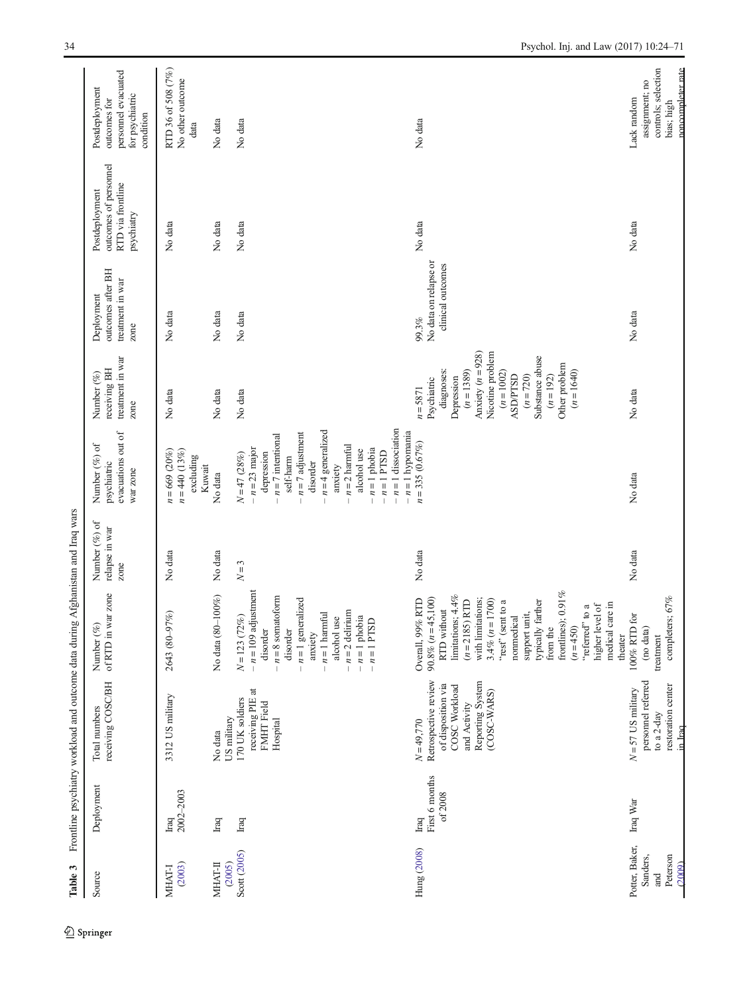<span id="page-10-0"></span>

| Table 3                |                                     | Frontline psychiatry workload and outcome data during                                                                          |                                                                                                                                                                                                                                                                                                                                            | Afghanistan and Iraq wars                  |                                                                                                                                                                                                                                                                           |                                                                                                                                                                                                                              |                                                             |                                                                            |                                                                                       |
|------------------------|-------------------------------------|--------------------------------------------------------------------------------------------------------------------------------|--------------------------------------------------------------------------------------------------------------------------------------------------------------------------------------------------------------------------------------------------------------------------------------------------------------------------------------------|--------------------------------------------|---------------------------------------------------------------------------------------------------------------------------------------------------------------------------------------------------------------------------------------------------------------------------|------------------------------------------------------------------------------------------------------------------------------------------------------------------------------------------------------------------------------|-------------------------------------------------------------|----------------------------------------------------------------------------|---------------------------------------------------------------------------------------|
| Source                 | Deployment                          | receiving COSC/BH<br>Total numbers                                                                                             | of RTD in war zone<br>Number (%)                                                                                                                                                                                                                                                                                                           | Number $(\%)$ of<br>relapse in war<br>zone | evacuations out of<br>Number (%) of<br>psychiatric<br>war zone                                                                                                                                                                                                            | treatment in war<br>receiving BH<br>Number (%)<br>zone                                                                                                                                                                       | outcomes after BH<br>treatment in war<br>Deployment<br>zone | outcomes of personnel<br>RTD via frontline<br>Postdeployment<br>psychiatry | personnel evacuated<br>Postdeployment<br>for psychiatric<br>outcomes for<br>condition |
| (2003)<br>MHAT-I       | 2002-2003<br>Iraq                   | 3312 US military                                                                                                               | 2643 (80-97%)                                                                                                                                                                                                                                                                                                                              | No data                                    | $n = 669 (20\%)$<br>$n = 440$ (13%)<br>excluding<br>Kuwait                                                                                                                                                                                                                | No data                                                                                                                                                                                                                      | No data                                                     | No data                                                                    | RTD 36 of 508 (7%)<br>No other outcome<br>data                                        |
| <b>MHAT-II</b>         | $_{\rm Iraq}$                       | No data                                                                                                                        | $-100%$<br>No data (80-                                                                                                                                                                                                                                                                                                                    | No data                                    | No data                                                                                                                                                                                                                                                                   | No data                                                                                                                                                                                                                      | No data                                                     | No data                                                                    | No data                                                                               |
| Scott (2005)<br>(2005) | $_{\rm Iraq}$                       | receiving PIE at<br>170 UK soldiers<br>FMHT Field<br>US military<br>Hospital                                                   | $-n = 109$ adjustment<br>$-n = 8$ somatoform<br>$-n=1$ generalized<br>$-n = 2$ delirium<br>$-n=1$ harmful<br>$-n=1$ phobia<br>$N = 123 (72%)$<br>alcohol use<br>$-n=1$ PTSD<br>disorder<br>disorder<br>anxiety                                                                                                                             | $N=3$                                      | $-n=1$ dissociation<br>$- n = 4$ generalized<br>$-n=1$ hypomania<br>$- n = 7$ adjustment<br>$- n = 7$ intentional<br>$-n=2$ harmful<br>$-n = 23$ major<br>$-n=1$ phobia<br>alcohol use<br>$-n=1$ PTSD<br>depression<br>$N = 47 (28%)$<br>self-harm<br>disorder<br>anxiety | No data                                                                                                                                                                                                                      | No data                                                     | No data                                                                    | No data                                                                               |
| Hung (2008)            | First 6 months<br>of $2008$<br>Iraq | Retrospective review<br>Reporting System<br>of disposition via<br>COSC Workload<br>(COSC-WARS)<br>and Activity<br>$N = 49,770$ | frontlines); $0.91\%$<br>limitations; 4.4%<br>$90.8\% (n=45,100)$<br>Overall, 99% RTD<br>with limitations;<br>$3.4\% (n = 1700)$<br>"rest" (sent to a<br>$(n=2185)$ RTD<br>typically farther<br>medical care in<br>higher level of<br>to a<br>RTD without<br>support unit,<br>nonmedical<br>"referred"<br>$(n=450)$<br>from the<br>theater | No data                                    | $n = 335(0.67%)$                                                                                                                                                                                                                                                          | Anxiety $(n = 928)$<br>Nicotine problem<br>Substance abuse<br>Other problem<br>diagnoses:<br>$(n = 1389)$<br>$(n = 1002)$<br>$(n=1640)$<br>$(n = 720)$<br>ASD/PTSD<br>$(n = 192)$<br>Depression<br>Psychiatric<br>$n = 5871$ | No data on relapse or<br>clinical outcomes<br>99.3%         | No data                                                                    | No data                                                                               |
| Potter, Baker,         | Iraq War                            | $N = 57$ US military                                                                                                           | $100\%$ RTD for                                                                                                                                                                                                                                                                                                                            | No data                                    | No data                                                                                                                                                                                                                                                                   | No data                                                                                                                                                                                                                      | No data                                                     | No data                                                                    | Lack random                                                                           |
| Sanders,<br>and        |                                     | personnel referred<br>to a 2-day                                                                                               | (no data)<br>treatment                                                                                                                                                                                                                                                                                                                     |                                            |                                                                                                                                                                                                                                                                           |                                                                                                                                                                                                                              |                                                             |                                                                            | controls; selection<br>assignment; no                                                 |
| Peterson<br>(2009)     |                                     | restoration center<br>in Iraq                                                                                                  | completers; $67\%$                                                                                                                                                                                                                                                                                                                         |                                            |                                                                                                                                                                                                                                                                           |                                                                                                                                                                                                                              |                                                             |                                                                            | noncompleter rate<br>bias; high                                                       |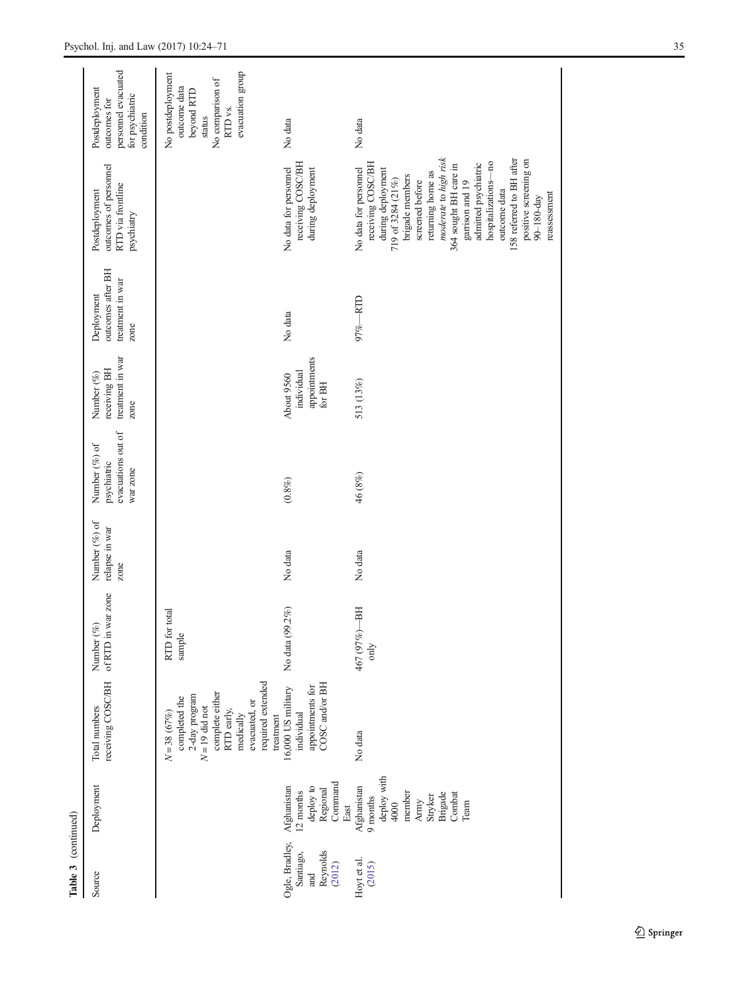| Table 3 (continued)                                      |                                                                                                            |                                                                                                                                                                    |                                  |                                         |                                                                |                                                        |                                                             |                                                                                                                                                                                                                                                                                                                                                                        |                                                                                                                         |
|----------------------------------------------------------|------------------------------------------------------------------------------------------------------------|--------------------------------------------------------------------------------------------------------------------------------------------------------------------|----------------------------------|-----------------------------------------|----------------------------------------------------------------|--------------------------------------------------------|-------------------------------------------------------------|------------------------------------------------------------------------------------------------------------------------------------------------------------------------------------------------------------------------------------------------------------------------------------------------------------------------------------------------------------------------|-------------------------------------------------------------------------------------------------------------------------|
| Source                                                   | Deployment                                                                                                 | receiving COSC/BH<br>Total numbers                                                                                                                                 | of RTD in war zone<br>Number (%) | Number (%) of<br>relapse in war<br>zone | evacuations out of<br>Number (%) of<br>psychiatric<br>war zone | treatment in war<br>receiving BH<br>Number (%)<br>zone | outcomes after BH<br>treatment in war<br>Deployment<br>zone | outcomes of personnel<br>RTD via frontline<br>Postdeployment<br>psychiatry                                                                                                                                                                                                                                                                                             | personnel evacuated<br>Postdeployment<br>for psychiatric<br>outcomes for<br>condition                                   |
|                                                          |                                                                                                            | required extended<br>complete either<br>2-day program<br>completed the<br>evacuated, or<br>$N=19$ did not<br>RTD early,<br>$N = 38(67%)$<br>medically<br>treatment | RTD for total<br>sample          |                                         |                                                                |                                                        |                                                             |                                                                                                                                                                                                                                                                                                                                                                        | evacuation group<br>No postdeployment<br>No comparison of<br>outcome data<br>beyond RTD<br>RTD <sub>vs.</sub><br>status |
| Ogle, Bradley,<br>Reynolds<br>Santiago,<br>(2012)<br>and | Command<br>Afghanistan<br>deploy to<br>Regional<br>12 months<br>East                                       | COSC and/or BH<br>appointments for<br>16,000 US military<br>individual                                                                                             | No data (99.2%)                  | No data                                 | $(0.8\%)$                                                      | appointments<br>individual<br>About 9560<br>for BH     | No data                                                     | receiving COSC/BH<br>No data for personnel<br>during deployment                                                                                                                                                                                                                                                                                                        | No data                                                                                                                 |
| Hoyt et al.<br>(2015)                                    | deploy with<br>Afghanistan<br>Combat<br>member<br>Brigade<br>Stryker<br>$9$ months<br>Army<br>4000<br>Team | No data                                                                                                                                                            | -BH<br>467 (97%)<br>only         | No data                                 | 46 (8%)                                                        | 513 (13%)                                              | 97%-RTD                                                     | moderate to high risk<br>158 referred to BH after<br>positive screening on<br>receiving COSC/BH<br>hospitalizations-no<br>admitted psychiatric<br>364 sought BH care in<br>No data for personnel<br>during deployment<br>returning home as<br>brigade members<br>719 of 3284 (21%)<br>screened before<br>garrison and 19<br>outcome data<br>reassessment<br>90-180-day | No data                                                                                                                 |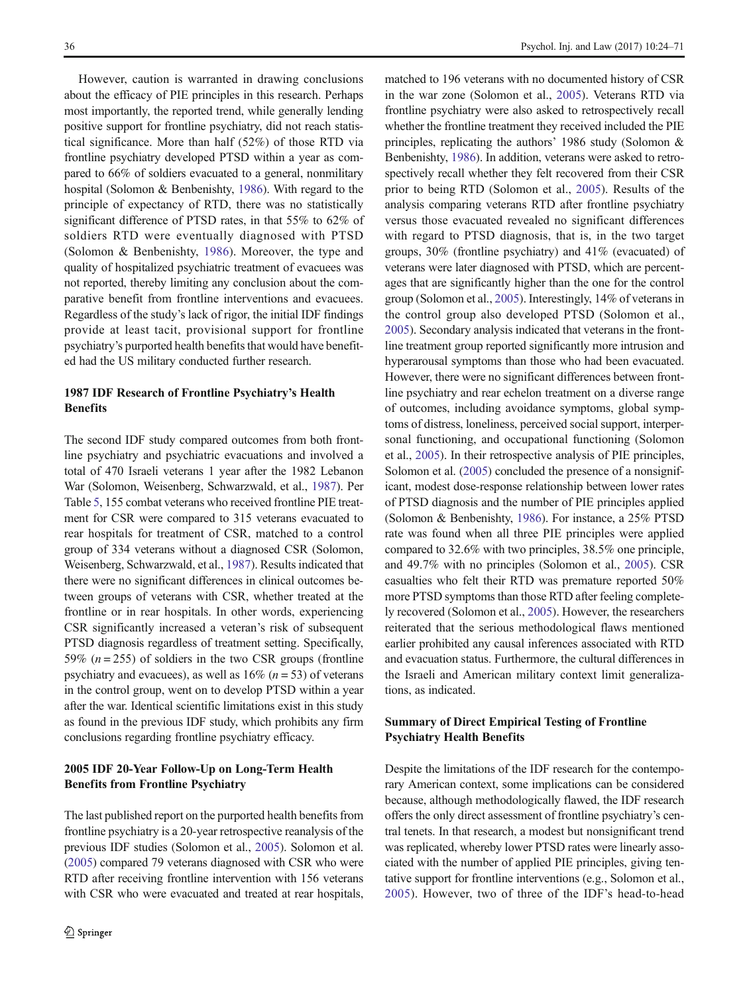However, caution is warranted in drawing conclusions about the efficacy of PIE principles in this research. Perhaps most importantly, the reported trend, while generally lending positive support for frontline psychiatry, did not reach statistical significance. More than half (52%) of those RTD via frontline psychiatry developed PTSD within a year as compared to 66% of soldiers evacuated to a general, nonmilitary hospital (Solomon & Benbenishty, [1986\)](#page-46-0). With regard to the principle of expectancy of RTD, there was no statistically significant difference of PTSD rates, in that 55% to 62% of soldiers RTD were eventually diagnosed with PTSD (Solomon & Benbenishty, [1986](#page-46-0)). Moreover, the type and quality of hospitalized psychiatric treatment of evacuees was not reported, thereby limiting any conclusion about the comparative benefit from frontline interventions and evacuees. Regardless of the study's lack of rigor, the initial IDF findings provide at least tacit, provisional support for frontline psychiatry's purported health benefits that would have benefited had the US military conducted further research.

#### 1987 IDF Research of Frontline Psychiatry's Health **Benefits**

The second IDF study compared outcomes from both frontline psychiatry and psychiatric evacuations and involved a total of 470 Israeli veterans 1 year after the 1982 Lebanon War (Solomon, Weisenberg, Schwarzwald, et al., [1987](#page-47-0)). Per Table [5](#page-16-0), 155 combat veterans who received frontline PIE treatment for CSR were compared to 315 veterans evacuated to rear hospitals for treatment of CSR, matched to a control group of 334 veterans without a diagnosed CSR (Solomon, Weisenberg, Schwarzwald, et al., [1987](#page-47-0)). Results indicated that there were no significant differences in clinical outcomes between groups of veterans with CSR, whether treated at the frontline or in rear hospitals. In other words, experiencing CSR significantly increased a veteran's risk of subsequent PTSD diagnosis regardless of treatment setting. Specifically, 59% ( $n = 255$ ) of soldiers in the two CSR groups (frontline psychiatry and evacuees), as well as  $16\%$  ( $n = 53$ ) of veterans in the control group, went on to develop PTSD within a year after the war. Identical scientific limitations exist in this study as found in the previous IDF study, which prohibits any firm conclusions regarding frontline psychiatry efficacy.

### 2005 IDF 20-Year Follow-Up on Long-Term Health Benefits from Frontline Psychiatry

The last published report on the purported health benefits from frontline psychiatry is a 20-year retrospective reanalysis of the previous IDF studies (Solomon et al., [2005\)](#page-47-0). Solomon et al. [\(2005\)](#page-47-0) compared 79 veterans diagnosed with CSR who were RTD after receiving frontline intervention with 156 veterans with CSR who were evacuated and treated at rear hospitals,

matched to 196 veterans with no documented history of CSR in the war zone (Solomon et al., [2005\)](#page-47-0). Veterans RTD via frontline psychiatry were also asked to retrospectively recall whether the frontline treatment they received included the PIE principles, replicating the authors' 1986 study (Solomon & Benbenishty, [1986](#page-46-0)). In addition, veterans were asked to retrospectively recall whether they felt recovered from their CSR prior to being RTD (Solomon et al., [2005](#page-47-0)). Results of the analysis comparing veterans RTD after frontline psychiatry versus those evacuated revealed no significant differences with regard to PTSD diagnosis, that is, in the two target groups, 30% (frontline psychiatry) and 41% (evacuated) of veterans were later diagnosed with PTSD, which are percentages that are significantly higher than the one for the control group (Solomon et al., [2005](#page-47-0)). Interestingly, 14% of veterans in the control group also developed PTSD (Solomon et al., [2005\)](#page-47-0). Secondary analysis indicated that veterans in the frontline treatment group reported significantly more intrusion and hyperarousal symptoms than those who had been evacuated. However, there were no significant differences between frontline psychiatry and rear echelon treatment on a diverse range of outcomes, including avoidance symptoms, global symptoms of distress, loneliness, perceived social support, interpersonal functioning, and occupational functioning (Solomon et al., [2005\)](#page-47-0). In their retrospective analysis of PIE principles, Solomon et al. [\(2005](#page-47-0)) concluded the presence of a nonsignificant, modest dose-response relationship between lower rates of PTSD diagnosis and the number of PIE principles applied (Solomon & Benbenishty, [1986\)](#page-46-0). For instance, a 25% PTSD rate was found when all three PIE principles were applied compared to 32.6% with two principles, 38.5% one principle, and 49.7% with no principles (Solomon et al., [2005](#page-47-0)). CSR casualties who felt their RTD was premature reported 50% more PTSD symptoms than those RTD after feeling completely recovered (Solomon et al., [2005](#page-47-0)). However, the researchers reiterated that the serious methodological flaws mentioned earlier prohibited any causal inferences associated with RTD and evacuation status. Furthermore, the cultural differences in the Israeli and American military context limit generalizations, as indicated.

#### Summary of Direct Empirical Testing of Frontline Psychiatry Health Benefits

Despite the limitations of the IDF research for the contemporary American context, some implications can be considered because, although methodologically flawed, the IDF research offers the only direct assessment of frontline psychiatry's central tenets. In that research, a modest but nonsignificant trend was replicated, whereby lower PTSD rates were linearly associated with the number of applied PIE principles, giving tentative support for frontline interventions (e.g., Solomon et al., [2005\)](#page-47-0). However, two of three of the IDF's head-to-head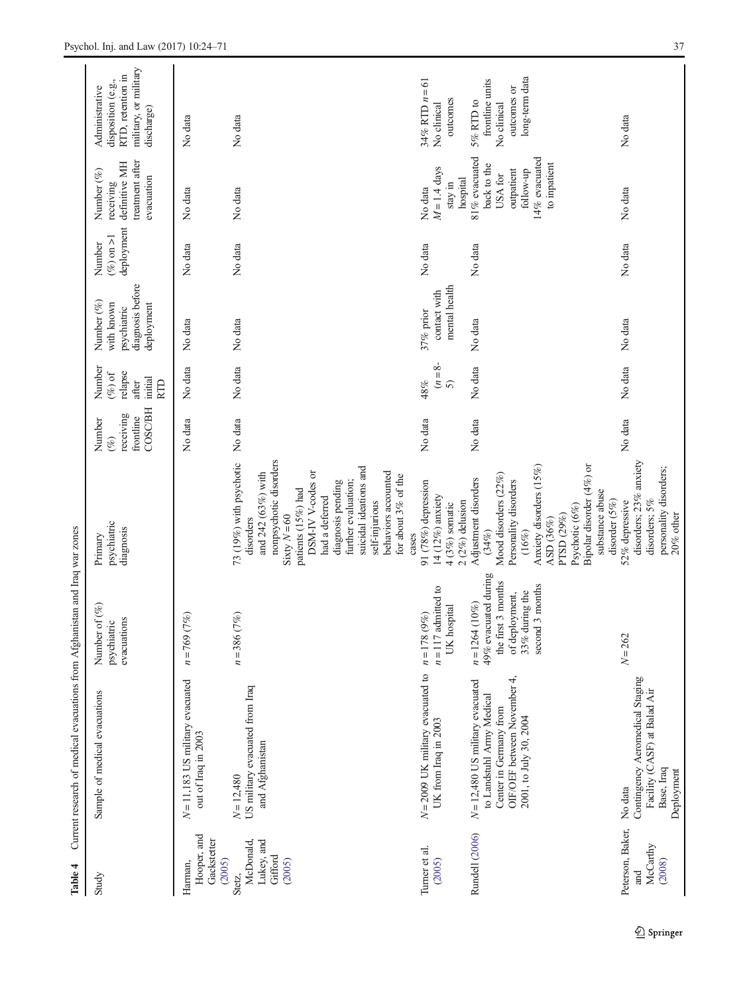<span id="page-13-0"></span>

| Table 4                                                          | Current research of medical evacuations from Afghanistan and Iraq war zones                                                                        |                                                                                                                        |                                                                                                                                                                                                                                                                                                           |                                                       |                                                                  |                                                                           |                                      |                                                                                                                 |                                                                                                  |
|------------------------------------------------------------------|----------------------------------------------------------------------------------------------------------------------------------------------------|------------------------------------------------------------------------------------------------------------------------|-----------------------------------------------------------------------------------------------------------------------------------------------------------------------------------------------------------------------------------------------------------------------------------------------------------|-------------------------------------------------------|------------------------------------------------------------------|---------------------------------------------------------------------------|--------------------------------------|-----------------------------------------------------------------------------------------------------------------|--------------------------------------------------------------------------------------------------|
| Study                                                            | Sample of medical evacuations                                                                                                                      | Number of (%)<br>evacuations<br>psychiatric                                                                            | psychiatric<br>diagnosis<br>Primary                                                                                                                                                                                                                                                                       | COSC/BH<br>receiving<br>frontline<br>Number<br>$(\%)$ | Number<br>relapse<br>$(\%)$ of<br>initial<br>after<br><b>RTD</b> | diagnosis before<br>Number (%)<br>with known<br>deployment<br>psychiatric | deployment<br>$(\%)$ on >1<br>Number | treatment after<br>definitive MH<br>Number (%)<br>evacuation<br>receiving                                       | military, or military<br>RTD, retention in<br>disposition (e.g.,<br>Administrative<br>discharge) |
| Hooper, and<br>Gackstetter<br>Harman,                            | $N = 11,183$ US military evacuated<br>out of Iraq in 2003                                                                                          | (7%)<br>$n = 769$                                                                                                      |                                                                                                                                                                                                                                                                                                           | No data                                               | No data                                                          | No data                                                                   | No data                              | No data                                                                                                         | No data                                                                                          |
| Lukey, and<br>McDonald,<br>Gifford<br>(2005)<br>(2005)<br>Stetz, | US military evacuated from Iraq<br>and Afghanistan<br>$N = 12,480$                                                                                 | (7%)<br>$n = 386$                                                                                                      | nonpsychotic disorders<br>73 (19%) with psychotic<br>suicidal ideations and<br>DSM-IV V-codes or<br>behaviors accounted<br>and 242 (63%) with<br>for about 3% of the<br>further evaluation;<br>diagnosis pending<br>patients (15%) had<br>had a deferred<br>self-injurious<br>Sixty $N = 60$<br>disorders | No data                                               | No data                                                          | No data                                                                   | No data                              | No data                                                                                                         | No data                                                                                          |
| Turner et al.<br>(2005)                                          | $N = 2009$ UK military evacuated to<br>UK from Iraq in 2003                                                                                        | $n = 117$ admitted to<br>UK hospital<br>$n = 178$ (9%)                                                                 | 91 (78%) depression<br>14 (12%) anxiety<br>$4(3%)$ somatic<br>cases                                                                                                                                                                                                                                       | No data                                               | $(n = 8 -$<br>48%<br>$\widehat{5}$                               | mental health<br>contact with<br>37% prior                                | No data                              | $M = 1.4$ days<br>stay in<br>No data                                                                            | $34\%$ RTD $n = 61$<br>outcomes<br>No clinical                                                   |
| Rundell (2006)                                                   | OIF/OEF between November 4,<br>$N = 12,480$ US military evacuated<br>to Landstuhl Army Medical<br>Center in Germany from<br>2001, to July 30, 2004 | 49% evacuated during<br>the first 3 months<br>second 3 months<br>33% during the<br>of deployment,<br>$n = 1264 (10\%)$ | Bipolar disorder (4%) or<br>Anxiety disorders (15%)<br>Mood disorders (22%)<br>Adjustment disorders<br>Personality disorders<br>substance abuse<br>$2(2%)$ delusion<br>Psychotic (6%)<br>PTSD (29%)<br>ASD (36%)<br>$(34\%)$<br>(16%)                                                                     | No data                                               | No data                                                          | No data                                                                   | No data                              | 81% evacuated<br>14% evacuated<br>to inpatient<br>back to the<br>follow-up<br>outpatient<br>USA for<br>hospital | long-term data<br>frontline units<br>outcomes or<br>5% RTD to<br>No clinical                     |
| Peterson, Baker,<br>McCarthy<br>(2008)<br>and                    | Contingency Aeromedical Staging<br>Facility (CASF) at Balad Air<br>Base, Iraq<br>Deployment<br>No data                                             | $N = 262$                                                                                                              | disorders; 23% anxiety<br>personality disorders;<br>disorder (5%)<br>disorders; 5%<br>52% depressive<br>$20\%$ other                                                                                                                                                                                      | No data                                               | No data                                                          | No data                                                                   | No data                              | No data                                                                                                         | No data                                                                                          |

Springer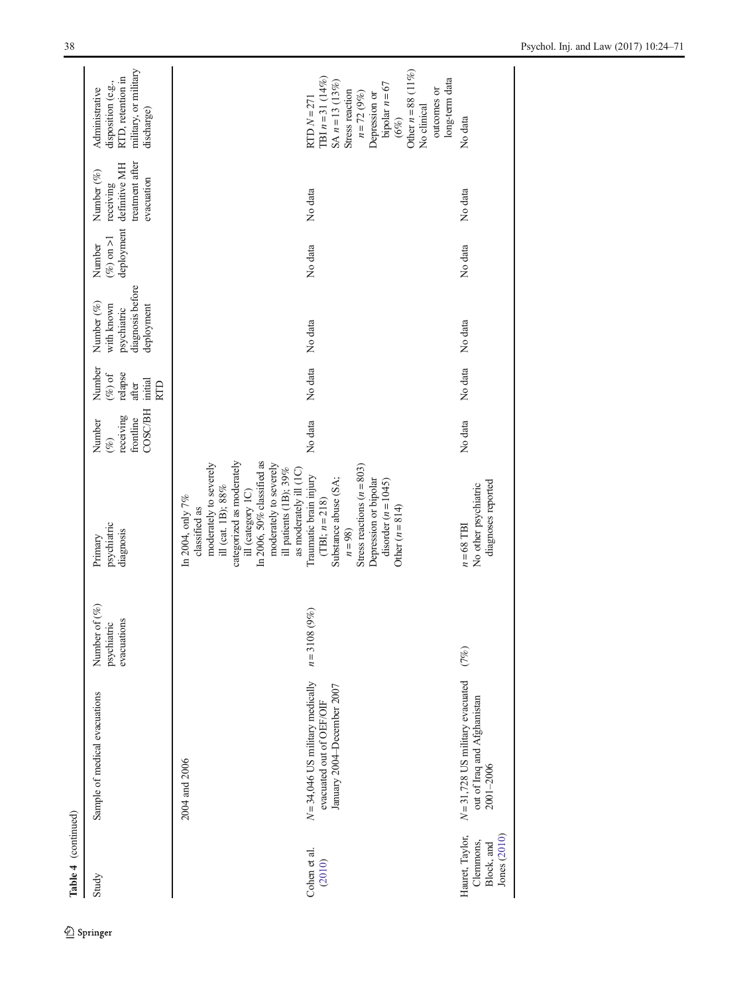| Table 4 (continued)                                        |                                                                                                               |                                             |                                                                                                                                                                                                                                                                                                                                                                                                                                        |                                                              |                                                         |                                                                           |                                      |                                                                           |                                                                                                                                                                                                                    |
|------------------------------------------------------------|---------------------------------------------------------------------------------------------------------------|---------------------------------------------|----------------------------------------------------------------------------------------------------------------------------------------------------------------------------------------------------------------------------------------------------------------------------------------------------------------------------------------------------------------------------------------------------------------------------------------|--------------------------------------------------------------|---------------------------------------------------------|---------------------------------------------------------------------------|--------------------------------------|---------------------------------------------------------------------------|--------------------------------------------------------------------------------------------------------------------------------------------------------------------------------------------------------------------|
| Study                                                      | Sample of medical evacuations                                                                                 | Number of (%)<br>evacuations<br>psychiatric | psychiatric<br>diagnosis<br>Primary                                                                                                                                                                                                                                                                                                                                                                                                    | <b>COSC/BH</b><br>receiving<br>frontline<br>Number<br>$(\%)$ | Number<br>$(\%)$ of<br>relapse<br>initial<br>after<br>E | diagnosis before<br>Number (%)<br>with known<br>deployment<br>psychiatric | deployment<br>$(\%)$ on >1<br>Number | treatment after<br>definitive MH<br>Number (%)<br>evacuation<br>receiving | military, or military<br>RTD, retention in<br>disposition (e.g.,<br>Administrative<br>discharge)                                                                                                                   |
| Cohen et al.<br>(2010)                                     | $N = 34,046$ US military medically<br>January 2004-December 2007<br>evacuated out of OEF/OIF<br>2004 and 2006 | 9%)<br>$n = 3108$                           | categorized as moderately<br>In 2006, 50% classified as<br>moderately to severely<br>moderately to severely<br>Stress reactions $(n = 803)$<br>ill patients (1B); 39%<br>as moderately ill (1C)<br>Traumatic brain injury<br>Substance abuse (SA;<br>Depression or bipolar<br>disorder $(n = 1045)$<br>ill (cat. 1B); 88%<br>ill (category 1C)<br>In 2004, only 7%<br>$(TBI; n=218)$<br>classified as<br>Other $(n = 814)$<br>$n = 98$ | No data                                                      | No data                                                 | No data                                                                   | No data                              | No data                                                                   | Other $n = 88$ (11%)<br>TBI $n = 31$ (14%)<br>long-term data<br>$SA n = 13(13%)$<br>bipolar $n = 67$<br>outcomes or<br>Stress reaction<br>$n = 72 (9%)$<br>Depression or<br>$RTDN = 271$<br>No clinical<br>$(6\%)$ |
| Hauret, Taylor,<br>Jones (2010)<br>Clemmons,<br>Block, and | $N = 31,728$ US military evacuated<br>out of Iraq and Afghanistan<br>2001-2006                                | (7%)                                        | diagnoses reported<br>No other psychiatric<br>$n = 68$ TBI                                                                                                                                                                                                                                                                                                                                                                             | No data                                                      | No data                                                 | No data                                                                   | No data                              | No data                                                                   | No data                                                                                                                                                                                                            |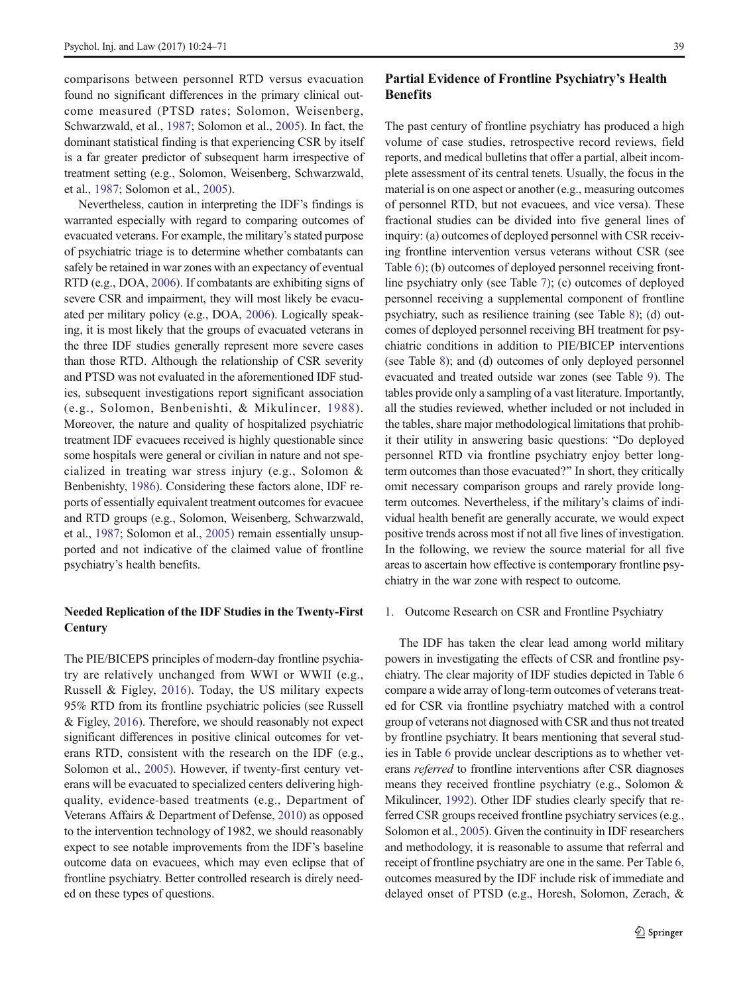comparisons between personnel RTD versus evacuation found no significant differences in the primary clinical outcome measured (PTSD rates; Solomon, Weisenberg, Schwarzwald, et al., [1987;](#page-47-0) Solomon et al., [2005\)](#page-47-0). In fact, the dominant statistical finding is that experiencing CSR by itself is a far greater predictor of subsequent harm irrespective of treatment setting (e.g., Solomon, Weisenberg, Schwarzwald, et al., [1987;](#page-47-0) Solomon et al., [2005](#page-47-0)).

Nevertheless, caution in interpreting the IDF's findings is warranted especially with regard to comparing outcomes of evacuated veterans. For example, the military's stated purpose of psychiatric triage is to determine whether combatants can safely be retained in war zones with an expectancy of eventual RTD (e.g., DOA, [2006\)](#page-44-0). If combatants are exhibiting signs of severe CSR and impairment, they will most likely be evacuated per military policy (e.g., DOA, [2006](#page-44-0)). Logically speaking, it is most likely that the groups of evacuated veterans in the three IDF studies generally represent more severe cases than those RTD. Although the relationship of CSR severity and PTSD was not evaluated in the aforementioned IDF studies, subsequent investigations report significant association (e.g., Solomon, Benbenishti, & Mikulincer, [1988\)](#page-46-0). Moreover, the nature and quality of hospitalized psychiatric treatment IDF evacuees received is highly questionable since some hospitals were general or civilian in nature and not specialized in treating war stress injury (e.g., Solomon & Benbenishty, [1986\)](#page-46-0). Considering these factors alone, IDF reports of essentially equivalent treatment outcomes for evacuee and RTD groups (e.g., Solomon, Weisenberg, Schwarzwald, et al., [1987](#page-47-0); Solomon et al., [2005](#page-47-0)) remain essentially unsupported and not indicative of the claimed value of frontline psychiatry's health benefits.

#### Needed Replication of the IDF Studies in the Twenty-First **Century**

The PIE/BICEPS principles of modern-day frontline psychiatry are relatively unchanged from WWI or WWII (e.g., Russell & Figley, [2016\)](#page-46-0). Today, the US military expects 95% RTD from its frontline psychiatric policies (see Russell & Figley, [2016](#page-46-0)). Therefore, we should reasonably not expect significant differences in positive clinical outcomes for veterans RTD, consistent with the research on the IDF (e.g., Solomon et al., [2005\)](#page-47-0). However, if twenty-first century veterans will be evacuated to specialized centers delivering highquality, evidence-based treatments (e.g., Department of Veterans Affairs & Department of Defense, [2010\)](#page-44-0) as opposed to the intervention technology of 1982, we should reasonably expect to see notable improvements from the IDF's baseline outcome data on evacuees, which may even eclipse that of frontline psychiatry. Better controlled research is direly needed on these types of questions.

# Partial Evidence of Frontline Psychiatry's Health **Benefits**

The past century of frontline psychiatry has produced a high volume of case studies, retrospective record reviews, field reports, and medical bulletins that offer a partial, albeit incomplete assessment of its central tenets. Usually, the focus in the material is on one aspect or another (e.g., measuring outcomes of personnel RTD, but not evacuees, and vice versa). These fractional studies can be divided into five general lines of inquiry: (a) outcomes of deployed personnel with CSR receiving frontline intervention versus veterans without CSR (see Table [6\)](#page-20-0); (b) outcomes of deployed personnel receiving frontline psychiatry only (see Table [7\)](#page-28-0); (c) outcomes of deployed personnel receiving a supplemental component of frontline psychiatry, such as resilience training (see Table [8](#page-29-0)); (d) outcomes of deployed personnel receiving BH treatment for psychiatric conditions in addition to PIE/BICEP interventions (see Table [8](#page-29-0)); and (d) outcomes of only deployed personnel evacuated and treated outside war zones (see Table [9\)](#page-34-0). The tables provide only a sampling of a vast literature. Importantly, all the studies reviewed, whether included or not included in the tables, share major methodological limitations that prohibit their utility in answering basic questions: "Do deployed personnel RTD via frontline psychiatry enjoy better longterm outcomes than those evacuated?" In short, they critically omit necessary comparison groups and rarely provide longterm outcomes. Nevertheless, if the military's claims of individual health benefit are generally accurate, we would expect positive trends across most if not all five lines of investigation. In the following, we review the source material for all five areas to ascertain how effective is contemporary frontline psychiatry in the war zone with respect to outcome.

#### 1. Outcome Research on CSR and Frontline Psychiatry

The IDF has taken the clear lead among world military powers in investigating the effects of CSR and frontline psychiatry. The clear majority of IDF studies depicted in Table [6](#page-20-0) compare a wide array of long-term outcomes of veterans treated for CSR via frontline psychiatry matched with a control group of veterans not diagnosed with CSR and thus not treated by frontline psychiatry. It bears mentioning that several studies in Table [6](#page-20-0) provide unclear descriptions as to whether veterans referred to frontline interventions after CSR diagnoses means they received frontline psychiatry (e.g., Solomon & Mikulincer, [1992\)](#page-47-0). Other IDF studies clearly specify that referred CSR groups received frontline psychiatry services (e.g., Solomon et al., [2005\)](#page-47-0). Given the continuity in IDF researchers and methodology, it is reasonable to assume that referral and receipt of frontline psychiatry are one in the same. Per Table [6,](#page-20-0) outcomes measured by the IDF include risk of immediate and delayed onset of PTSD (e.g., Horesh, Solomon, Zerach, &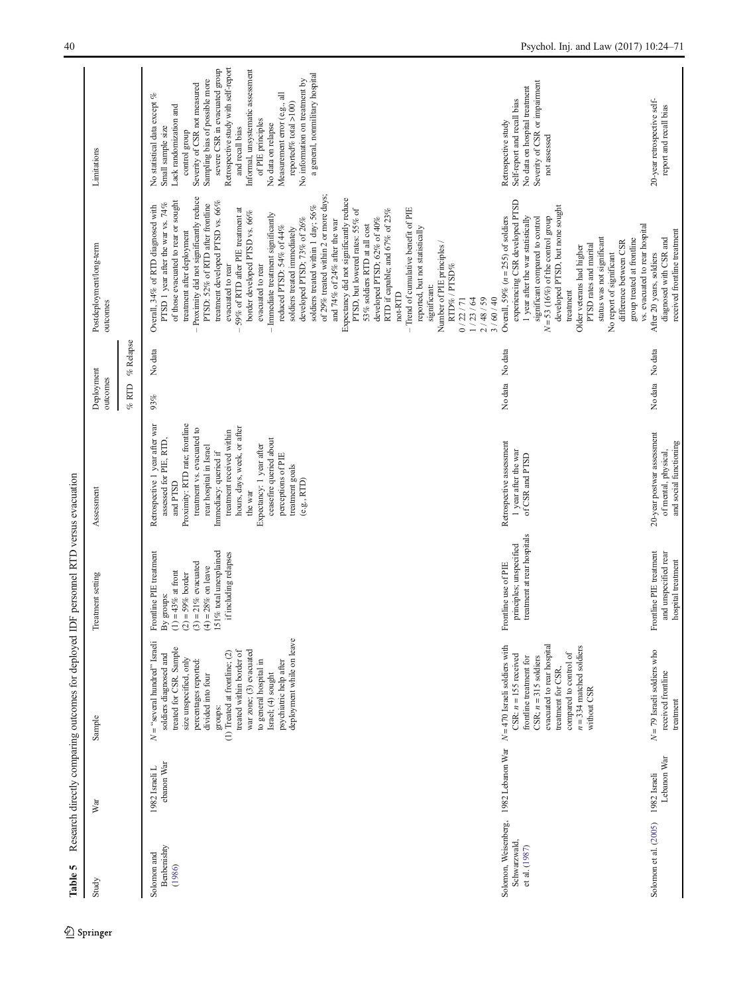<span id="page-16-0"></span>

| Table 5                                                                |                              | Research directly comparing outcomes for deployed IDF personnel RTD versus evacuation                                                                                                                                                                                                                                                                                    |                                                                                                                                                                                             |                                                                                                                                                                                                                                                                                                                                                                                |                        |                                                                                                                                                                                                                                                                                                                                                                                                                                                                                                                                                                                                                                                                                                                                                                                                                                                                                                                                                                                                                  |                                                                                                                                                                                                                                                                                                                                                                                                                                                                             |
|------------------------------------------------------------------------|------------------------------|--------------------------------------------------------------------------------------------------------------------------------------------------------------------------------------------------------------------------------------------------------------------------------------------------------------------------------------------------------------------------|---------------------------------------------------------------------------------------------------------------------------------------------------------------------------------------------|--------------------------------------------------------------------------------------------------------------------------------------------------------------------------------------------------------------------------------------------------------------------------------------------------------------------------------------------------------------------------------|------------------------|------------------------------------------------------------------------------------------------------------------------------------------------------------------------------------------------------------------------------------------------------------------------------------------------------------------------------------------------------------------------------------------------------------------------------------------------------------------------------------------------------------------------------------------------------------------------------------------------------------------------------------------------------------------------------------------------------------------------------------------------------------------------------------------------------------------------------------------------------------------------------------------------------------------------------------------------------------------------------------------------------------------|-----------------------------------------------------------------------------------------------------------------------------------------------------------------------------------------------------------------------------------------------------------------------------------------------------------------------------------------------------------------------------------------------------------------------------------------------------------------------------|
| Study                                                                  | War                          | Sample                                                                                                                                                                                                                                                                                                                                                                   | Treatment setting                                                                                                                                                                           | Assessment                                                                                                                                                                                                                                                                                                                                                                     | Deployment<br>outcomes | Postdeployment/long-term<br>outcomes                                                                                                                                                                                                                                                                                                                                                                                                                                                                                                                                                                                                                                                                                                                                                                                                                                                                                                                                                                             | Limitations                                                                                                                                                                                                                                                                                                                                                                                                                                                                 |
|                                                                        |                              |                                                                                                                                                                                                                                                                                                                                                                          |                                                                                                                                                                                             |                                                                                                                                                                                                                                                                                                                                                                                | % Relapse<br>% RTD     |                                                                                                                                                                                                                                                                                                                                                                                                                                                                                                                                                                                                                                                                                                                                                                                                                                                                                                                                                                                                                  |                                                                                                                                                                                                                                                                                                                                                                                                                                                                             |
| Benbenishty<br>Solomon and<br>(1986)                                   | ebanon War<br>1982 Israeli L | deployment while on leave<br>$N =$ "several hundred" Israeli<br>treated for CSR. Sample<br>war zone; (3) evacuated<br>treated within border of<br>(1) Treated at frontline; $(2)$<br>soldiers diagnosed and<br>size unspecified, only<br>percentages reported:<br>to general hospital in<br>psychiatric help after<br>Israel; (4) sought<br>divided into four<br>groups: | 151% total unexplained<br>Frontline PIE treatment<br>if including relapses<br>$(3) = 21\%$ evacuated<br>$(4) = 28\%$ on leave<br>$(1) = 43\%$ at front<br>$(2) = 59\%$ border<br>By groups: | Retrospective 1 year after war<br>Proximity: RTD rate; frontline<br>hours, days, week, or after<br>treatment vs. evacuated to<br>treatment received within<br>ceasefire queried about<br>assessed for PIE, RTD,<br>Expectancy: 1 year after<br>rear hospital in Israel<br>Immediacy: queried if<br>perceptions of PIE<br>treatment goals<br>(e.g., RTD)<br>and PTSD<br>the war | No data<br>93%         | of 29% treated within 2 or more days;<br>Proximity did not significantly reduce<br>Expectancy did not significantly reduce<br>treatment developed PTSD vs. 66%<br>of those evacuated to rear or sought<br>PTSD 1 year after the war vs. 74%<br>PTSD: 52% of RTD after frontline<br>Overall, 34% of RTD diagnosed with<br>soldiers treated within 1 day; 56%<br>59% of RTD after PIE treatment at<br>- Trend of cumulative benefit of PIE<br>PTSD, but lowered rates: 55% of<br>RTD if capable; and 67% of 23%<br>border developed PTSD vs. $66\%$<br>Immediate treatment significantly<br>developed PTSD; 73% of 26%<br>developed PTSD; 62% of 40%<br>and 74% of 24% after the war<br>53% soldiers RTD at all cost<br>reduced PTSD: 54% of 44%<br>reported, but not statistically<br>soldiers treated immediately<br>treatment after deployment<br>Number of PIE principles /<br>evacuated to rear<br>evacuated to rear<br>RTD%/PTSD%<br>significant:<br>not-RTD<br>0/22/71<br>1/23/64<br>2/48/59<br>3 / 60 / 40 | Retrospective study with self-report<br>severe CSR in evacuated group<br>Informal, unsystematic assessment<br>a general, nonmilitary hospital<br>No information on treatment by<br>Sampling bias of possible more<br>Severity of CSR not measured<br>No statistical data except %<br>Measurement error (e.g., all<br>reported% total $>100$ )<br>Lack randomization and<br>of PIE principles<br>No data on relapse<br>Small sample size<br>and recall bias<br>control group |
| Solomon, Weisenberg, 1982 Lebanon War<br>Schwarzwald,<br>et al. (1987) |                              | evacuated to rear hospital<br>$N = 470$ Israeli soldiers with<br>$n = 334$ matched soldiers<br>compared to control of<br>$CSR: n = 155$ received<br>$CSR: n = 315$ soldiers<br>frontline treatment for<br>treatment for CSR,<br>without CSR                                                                                                                              | treatment at rear hospitals<br>principles; unspecified<br>Frontline use of PIE                                                                                                              | Retrospective assessment<br>1 year after the war<br>of CSR and PTSD                                                                                                                                                                                                                                                                                                            | No data No data        | experiencing CSR developed PTSD<br>developed PTSD, but none sought<br>Overall, 59% ( $n = 255$ ) of soldiers<br>1 year after the war statistically<br>$N = 53$ (16%) of the control group<br>significant compared to control<br>vs. evacuated to rear hospital<br>status was not significant<br>group treated at frontline<br>difference between CSR<br>PTSD rates and marital<br>Older veterans had higher<br>No report of significant<br>treatment                                                                                                                                                                                                                                                                                                                                                                                                                                                                                                                                                             | Severity of CSR or impairment<br>No data on hospital treatment<br>Self-report and recall bias<br>Retrospective study<br>not assessed                                                                                                                                                                                                                                                                                                                                        |
| Solomon et al. (2005)                                                  | Lebanon War<br>1982 Israeli  | $N = 79$ Israeli soldiers who<br>received frontline<br>treatment                                                                                                                                                                                                                                                                                                         | Frontline PIE treatment<br>and unspecified rear<br>hospital treatment                                                                                                                       | 20-year postwar assessment<br>and social functioning<br>of mental, physical,                                                                                                                                                                                                                                                                                                   | No data No data        | received frontline treatment<br>diagnosed with CSR and<br>After 20 years, soldiers                                                                                                                                                                                                                                                                                                                                                                                                                                                                                                                                                                                                                                                                                                                                                                                                                                                                                                                               | 20-year retrospective self-<br>report and recall bias                                                                                                                                                                                                                                                                                                                                                                                                                       |

Research directly comparing outcomes for deployed IDF personnel RTD versus evacuation Table 5 Research directly comparing outcomes for deployed IDF personnel RTD versus evacuation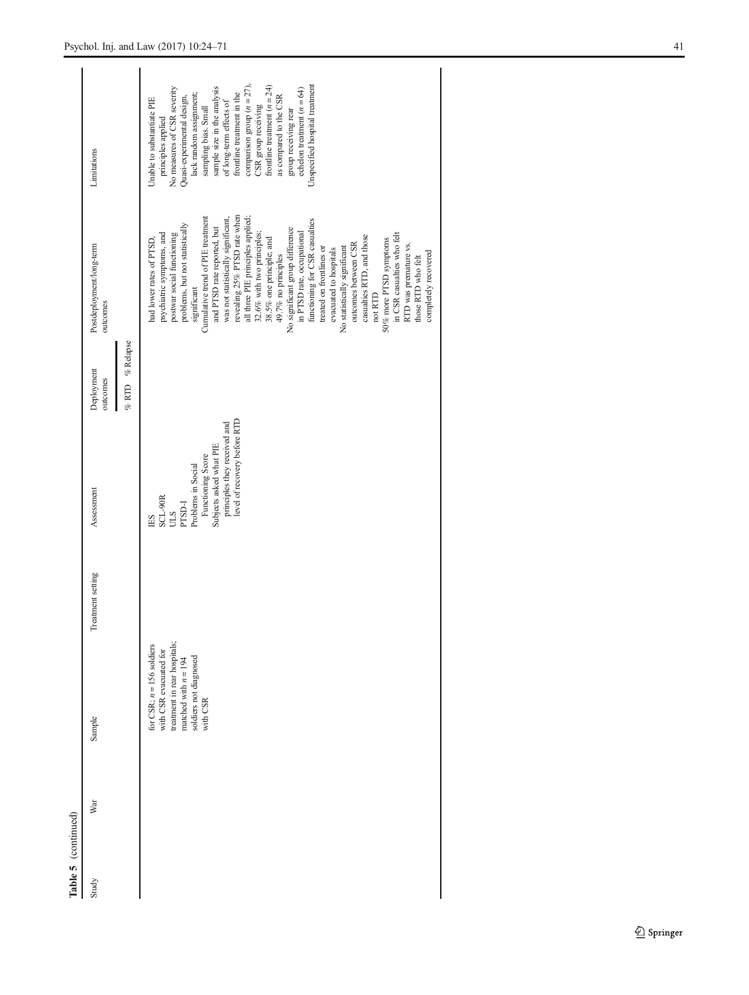| Table 5 (continued) |     |                                                                                                                                                       |                   |                                                                                                                                                                                                                          |                                                 |                                                                                                                                                                                                                                                                                                                                                                                                                                                                                                                                                                                                                                                                                                                                                                                               |                                                                                                                                                                                                                                                                                                                                                                                                                                                                        |
|---------------------|-----|-------------------------------------------------------------------------------------------------------------------------------------------------------|-------------------|--------------------------------------------------------------------------------------------------------------------------------------------------------------------------------------------------------------------------|-------------------------------------------------|-----------------------------------------------------------------------------------------------------------------------------------------------------------------------------------------------------------------------------------------------------------------------------------------------------------------------------------------------------------------------------------------------------------------------------------------------------------------------------------------------------------------------------------------------------------------------------------------------------------------------------------------------------------------------------------------------------------------------------------------------------------------------------------------------|------------------------------------------------------------------------------------------------------------------------------------------------------------------------------------------------------------------------------------------------------------------------------------------------------------------------------------------------------------------------------------------------------------------------------------------------------------------------|
| Study               | War | Sample                                                                                                                                                | Treatment setting | Assessment                                                                                                                                                                                                               | $\%$ Relapse<br>Deployment<br>outcomes<br>% RTD | Postdeployment/long-term<br>outcomes                                                                                                                                                                                                                                                                                                                                                                                                                                                                                                                                                                                                                                                                                                                                                          | Limitations                                                                                                                                                                                                                                                                                                                                                                                                                                                            |
|                     |     | treatment in rear hospitals;<br>for CSR; $n = 156$ soldiers<br>with CSR evacuated for<br>soldiers not diagnosed<br>matched with $n = 194$<br>with CSR |                   | level of recovery before RTD<br>principles they received and<br>Subjects asked what PIE<br>Functioning Score<br>Problems in Social<br>$\begin{array}{c} \text{SCL-90R} \\ \text{ULS} \\ \text{PTSD-I} \end{array}$<br>ES |                                                 | revealing 25% PTSD rate when<br>Cumulative trend of PIE treatment<br>was not statistically significant,<br>all three PIE principles applied:<br>functioning for CSR casualties<br>problems, but not statistically<br>and PTSD rate reported, but<br>No significant group difference<br>in PTSD rate, occupational<br>32.6% with two principles;<br>psychiatric symptoms, and<br>postwar social functioning<br>in CSR casualties who felt<br>casualties RTD, and those<br>had lower rates of PTSD,<br>50% more PTSD symptoms<br>38.5% one principle; and<br>outcomes between CSR<br>RTD was premature vs.<br>treated on frontlines or<br>No statistically significant<br>evacuated to hospitals<br>completely recovered<br>49.7% no principles<br>those RTD who felt<br>significant<br>not RTD | Unspecified hospital treatment<br>comparison group $(n = 27)$ .<br>frontline treatment $(n = 24)$<br>sample size in the analysis<br>No measures of CSR severity<br>echelon treatment $(n = 64)$<br>frontline treatment in the<br>lack random assignment;<br>as compared to the CSR<br>Quasi-experimental design,<br>Unable to substantiate PIE<br>of long-term effects of<br>CSR group receiving<br>sampling bias. Small<br>group receiving rear<br>principles applied |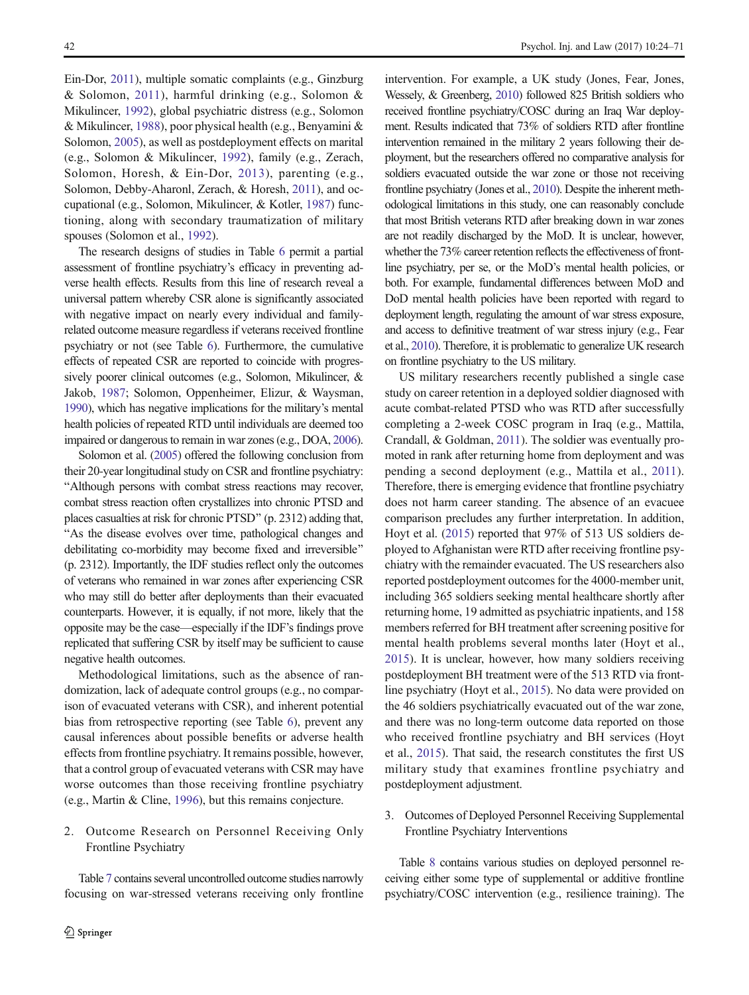Ein-Dor, [2011](#page-45-0)), multiple somatic complaints (e.g., Ginzburg & Solomon, [2011\)](#page-44-0), harmful drinking (e.g., Solomon & Mikulincer, [1992\)](#page-47-0), global psychiatric distress (e.g., Solomon & Mikulincer, [1988](#page-47-0)), poor physical health (e.g., Benyamini & Solomon, [2005](#page-44-0)), as well as postdeployment effects on marital (e.g., Solomon & Mikulincer, [1992](#page-47-0)), family (e.g., Zerach, Solomon, Horesh, & Ein-Dor, [2013](#page-47-0)), parenting (e.g., Solomon, Debby-Aharonl, Zerach, & Horesh, [2011\)](#page-47-0), and occupational (e.g., Solomon, Mikulincer, & Kotler, [1987\)](#page-47-0) functioning, along with secondary traumatization of military spouses (Solomon et al., [1992](#page-47-0)).

The research designs of studies in Table [6](#page-20-0) permit a partial assessment of frontline psychiatry's efficacy in preventing adverse health effects. Results from this line of research reveal a universal pattern whereby CSR alone is significantly associated with negative impact on nearly every individual and familyrelated outcome measure regardless if veterans received frontline psychiatry or not (see Table [6\)](#page-20-0). Furthermore, the cumulative effects of repeated CSR are reported to coincide with progressively poorer clinical outcomes (e.g., Solomon, Mikulincer, & Jakob, [1987;](#page-47-0) Solomon, Oppenheimer, Elizur, & Waysman, [1990\)](#page-47-0), which has negative implications for the military's mental health policies of repeated RTD until individuals are deemed too impaired or dangerous to remain in war zones (e.g., DOA, [2006\)](#page-44-0).

Solomon et al. [\(2005](#page-47-0)) offered the following conclusion from their 20-year longitudinal study on CSR and frontline psychiatry: "Although persons with combat stress reactions may recover, combat stress reaction often crystallizes into chronic PTSD and places casualties at risk for chronic PTSD^ (p. 2312) adding that, "As the disease evolves over time, pathological changes and debilitating co-morbidity may become fixed and irreversible" (p. 2312). Importantly, the IDF studies reflect only the outcomes of veterans who remained in war zones after experiencing CSR who may still do better after deployments than their evacuated counterparts. However, it is equally, if not more, likely that the opposite may be the case—especially if the IDF's findings prove replicated that suffering CSR by itself may be sufficient to cause negative health outcomes.

Methodological limitations, such as the absence of randomization, lack of adequate control groups (e.g., no comparison of evacuated veterans with CSR), and inherent potential bias from retrospective reporting (see Table [6](#page-20-0)), prevent any causal inferences about possible benefits or adverse health effects from frontline psychiatry. It remains possible, however, that a control group of evacuated veterans with CSR may have worse outcomes than those receiving frontline psychiatry (e.g., Martin & Cline, [1996\)](#page-46-0), but this remains conjecture.

### 2. Outcome Research on Personnel Receiving Only Frontline Psychiatry

Table [7](#page-28-0) contains several uncontrolled outcome studies narrowly focusing on war-stressed veterans receiving only frontline intervention. For example, a UK study (Jones, Fear, Jones, Wessely, & Greenberg, [2010](#page-45-0)) followed 825 British soldiers who received frontline psychiatry/COSC during an Iraq War deployment. Results indicated that 73% of soldiers RTD after frontline intervention remained in the military 2 years following their deployment, but the researchers offered no comparative analysis for soldiers evacuated outside the war zone or those not receiving frontline psychiatry (Jones et al., [2010](#page-45-0)). Despite the inherent methodological limitations in this study, one can reasonably conclude that most British veterans RTD after breaking down in war zones are not readily discharged by the MoD. It is unclear, however, whether the 73% career retention reflects the effectiveness of frontline psychiatry, per se, or the MoD's mental health policies, or both. For example, fundamental differences between MoD and DoD mental health policies have been reported with regard to deployment length, regulating the amount of war stress exposure, and access to definitive treatment of war stress injury (e.g., Fear et al., [2010](#page-44-0)). Therefore, it is problematic to generalize UK research on frontline psychiatry to the US military.

US military researchers recently published a single case study on career retention in a deployed soldier diagnosed with acute combat-related PTSD who was RTD after successfully completing a 2-week COSC program in Iraq (e.g., Mattila, Crandall, & Goldman, [2011](#page-46-0)). The soldier was eventually promoted in rank after returning home from deployment and was pending a second deployment (e.g., Mattila et al., [2011](#page-46-0)). Therefore, there is emerging evidence that frontline psychiatry does not harm career standing. The absence of an evacuee comparison precludes any further interpretation. In addition, Hoyt et al. [\(2015\)](#page-45-0) reported that 97% of 513 US soldiers deployed to Afghanistan were RTD after receiving frontline psychiatry with the remainder evacuated. The US researchers also reported postdeployment outcomes for the 4000-member unit, including 365 soldiers seeking mental healthcare shortly after returning home, 19 admitted as psychiatric inpatients, and 158 members referred for BH treatment after screening positive for mental health problems several months later (Hoyt et al., [2015\)](#page-45-0). It is unclear, however, how many soldiers receiving postdeployment BH treatment were of the 513 RTD via frontline psychiatry (Hoyt et al., [2015](#page-45-0)). No data were provided on the 46 soldiers psychiatrically evacuated out of the war zone, and there was no long-term outcome data reported on those who received frontline psychiatry and BH services (Hoyt et al., [2015](#page-45-0)). That said, the research constitutes the first US military study that examines frontline psychiatry and postdeployment adjustment.

3. Outcomes of Deployed Personnel Receiving Supplemental Frontline Psychiatry Interventions

Table [8](#page-29-0) contains various studies on deployed personnel receiving either some type of supplemental or additive frontline psychiatry/COSC intervention (e.g., resilience training). The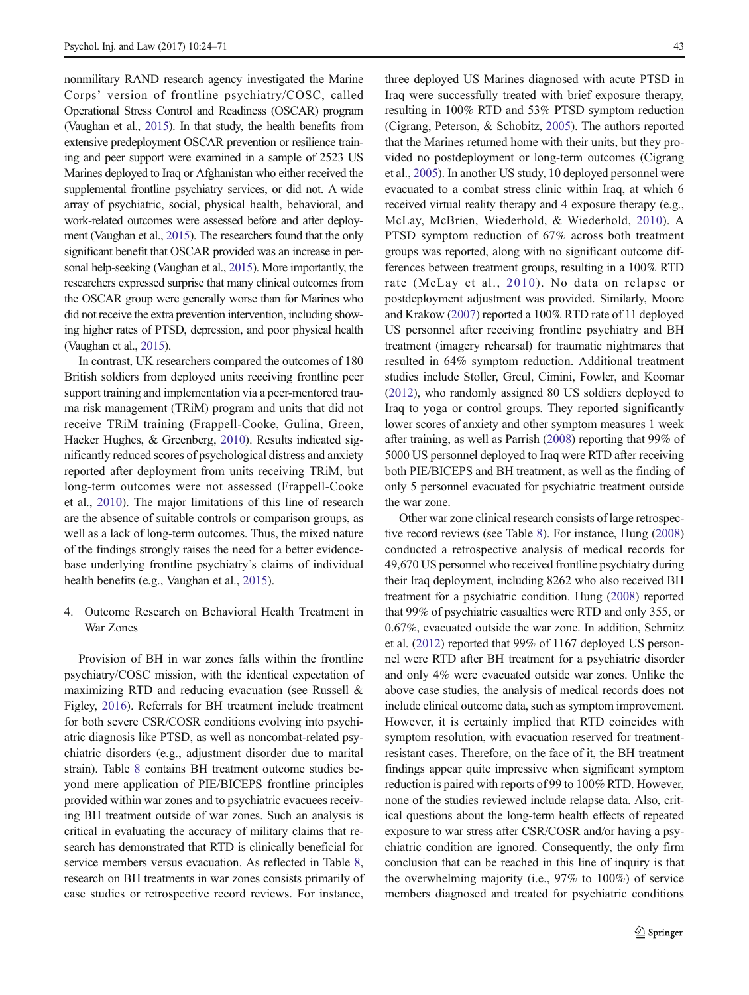nonmilitary RAND research agency investigated the Marine Corps' version of frontline psychiatry/COSC, called Operational Stress Control and Readiness (OSCAR) program (Vaughan et al., [2015](#page-47-0)). In that study, the health benefits from extensive predeployment OSCAR prevention or resilience training and peer support were examined in a sample of 2523 US Marines deployed to Iraq or Afghanistan who either received the supplemental frontline psychiatry services, or did not. A wide array of psychiatric, social, physical health, behavioral, and work-related outcomes were assessed before and after deployment (Vaughan et al., [2015\)](#page-47-0). The researchers found that the only significant benefit that OSCAR provided was an increase in personal help-seeking (Vaughan et al., [2015\)](#page-47-0). More importantly, the researchers expressed surprise that many clinical outcomes from the OSCAR group were generally worse than for Marines who did not receive the extra prevention intervention, including showing higher rates of PTSD, depression, and poor physical health (Vaughan et al., [2015\)](#page-47-0).

In contrast, UK researchers compared the outcomes of 180 British soldiers from deployed units receiving frontline peer support training and implementation via a peer-mentored trauma risk management (TRiM) program and units that did not receive TRiM training (Frappell-Cooke, Gulina, Green, Hacker Hughes, & Greenberg, [2010](#page-44-0)). Results indicated significantly reduced scores of psychological distress and anxiety reported after deployment from units receiving TRiM, but long-term outcomes were not assessed (Frappell-Cooke et al., [2010](#page-44-0)). The major limitations of this line of research are the absence of suitable controls or comparison groups, as well as a lack of long-term outcomes. Thus, the mixed nature of the findings strongly raises the need for a better evidencebase underlying frontline psychiatry's claims of individual health benefits (e.g., Vaughan et al., [2015\)](#page-47-0).

4. Outcome Research on Behavioral Health Treatment in War Zones

Provision of BH in war zones falls within the frontline psychiatry/COSC mission, with the identical expectation of maximizing RTD and reducing evacuation (see Russell & Figley, [2016\)](#page-46-0). Referrals for BH treatment include treatment for both severe CSR/COSR conditions evolving into psychiatric diagnosis like PTSD, as well as noncombat-related psychiatric disorders (e.g., adjustment disorder due to marital strain). Table [8](#page-29-0) contains BH treatment outcome studies beyond mere application of PIE/BICEPS frontline principles provided within war zones and to psychiatric evacuees receiving BH treatment outside of war zones. Such an analysis is critical in evaluating the accuracy of military claims that research has demonstrated that RTD is clinically beneficial for service members versus evacuation. As reflected in Table [8,](#page-29-0) research on BH treatments in war zones consists primarily of case studies or retrospective record reviews. For instance,

three deployed US Marines diagnosed with acute PTSD in Iraq were successfully treated with brief exposure therapy, resulting in 100% RTD and 53% PTSD symptom reduction (Cigrang, Peterson, & Schobitz, [2005\)](#page-44-0). The authors reported that the Marines returned home with their units, but they provided no postdeployment or long-term outcomes (Cigrang et al., [2005](#page-44-0)). In another US study, 10 deployed personnel were evacuated to a combat stress clinic within Iraq, at which 6 received virtual reality therapy and 4 exposure therapy (e.g., McLay, McBrien, Wiederhold, & Wiederhold, [2010\)](#page-46-0). A PTSD symptom reduction of 67% across both treatment groups was reported, along with no significant outcome differences between treatment groups, resulting in a 100% RTD rate (McLay et al., [2010](#page-46-0)). No data on relapse or postdeployment adjustment was provided. Similarly, Moore and Krakow ([2007](#page-46-0)) reported a 100% RTD rate of 11 deployed US personnel after receiving frontline psychiatry and BH treatment (imagery rehearsal) for traumatic nightmares that resulted in 64% symptom reduction. Additional treatment studies include Stoller, Greul, Cimini, Fowler, and Koomar [\(2012\)](#page-47-0), who randomly assigned 80 US soldiers deployed to Iraq to yoga or control groups. They reported significantly lower scores of anxiety and other symptom measures 1 week after training, as well as Parrish [\(2008\)](#page-46-0) reporting that 99% of 5000 US personnel deployed to Iraq were RTD after receiving both PIE/BICEPS and BH treatment, as well as the finding of only 5 personnel evacuated for psychiatric treatment outside the war zone.

Other war zone clinical research consists of large retrospective record reviews (see Table [8\)](#page-29-0). For instance, Hung [\(2008](#page-45-0)) conducted a retrospective analysis of medical records for 49,670 US personnel who received frontline psychiatry during their Iraq deployment, including 8262 who also received BH treatment for a psychiatric condition. Hung ([2008](#page-45-0)) reported that 99% of psychiatric casualties were RTD and only 355, or 0.67%, evacuated outside the war zone. In addition, Schmitz et al. ([2012](#page-46-0)) reported that 99% of 1167 deployed US personnel were RTD after BH treatment for a psychiatric disorder and only 4% were evacuated outside war zones. Unlike the above case studies, the analysis of medical records does not include clinical outcome data, such as symptom improvement. However, it is certainly implied that RTD coincides with symptom resolution, with evacuation reserved for treatmentresistant cases. Therefore, on the face of it, the BH treatment findings appear quite impressive when significant symptom reduction is paired with reports of 99 to 100% RTD. However, none of the studies reviewed include relapse data. Also, critical questions about the long-term health effects of repeated exposure to war stress after CSR/COSR and/or having a psychiatric condition are ignored. Consequently, the only firm conclusion that can be reached in this line of inquiry is that the overwhelming majority (i.e., 97% to 100%) of service members diagnosed and treated for psychiatric conditions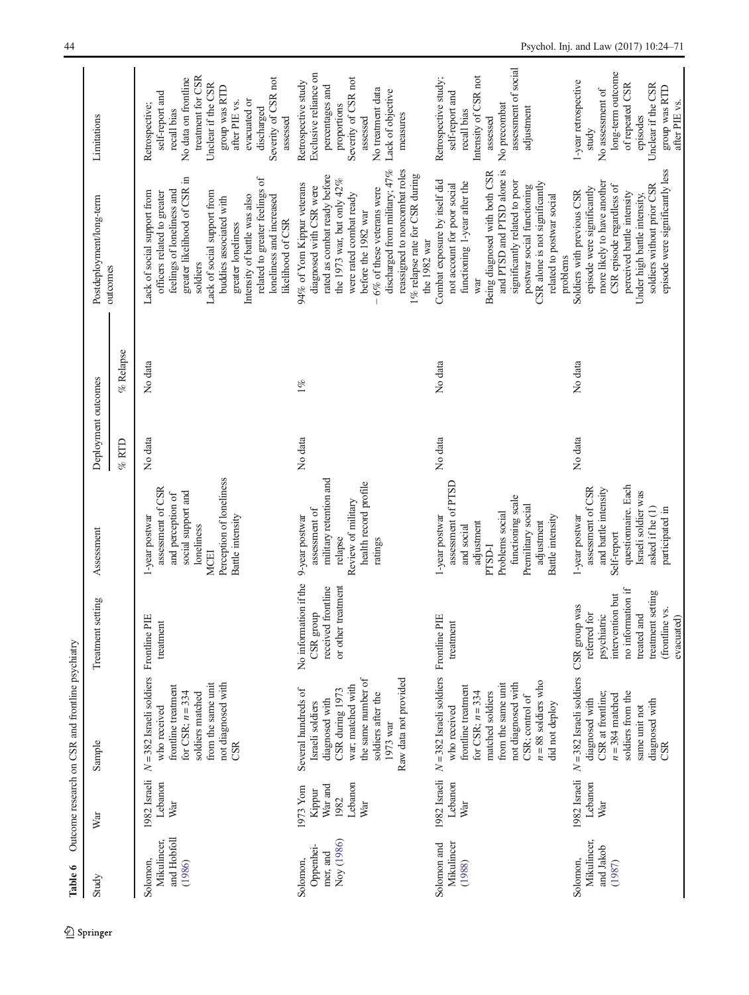<span id="page-20-0"></span>

| Study                                            | War                                                     | Sample                                                                                                                                                                                                                                       | Treatment setting                                                                                                                                         | Assessment                                                                                                                                                                 | Deployment outcomes |           | Postdeployment/long-term                                                                                                                                                                                                                                                                                                                | Limitations                                                                                                                                                                                                            |
|--------------------------------------------------|---------------------------------------------------------|----------------------------------------------------------------------------------------------------------------------------------------------------------------------------------------------------------------------------------------------|-----------------------------------------------------------------------------------------------------------------------------------------------------------|----------------------------------------------------------------------------------------------------------------------------------------------------------------------------|---------------------|-----------|-----------------------------------------------------------------------------------------------------------------------------------------------------------------------------------------------------------------------------------------------------------------------------------------------------------------------------------------|------------------------------------------------------------------------------------------------------------------------------------------------------------------------------------------------------------------------|
|                                                  |                                                         |                                                                                                                                                                                                                                              |                                                                                                                                                           |                                                                                                                                                                            | $%$ RTD             | % Relapse | outcomes                                                                                                                                                                                                                                                                                                                                |                                                                                                                                                                                                                        |
| and Hobfoll<br>Mikulincer,<br>Solomon,<br>(1986) | 1982 Israeli<br>Lebanon<br>War                          | $N = 382$ Israeli soldiers<br>not diagnosed with<br>from the same unit<br>frontline treatment<br>for CSR; $n = 334$<br>soldiers matched<br>who received<br>CSR                                                                               | PIE<br>treatment<br>Frontline                                                                                                                             | Perception of loneliness<br>assessment of CSR<br>social support and<br>and perception of<br>1-year postwar<br>Battle intensity<br>loneliness<br><b>MCEI</b>                | No data             | No data   | greater likelihood of CSR in<br>related to greater feelings of<br>feelings of loneliness and<br>Lack of social support from<br>Lack of social support from<br>officers related to greater<br>Intensity of battle was also<br>loneliness and increased<br>buddies associated with<br>likelihood of CSR<br>greater loneliness<br>soldiers | treatment for CSR<br>Severity of CSR not<br>No data on frontline<br>Unclear if the CSR<br>group was RTD<br>self-report and<br>evacuated or<br>after PIE vs.<br>Retrospective;<br>discharged<br>recall bias<br>assessed |
| Noy (1986)<br>Oppenhei-<br>mer, and<br>Solomon,  | Lebanon<br>War and<br>1973 Yom<br>Kippur<br>1982<br>War | the same number of<br>Raw data not provided<br>war; matched with<br>Several hundreds of<br>CSR during 1973<br>soldiers after the<br>diagnosed with<br>Israeli soldiers<br>1973 war                                                           | No information if the<br>or other treatment<br>received frontline<br>CSR group                                                                            | military retention and<br>health record profile<br>Review of military<br>assessment of<br>9-year postwar<br>relapse<br>ratings                                             | No data             | $1\%$     | discharged from military; 47%<br>reassigned to noncombat roles<br>1% relapse rate for CSR during<br>rated as combat ready before<br>the 1973 war, but only 42%<br>94% of Yom Kippur veterans<br>diagnosed with CSR were<br>6% of these veterans were<br>were rated combat ready<br>before the 1982 war<br>the 1982 war                  | Exclusive reliance on<br>Severity of CSR not<br>Retrospective study<br>percentages and<br>No treatment data<br>Lack of objective<br>proportions<br>measures<br>assessed                                                |
| Mikulincer<br>Solomon and<br>(1988)              | Lebanon<br>War                                          | 1982 Israeli $N = 382$ Israeli soldiers Frontline<br>$n = 88$ soldiers who<br>not diagnosed with<br>from the same unit<br>frontline treatment<br>for CSR; $n = 334$<br>matched soldiers<br>CSR; control of<br>did not deploy<br>who received | PIE<br>treatment                                                                                                                                          | assessment of PTSD<br>functioning scale<br>Premilitary social<br>Problems social<br>1-year postwar<br>Battle intensity<br>adjustment<br>adjustment<br>and social<br>PTSD-I | No data             | No data   | and PTSD and PTSD alone is<br>Being diagnosed with both CSR<br>Combat exposure by itself did<br>significantly related to poor<br>functioning 1-year after the<br>CSR alone is not significantly<br>not account for poor social<br>postwar social functioning<br>related to postwar social<br>war                                        | assessment of social<br>Intensity of CSR not<br>Retrospective study;<br>self-report and<br>No precombat<br>adjustment<br>recall bias<br>assessed                                                                       |
| Mikulincer,<br>and Jakob<br>Solomon,<br>(1987)   | Lebanon<br>War                                          | 1982 Israeli $N = 382$ Israeli soldiers<br>soldiers from the<br>CSR at frontline;<br>$n = 384$ matched<br>diagnosed with<br>diagnosed with<br>same unit not<br>CSR                                                                           | no information if<br>treatment setting<br>intervention but<br>CSR group was<br>(frontline vs.<br>referred for<br>treated and<br>psychiatric<br>evacuated) | questionnaire. Each<br>assessment of CSR<br>and battle intensity<br>Israeli soldier was<br>asked if he (1)<br>participated in<br>1-year postwar<br>Self-report             | No data             | No data   | episode were significantly less<br>more likely to have another<br>CSR episode regardless of<br>soldiers without prior CSR<br>episode were significantly<br>Soldiers with previous CSR<br>perceived battle intensity<br>Under high battle intensity,<br>problems                                                                         | long-term outcome<br>1-year retrospective<br>of repeated CSR<br>Unclear if the CSR<br>group was RTD<br>No assessment of<br>after PIE vs.<br>episodes<br>study                                                          |

Table 6 Outcome research on CSR and frontline psychiatry Table 6 Outcome research on CSR and frontline psychiatry

 $\underline{\textcircled{\tiny 2}}$  Springer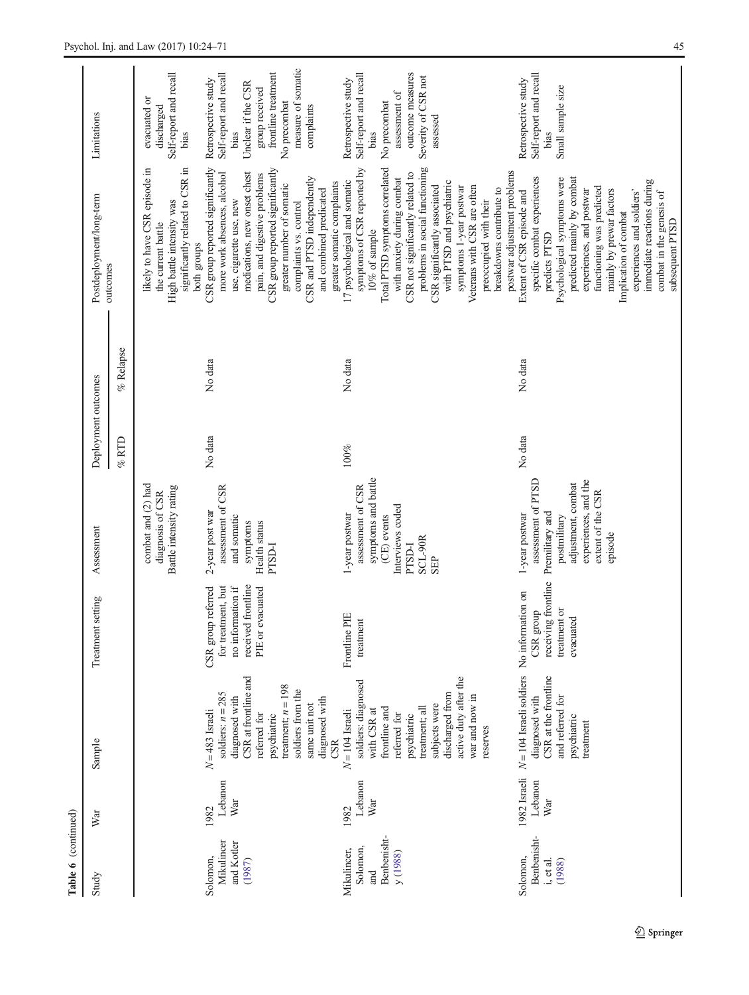| Study                                                     | War                            | Sample                                                                                                                                                                                                          | setting<br>Treatment                                                                                    | Assessment                                                                                                                                            | Deployment outcomes |           | Postdeployment/long-term                                                                                                                                                                                                                                                                                                                                                                                                                            | Limitations                                                                                                                                                              |
|-----------------------------------------------------------|--------------------------------|-----------------------------------------------------------------------------------------------------------------------------------------------------------------------------------------------------------------|---------------------------------------------------------------------------------------------------------|-------------------------------------------------------------------------------------------------------------------------------------------------------|---------------------|-----------|-----------------------------------------------------------------------------------------------------------------------------------------------------------------------------------------------------------------------------------------------------------------------------------------------------------------------------------------------------------------------------------------------------------------------------------------------------|--------------------------------------------------------------------------------------------------------------------------------------------------------------------------|
|                                                           |                                |                                                                                                                                                                                                                 |                                                                                                         |                                                                                                                                                       | $\%$ RTD            | % Relapse | outcomes                                                                                                                                                                                                                                                                                                                                                                                                                                            |                                                                                                                                                                          |
|                                                           |                                |                                                                                                                                                                                                                 |                                                                                                         | combat and (2) had<br>Battle intensity rating<br>diagnosis of CSR                                                                                     |                     |           | significantly related to CSR in<br>likely to have CSR episode in<br>High battle intensity was<br>the current battle                                                                                                                                                                                                                                                                                                                                 | Self-report and recall<br>evacuated or<br>discharged<br>bias                                                                                                             |
| Mikulincer<br>and Kotler<br>Solomon,<br>(1987)            | Lebanon<br>War<br>1982         | CSR at frontline and<br>treatment; $n = 198$<br>soldiers from the<br>soldiers: $n = 285$<br>diagnosed with<br>diagnosed with<br>same unit not<br>$N=483$ Israeli<br>referred for<br>psychiatric                 | received frontline<br>no information if<br>CSR group referred<br>for treatment, but<br>PIE or evacuated | assessment of CSR<br>2-year post war<br>and somatic<br>Health status<br>symptoms<br><b>PTSD-I</b>                                                     | No data             | No data   | CSR group reported significantly<br>CSR group reported significantly<br>medications, new onset chest<br>more work absences, alcohol<br>pain, and digestive problems<br>CSR and PTSD independently<br>greater number of somatic<br>and combined predicated<br>use, cigarette use, new<br>complaints vs. control<br>both groups                                                                                                                       | measure of somatic<br>frontline treatment<br>Self-report and recall<br>Retrospective study<br>Unclear if the CSR<br>group received<br>No precombat<br>complaints<br>bias |
| Benbenisht-<br>Solomon,<br>Mikulincer,<br>y (1988)<br>and | Lebanon<br>War<br>1982         | active duty after the<br>soldiers: diagnosed<br>discharged from<br>war and now in<br>subjects were<br>treatment; all<br>frontline and<br>with CSR at<br>$N = 104$ Israeli<br>referred for<br>psychiatric<br>CSR | Frontline PIE<br>treatment                                                                              | symptoms and battle<br>assessment of CSR<br>Interviews coded<br>1-year postwar<br>(CE) events<br>SCL-90R<br>PTSD-I<br><b>SEP</b>                      | $100\%$             | No data   | Total PTSD symptoms correlated<br>problems in social functioning<br>symptoms of CSR reported by<br>CSR not significantly related to<br>with anxiety during combat<br>17 psychological and somatic<br>greater somatic complaints<br>with PTSD and psychiatric<br>CSR significantly associated<br>Veterans with CSR are often<br>symptoms 1-year postwar<br>$10\%$ of sample                                                                          | outcome measures<br>Self-report and recall<br>Severity of CSR not<br>Retrospective study<br>assessment of<br>No precombat<br>assessed<br>bias                            |
| Benbenisht-<br>Solomon,<br>i, et al.<br>(1988)            | 1982 Israeli<br>Lebanon<br>War | $N = 104$ Israeli soldiers No information on<br>CSR at the frontline<br>and referred for<br>diagnosed with<br>psychiatric<br>treatment<br>reserves                                                              | receiving frontline<br>treatment or<br>CSR group<br>evacuated                                           | assessment of PTSD<br>experiences, and the<br>adjustment, combat<br>extent of the CSR<br>Premilitary and<br>1-year postwar<br>postmilitary<br>episode | No data             | No data   | postwar adjustment problems<br>specific combat experiences<br>predicted mainly by combat<br>Psychological symptoms were<br>immediate reactions during<br>functioning was predicted<br>breakdowns contribute to<br>experiences, and postwar<br>mainly by prewar factors<br>Extent of CSR episode and<br>experiences and soldiers'<br>combat in the genesis of<br>preoccupied with their<br>Implication of combat<br>subsequent PTSD<br>predicts PTSD | Self-report and recall<br>Retrospective study<br>Small sample size<br>bias                                                                                               |

Table 6 (continued)

Table 6 (continued)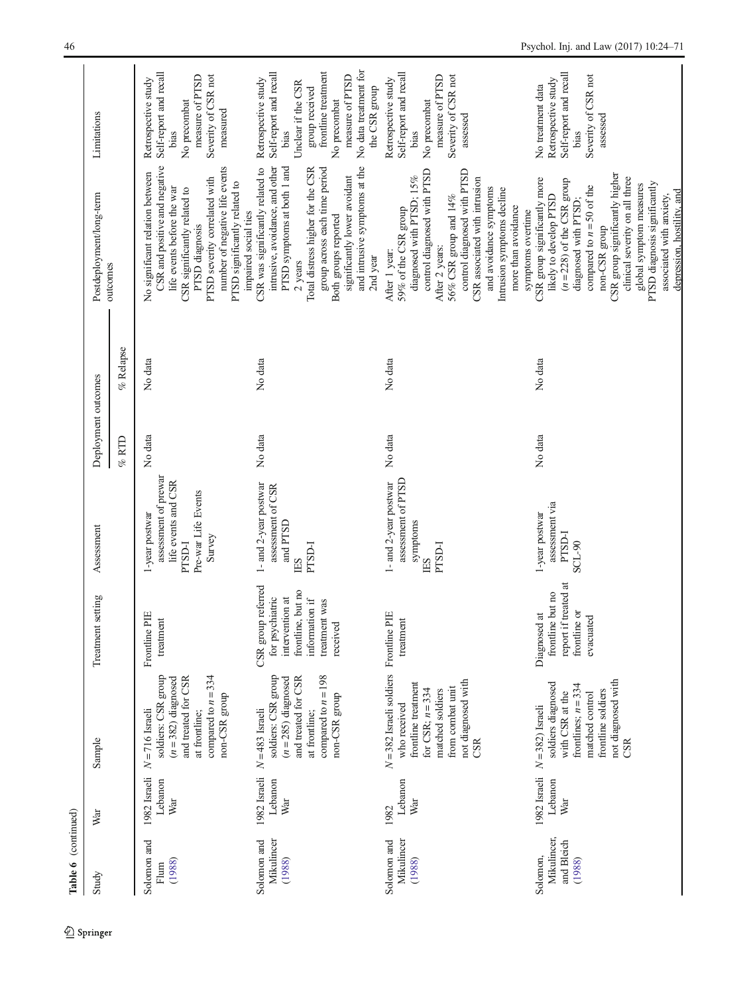| Table 6 (continued)                             |                                |                                                                                                                                                                            |                                                                                                                              |                                                                                                                 |                     |             |                                                                                                                                                                                                                                                                                                                                                                              |                                                                                                                                                                                                   |
|-------------------------------------------------|--------------------------------|----------------------------------------------------------------------------------------------------------------------------------------------------------------------------|------------------------------------------------------------------------------------------------------------------------------|-----------------------------------------------------------------------------------------------------------------|---------------------|-------------|------------------------------------------------------------------------------------------------------------------------------------------------------------------------------------------------------------------------------------------------------------------------------------------------------------------------------------------------------------------------------|---------------------------------------------------------------------------------------------------------------------------------------------------------------------------------------------------|
| Study                                           | War                            | Sample                                                                                                                                                                     | Treatment setting                                                                                                            | Assessment                                                                                                      | Deployment outcomes |             | Postdeployment/long-term                                                                                                                                                                                                                                                                                                                                                     | Limitations                                                                                                                                                                                       |
|                                                 |                                |                                                                                                                                                                            |                                                                                                                              |                                                                                                                 | $\%$ RTD            | $%$ Relapse | outcomes                                                                                                                                                                                                                                                                                                                                                                     |                                                                                                                                                                                                   |
| Solomon and<br>(1988)<br>Flum                   | 1982 Israeli<br>Lebanon<br>War | soldiers: CSR group<br>compared to $n = 334$<br>and treated for CSR<br>$(n=382)$ diagnosed<br>non-CSR group<br>$N = 716$ Israeli<br>at frontline;                          | Frontline PIE<br>treatment                                                                                                   | assessment of prewar<br>life events and CSR<br>Pre-war Life Events<br>1-year postwar<br>Survey<br><b>PTSD-I</b> | No data             | No data     | CSR and positive and negative<br>number of negative life events<br>No significant relation between<br>PTSD severity correlated with<br>PTSD significantly related to<br>life events before the war<br>CSR significantly related to<br>PTSD diagnosis                                                                                                                         | Self-report and recall<br>Severity of CSR not<br>measure of PTSD<br>Retrospective study<br>No precombat<br>measured<br>bias                                                                       |
| Solomon and<br>Mikulincer<br>(1988)             | 1982 Israeli<br>Lebanon<br>War | compared to $n = 198$<br>soldiers: CSR group<br>and treated for CSR<br>$(n = 285)$ diagnosed<br>non-CSR group<br>$N=483$ Israeli<br>at frontline;                          | CSR group referred<br>frontline, but no<br>intervention at<br>for psychiatric<br>information if<br>treatment was<br>received | 1- and 2-year postwar<br>assessment of CSR<br>and PTSD<br><b>PTSD-I</b><br>ES                                   | No data             | No data     | and intrusive symptoms at the<br>intrusive, avoidance, and other<br>CSR was significantly related to<br>PTSD symptoms at both 1 and<br>Total distress higher for the CSR<br>group across each time period<br>significantly lower avoidant<br>impaired social ties<br>Both groups reported<br>2nd year<br>2 years                                                             | No data treatment for<br>frontline treatment<br>Self-report and recall<br>measure of PTSD<br>Retrospective study<br>Unclear if the CSR<br>the CSR group<br>group received<br>No precombat<br>bias |
| Mikulincer<br>Solomon and<br>(1988)             | Lebanon<br>War<br>1982         | $N = 382$ Israeli soldiers Frontline PIE<br>not diagnosed with<br>frontline treatment<br>from combat unit<br>for CSR; $n = 334$<br>matched soldiers<br>who received<br>CSR | treatment                                                                                                                    | assessment of PTSD<br>1- and 2-year postwar<br>symptoms<br><b>PTSD-I</b><br>ES                                  | No data             | No data     | control diagnosed with PTSD<br>control diagnosed with PTSD<br>diagnosed with PTSD; 15%<br>CSR associated with intrusion<br>and avoidance symptoms<br>Intrusion symptoms decline<br>56% CSR group and 14%<br>more than avoidance<br>59% of the CSR group<br>After 2 years:<br>After 1 year:                                                                                   | Self-report and recall<br>Severity of CSR not<br>measure of PTSD<br>Retrospective study<br>No precombat<br>assessed<br>bias                                                                       |
| Mikulincer,<br>and Bleich<br>Solomon,<br>(1988) | 1982 Israeli<br>Lebanon<br>War | not diagnosed with<br>soldiers diagnosed<br>frontlines; $n = 334$<br>frontline soldiers<br>with CSR at the<br>matched control<br>$N = 382$ ) Israeli<br>CSR                | report if treated at<br>frontline but no<br>frontline or<br>Diagnosed at<br>evacuated                                        | assessment via<br>1-year postwar<br>PTSD-I<br>SCL-90                                                            | No data             | No data     | CSR group significantly higher<br>clinical severity on all three<br>CSR group significantly more<br>$(n = 228)$ of the CSR group<br>PTSD diagnosis significantly<br>global symptom measures<br>compared to $n = 50$ of the<br>depression, hostility, and<br>likely to develop PTSD<br>associated with anxiety,<br>diagnosed with PTSD;<br>symptoms overtime<br>non-CSR group | Self-report and recall<br>Severity of CSR not<br>Retrospective study<br>No treatment data<br>assessed<br>bias                                                                                     |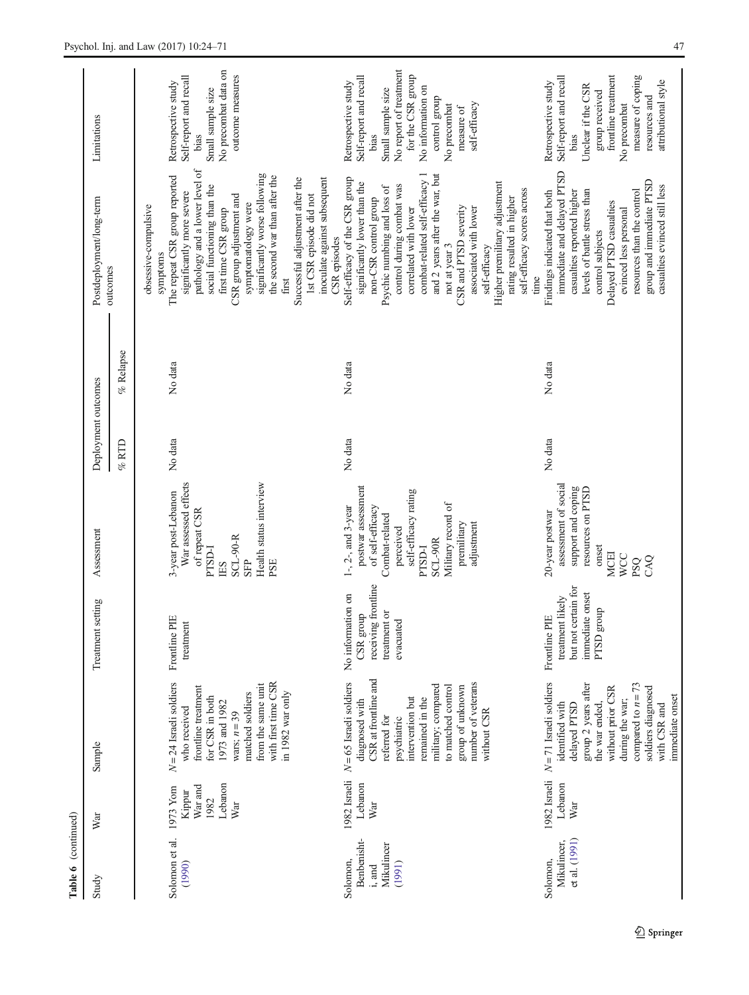| Table 6 (continued)                                       |                                                         |                                                                                                                                                                                                                                                             |                                                                                           |                                                                                                                                                                                             |                     |             |                                                                                                                                                                                                                                                                                                                                                                                                                                           |                                                                                                                                                                                                                |
|-----------------------------------------------------------|---------------------------------------------------------|-------------------------------------------------------------------------------------------------------------------------------------------------------------------------------------------------------------------------------------------------------------|-------------------------------------------------------------------------------------------|---------------------------------------------------------------------------------------------------------------------------------------------------------------------------------------------|---------------------|-------------|-------------------------------------------------------------------------------------------------------------------------------------------------------------------------------------------------------------------------------------------------------------------------------------------------------------------------------------------------------------------------------------------------------------------------------------------|----------------------------------------------------------------------------------------------------------------------------------------------------------------------------------------------------------------|
| Study                                                     | War                                                     | Sample                                                                                                                                                                                                                                                      | setting<br>Treatment                                                                      | Assessment                                                                                                                                                                                  | Deployment outcomes |             | Postdeployment/long-term                                                                                                                                                                                                                                                                                                                                                                                                                  | Limitations                                                                                                                                                                                                    |
|                                                           |                                                         |                                                                                                                                                                                                                                                             |                                                                                           |                                                                                                                                                                                             | $\%$ RTD            | $%$ Relapse | outcomes                                                                                                                                                                                                                                                                                                                                                                                                                                  |                                                                                                                                                                                                                |
| Solomon et al.<br>(1990)                                  | Lebanon<br>War and<br>1973 Yom<br>Kippur<br>1982<br>War | with first time CSR<br>$N = 24$ Israeli soldiers<br>from the same unit<br>frontline treatment<br>in 1982 war only<br>matched soldiers<br>for CSR in both<br>1973 and 1982<br>who received<br>wars; $n = 39$                                                 | Frontline PIE<br>treatment                                                                | Health status interview<br>War assessed effects<br>3-year post-Lebanon<br>of repeat CSR<br><b>SCL-90-R</b><br><b>FTSD-I</b><br><b>SFP</b><br>PSE<br>LES                                     | No data             | No data     | pathology and a lower level of<br>significantly worse following<br>The repeat CSR group reported<br>the second war than after the<br>inoculate against subsequent<br>Successful adjustment after the<br>social functioning than the<br>significantly more severe<br>CSR group adjustment and<br>1st CSR episode did not<br>symptomatology were<br>obsessive-compulsive<br>first time CSR group<br>CSR episodes<br>symptoms<br>first       | No precombat data on<br>outcome measures<br>Self-report and recall<br>Retrospective study<br>Small sample size<br>bias                                                                                         |
| Benbenisht-<br>Mikulincer<br>Solomon,<br>(1991)<br>i, and | Lebanon<br>War                                          | CSR at frontline and<br>1982 Israeli $N = 65$ Israeli soldiers<br>number of veterans<br>military; compared<br>to matched control<br>group of unknown<br>intervention but<br>remained in the<br>diagnosed with<br>without CSR<br>referred for<br>psychiatric | receiving frontline<br>No information on<br>treatment or<br>CSR group<br>evacuated        | postwar assessment<br>self-efficacy rating<br>Military record of<br>1-, 2-, and 3-year<br>of self-efficacy<br>Combat-related<br>adjustment<br>premilitary<br>perceived<br>SCL-90R<br>PTSD-I | No data             | No data     | combat-related self-efficacy 1<br>and 2 years after the war, but<br>Self-efficacy of the CSR group<br>Higher premilitary adjustment<br>significantly lower than the<br>control during combat was<br>Psychic numbing and loss of<br>self-efficacy scores across<br>rating resulted in higher<br>non-CSR control group<br>associated with lower<br>correlated with lower<br>CSR and PTSD severity<br>not at year 3<br>self-efficacy<br>time | No report of treatment<br>for the CSR group<br>Self-report and recall<br>Retrospective study<br>No information on<br>Small sample size<br>control group<br>self-efficacy<br>No precombat<br>measure of<br>bias |
| et al. (1991)<br>Mikulincer,<br>Solomon,                  | 1982 Israeli<br>Lebanon<br>War                          | $N = 71$ Israeli soldiers<br>compared to $n = 73$<br>group 2 years after<br>soldiers diagnosed<br>without prior CSR<br>immediate onset<br>during the war;<br>identified with<br>delayed PTSD<br>the war ended.<br>with CSR and                              | but not certain for<br>immediate onset<br>treatment likely<br>PTSD group<br>Frontline PIE | assessment of social<br>support and coping<br>resources on PTSD<br>20-year postwar<br>onset<br><b>MCEI</b><br><b>WCC</b><br>CAQ<br><b>PSQ</b>                                               | No data             | No data     | immediate and delayed PTSD<br>group and immediate PTSD<br>casualties evinced still less<br>levels of battle stress than<br>resources than the control<br>Findings indicated that both<br>casualties reported higher<br>Delayed PTSD casualties<br>evinced less personal<br>control subjects                                                                                                                                               | measure of coping<br>Self-report and recall<br>frontline treatment<br>attributional style<br>Retrospective study<br>Unclear if the CSR<br>group received<br>resources and<br>No precombat<br>bias              |

 $\underline{\textcircled{\tiny 2}}$  Springer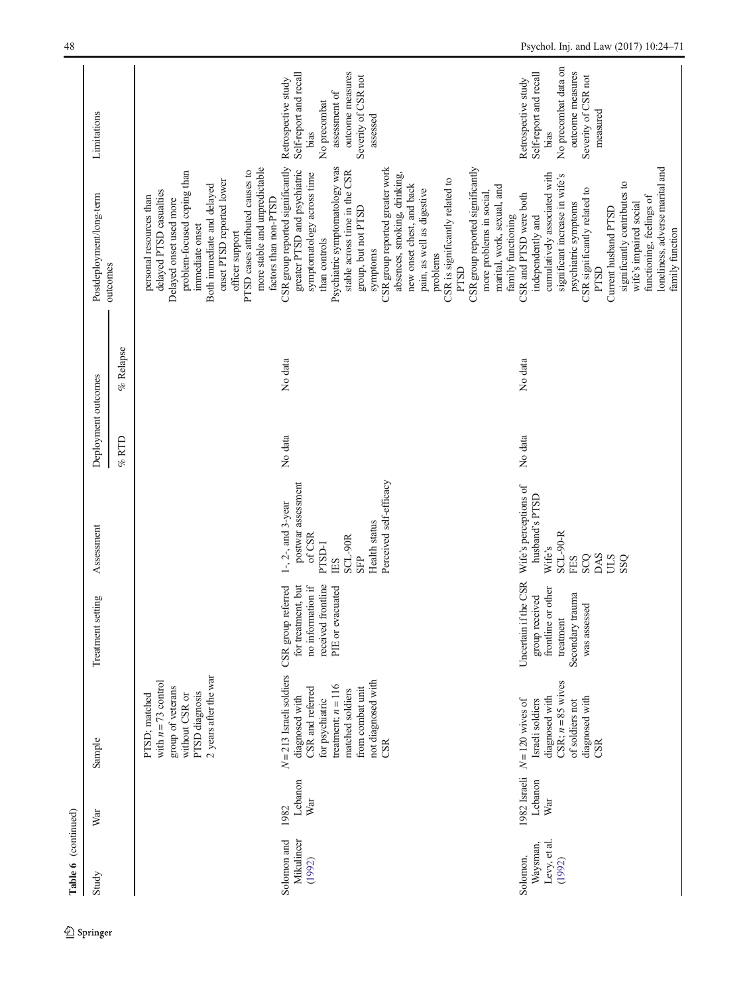| Table 6 (continued)                            |                                |                                                                                                                                                                                  |                                                                                                               |                                                                                                                                       |                     |             |                                                                                                                                                                                                                                                                                                                                                                                                                                                                              |                                                                                                                                               |
|------------------------------------------------|--------------------------------|----------------------------------------------------------------------------------------------------------------------------------------------------------------------------------|---------------------------------------------------------------------------------------------------------------|---------------------------------------------------------------------------------------------------------------------------------------|---------------------|-------------|------------------------------------------------------------------------------------------------------------------------------------------------------------------------------------------------------------------------------------------------------------------------------------------------------------------------------------------------------------------------------------------------------------------------------------------------------------------------------|-----------------------------------------------------------------------------------------------------------------------------------------------|
| Study                                          | War                            | Sample                                                                                                                                                                           | Treatment setting                                                                                             | Assessment                                                                                                                            | Deployment outcomes |             | Postdeployment/long-term                                                                                                                                                                                                                                                                                                                                                                                                                                                     | Limitations                                                                                                                                   |
|                                                |                                |                                                                                                                                                                                  |                                                                                                               |                                                                                                                                       | $\%$ RTD            | $%$ Relapse | outcomes                                                                                                                                                                                                                                                                                                                                                                                                                                                                     |                                                                                                                                               |
|                                                |                                | 2 years after the war<br>with $n = 73$ control<br>group of veterans<br>PTSD diagnosis<br>PTSD; matched<br>without CSR or                                                         |                                                                                                               |                                                                                                                                       |                     |             | more stable and unpredictable<br>PTSD cases attributed causes to<br>problem-focused coping than<br>onset PTSD reported lower<br>Both immediate and delayed<br>delayed PTSD casualties<br>personal resources than<br>Delayed onset used more<br>immediate onset<br>officer support                                                                                                                                                                                            |                                                                                                                                               |
| Mikulincer<br>Solomon and<br>(1992)            | Lebanon<br>War<br>1982         | $N = 213$ Israeli soldiers<br>not diagnosed with<br>treatment; $n = 116$<br>from combat unit<br>CSR and referred<br>matched soldiers<br>diagnosed with<br>for psychiatric<br>CSR | received frontline<br>for treatment, but<br>no information if<br>CSR group referred<br>PIE or evacuated       | Perceived self-efficacy<br>postwar assessment<br>$1-, 2-,$ and $3$ -year<br>Health status<br>of CSR<br>SCL-90R<br>PTSD-I<br>SFP<br>ES | No data             | No data     | CSR group reported significantly<br>Psychiatric symptomatology was<br>CSR group reported greater work<br>greater PTSD and psychiatric<br>stable across time in the CSR<br>absences, smoking, drinking,<br>symptomatology across time<br>CSR is significantly related to<br>new onset chest, and back<br>pain, as well as digestive<br>factors than non-PTSD<br>group, but not PTSD<br>than controls<br>symptoms<br>problems                                                  | outcome measures<br>Self-report and recall<br>Severity of CSR not<br>Retrospective study<br>assessment of<br>No precombat<br>assessed<br>bias |
| Levy, et al.<br>Waysman,<br>Solomon,<br>(1992) | 1982 Israeli<br>Lebanon<br>War | CSR; $n = 85$ wives<br>diagnosed with<br>diagnosed with<br>$N = 120$ wives of<br>Israeli soldiers<br>of soldiers not<br>CSR                                                      | Uncertain if the CSR<br>frontline or other<br>Secondary trauma<br>group received<br>was assessed<br>treatment | Wife's perceptions of<br>husband's PTSD<br>$SCL-90-R$<br>Wife's<br>DAS<br>SCQ<br><b>USS</b><br>FES                                    | No data             | No data     | loneliness, adverse marital and<br>CSR group reported significantly<br>cumulatively associated with<br>significant increase in wife's<br>significantly contributes to<br>marital, work, sexual, and<br>CSR significantly related to<br>more problems in social<br>CSR and PTSD were both<br>functioning, feelings of<br>psychiatric symptoms<br>wife's impaired social<br>Current husband PTSD<br>family functioning<br>independently and<br>family function<br>PTSD<br>PTSD | No precombat data on<br>outcome measures<br>Self-report and recall<br>Severity of CSR not<br>Retrospective study<br>measured<br>bias          |

 $\underline{\textcircled{\tiny 2}}$  Springer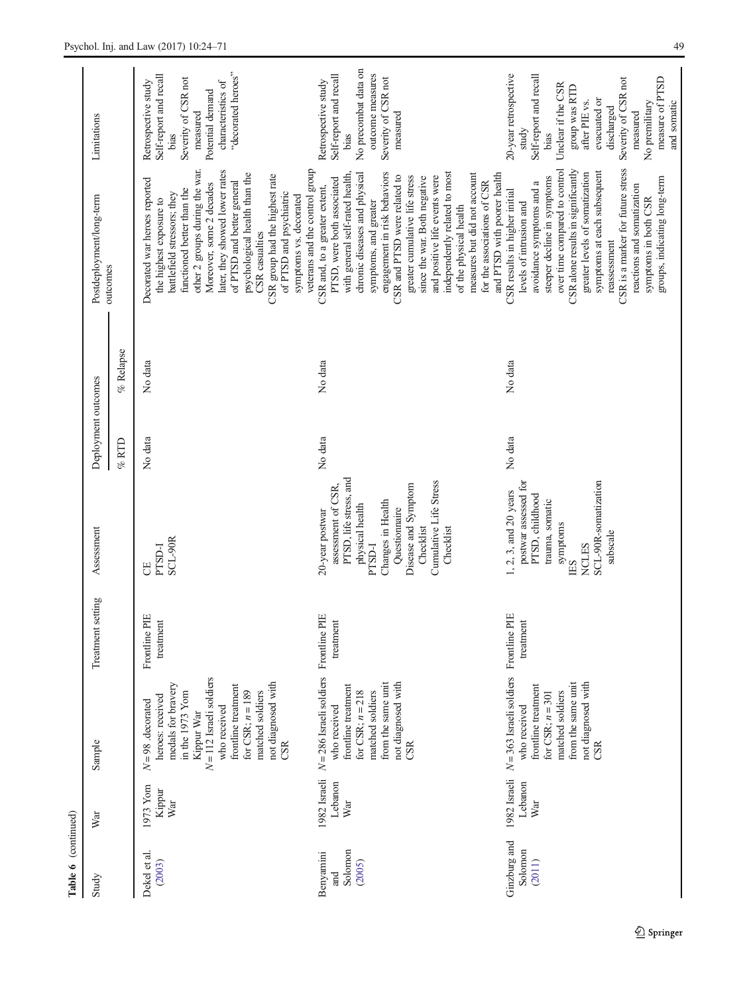| Table 6 (continued)                   |                                |                                                                                                                                                                                                                                           |                            |                                                                                                                                                                                                                      |                     |           |                                                                                                                                                                                                                                                                                                                                                                                                                                                                                      |                                                                                                                                                                                                                                               |
|---------------------------------------|--------------------------------|-------------------------------------------------------------------------------------------------------------------------------------------------------------------------------------------------------------------------------------------|----------------------------|----------------------------------------------------------------------------------------------------------------------------------------------------------------------------------------------------------------------|---------------------|-----------|--------------------------------------------------------------------------------------------------------------------------------------------------------------------------------------------------------------------------------------------------------------------------------------------------------------------------------------------------------------------------------------------------------------------------------------------------------------------------------------|-----------------------------------------------------------------------------------------------------------------------------------------------------------------------------------------------------------------------------------------------|
| Study                                 | War                            | Sample                                                                                                                                                                                                                                    | setting<br>Treatment       | Assessment                                                                                                                                                                                                           | Deployment outcomes |           | Postdeployment/long-term                                                                                                                                                                                                                                                                                                                                                                                                                                                             | Limitations                                                                                                                                                                                                                                   |
|                                       |                                |                                                                                                                                                                                                                                           |                            |                                                                                                                                                                                                                      | $%$ RTD             | % Relapse | outcomes                                                                                                                                                                                                                                                                                                                                                                                                                                                                             |                                                                                                                                                                                                                                               |
| Dekel et al.<br>(2003)                | 1973 Yom<br>Kippur<br>War      | $N = 112$ Israeli soldiers<br>not diagnosed with<br>medals for bravery<br>frontline treatment<br>for CSR; $n = 189$<br>in the 1973 Yom<br>matched soldiers<br>heroes: received<br>$N=98$ . decorated<br>who received<br>Kippur War<br>CSR | Frontline PIE<br>treatment | SCL-90R<br>PTSD-I<br>5                                                                                                                                                                                               | No data             | No data   | veterans and the control group<br>other 2 groups during the war.<br>later, they showed lower rates<br>psychological health than the<br>CSR group had the highest rate<br>Decorated war heroes reported<br>of PTSD and better general<br>Moreover, some 2 decades<br>functioned better than the<br>of PTSD and psychiatric<br>battlefield stressors; they<br>symptoms vs. decorated<br>the highest exposure to<br>CSR casualties                                                      | "decorated heroes"<br>Self-report and recall<br>Severity of CSR not<br>characteristics of<br>Retrospective study<br>Potential demand<br>measured<br>bias                                                                                      |
| Solomon<br>Benyamini<br>(2005)<br>and | 1982 Israeli<br>Lebanon<br>War | $N = 286$ Israeli soldiers Frontline PIE<br>not diagnosed with<br>from the same unit<br>frontline treatment<br>for CSR; $n = 218$<br>matched soldiers<br>who received<br>CSR                                                              | treatment                  | PTSD, life stress, and<br>Cumulative Life Stress<br>Disease and Symptom<br>assessment of CSR.<br>Changes in Health<br>physical health<br>Questionnaire<br>20-year postwar<br>Checklist<br>Checklist<br><b>PTSD-I</b> | No data             | No data   | engagement in risk behaviors<br>independently related to most<br>and PTSD with poorer health<br>chronic diseases and physical<br>measures but did not account<br>with general self-rated health,<br>CSR and PTSD were related to<br>and positive life events were<br>greater cumulative life stress<br>since the war. Both negative<br>PTSD, were both associated<br>for the associations of CSR<br>CSR and, to a greater extent,<br>symptoms, and greater<br>of the physical health | No precombat data on<br>outcome measures<br>Self-report and recall<br>Severity of CSR not<br>Retrospective study<br>measured<br>bias                                                                                                          |
| Ginzburg and<br>Solomon<br>(2011)     | 1982 Israeli<br>Lebanon<br>War | $N = 363$ Israeli soldiers Frontline PIE<br>not diagnosed with<br>from the same unit<br>frontline treatment<br>matched soldiers<br>for CSR; $n = 301$<br>who received<br>CSR                                                              | treatment                  | postwar assessed for<br>SCL-90R-somatization<br>1, 2, 3, and 20 years<br>PTSD, childhood<br>trauma, somatic<br>symptoms<br>subscale<br><b>NCLES</b><br>ES                                                            | No data             | No data   | CSR is a marker for future stress<br>over time compared to control<br>CSR alone results in significantly<br>symptoms at each subsequent<br>greater levels of somatization<br>steeper decline in symptoms<br>groups, indicating long-term<br>avoidance symptoms and a<br>reactions and somatization<br>CSR results in higher initial<br>symptoms in both CSR<br>levels of intrusion and<br>reassessment                                                                               | 20-year retrospective<br>Self-report and recall<br>Severity of CSR not<br>measure of PTSD<br>Unclear if the CSR<br>group was RTD<br>evacuated or<br>after PIE vs.<br>and somatic<br>No premilitary<br>discharged<br>measured<br>study<br>bias |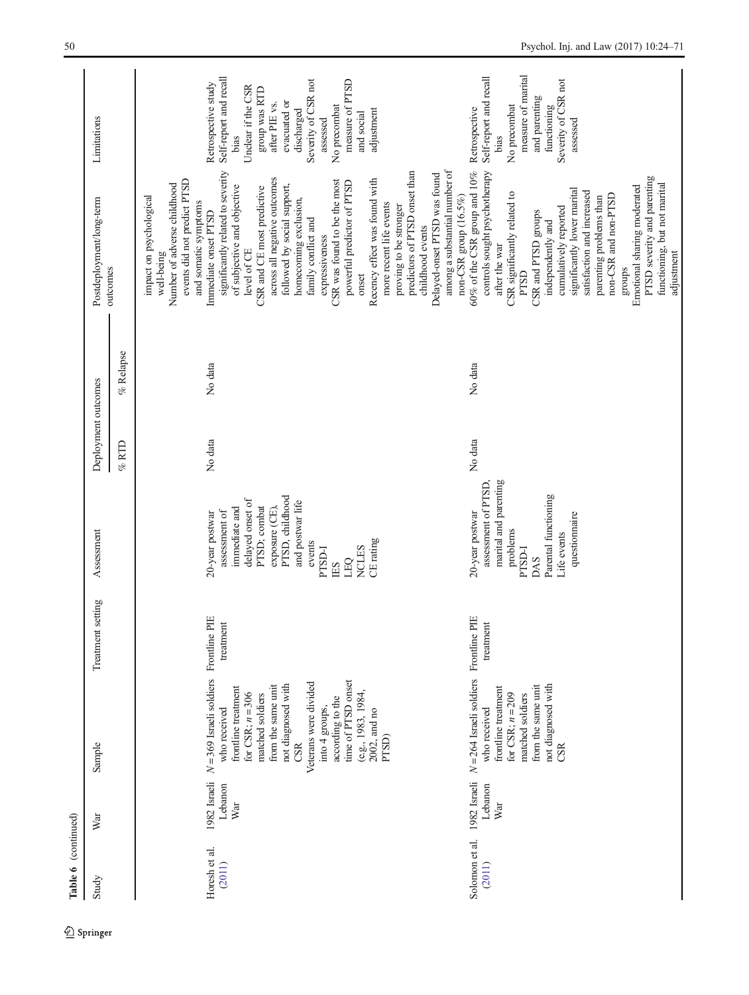| Study                    | War                            | Sample                                                                                                                                                                                                                                                                                             | setting<br>Treatment       | Assessment                                                                                                                                                                                                          | Deployment outcomes |           | Postdeployment/long-term                                                                                                                                                                                                                                                                                                                                                                                                                                                                                                                                                                                                                                                                 | Limitations                                                                                                                                                                                                                                   |
|--------------------------|--------------------------------|----------------------------------------------------------------------------------------------------------------------------------------------------------------------------------------------------------------------------------------------------------------------------------------------------|----------------------------|---------------------------------------------------------------------------------------------------------------------------------------------------------------------------------------------------------------------|---------------------|-----------|------------------------------------------------------------------------------------------------------------------------------------------------------------------------------------------------------------------------------------------------------------------------------------------------------------------------------------------------------------------------------------------------------------------------------------------------------------------------------------------------------------------------------------------------------------------------------------------------------------------------------------------------------------------------------------------|-----------------------------------------------------------------------------------------------------------------------------------------------------------------------------------------------------------------------------------------------|
|                          |                                |                                                                                                                                                                                                                                                                                                    |                            |                                                                                                                                                                                                                     | $%$ RTD             | % Relapse | outcomes                                                                                                                                                                                                                                                                                                                                                                                                                                                                                                                                                                                                                                                                                 |                                                                                                                                                                                                                                               |
| Horesh et al.<br>(2011)  | 1982 Israeli<br>Lebanon<br>War | $N = 369$ Israeli soldiers<br>time of PTSD onset<br>Veterans were divided<br>not diagnosed with<br>from the same unit<br>frontline treatment<br>(e.g., 1983, 1984,<br>for CSR; $n = 306$<br>matched soldiers<br>according to the<br>into 4 groups,<br>who received<br>2002, and no<br>PTSD)<br>CSR | Frontline PIE<br>treatment | PTSD, childhood<br>delayed onset of<br>and postwar life<br>PTSD; combat<br>immediate and<br>exposure (CE),<br>assessment of<br>20-year postwar<br>CE rating<br>events<br><b>NCLES</b><br><b>PTSD-I</b><br>LEO<br>ES | No data             | No data   | among a substantial number of<br>predictors of PTSD onset than<br>significantly related to severity<br>Delayed-onset PTSD was found<br>across all negative outcomes<br>events did not predict PTSD<br>Recency effect was found with<br>CSR was found to be the most<br>powerful predictor of PTSD<br>Number of adverse childhood<br>followed by social support,<br>of subjective and objective<br>CSR and CE most predictive<br>impact on psychological<br>homecoming exclusion,<br>and somatic symptoms<br>more recent life events<br>proving to be stronger<br>Immediate onset PTSD<br>family conflict and<br>childhood events<br>expressiveness<br>level of CE<br>well-being<br>onset | Self-report and recall<br>Severity of CSR not<br>measure of PTSD<br>Retrospective study<br>Unclear if the CSR<br>group was RTD<br>evacuated or<br>after PIE vs.<br>No precombat<br>discharged<br>adjustment<br>and social<br>assessed<br>bias |
| Solomon et al.<br>(2011) | 1982 Israeli<br>Lebanon<br>War | $N = 264$ Israeli soldiers<br>not diagnosed with<br>from the same unit<br>frontline treatment<br>for CSR; $n = 209$<br>matched soldiers<br>who received<br>CSR                                                                                                                                     | Frontline PIE<br>treatment | marital and parenting<br>assessment of PTSD.<br>Parental functioning<br>20-year postwar<br>questionnaire<br>problems<br>Life events<br><b>PTSD-I</b><br>DAS                                                         | No data             | No data   | controls sought psychotherapy<br>$60\%$ of the CSR group and $10\%$<br>PTSD severity and parenting<br>functioning, but not marital<br>Emotional sharing moderated<br>significantly lower marital<br>satisfaction and increased<br>CSR significantly related to<br>non-CSR and non-PTSD<br>non-CSR group (16.5%)<br>parenting problems than<br>cumulatively reported<br>CSR and PTSD groups<br>independently and<br>after the war<br>adjustment<br>groups<br>PTSD                                                                                                                                                                                                                         | measure of marital<br>Self-report and recall<br>Severity of CSR not<br>and parenting<br>No precombat<br>functioning<br>Retrospective<br>assessed<br>bias                                                                                      |

 $\underline{\textcircled{\tiny 2}}$  Springer

Table 6 (continued)

Table 6 (continued)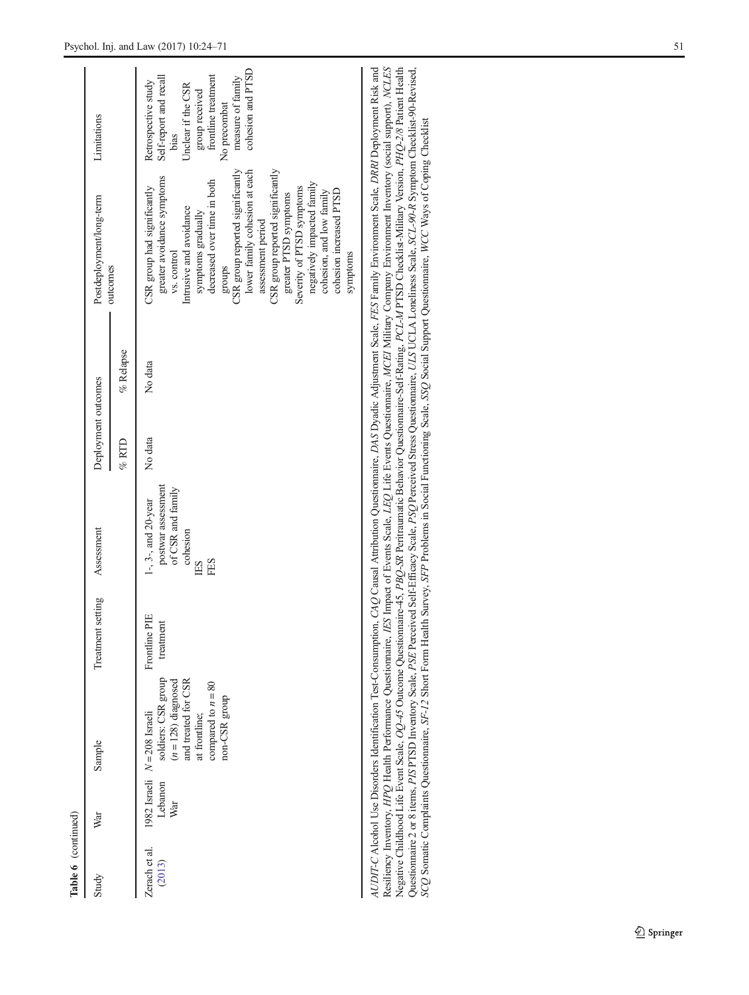| Table 6 (continued)     |                |                                                                                                                                                                 |                                |                                                                                              |                     |              |                                                                                                                                                                                                                                                                                                                                                                                                                                                          |                                                                                                                                                                                |
|-------------------------|----------------|-----------------------------------------------------------------------------------------------------------------------------------------------------------------|--------------------------------|----------------------------------------------------------------------------------------------|---------------------|--------------|----------------------------------------------------------------------------------------------------------------------------------------------------------------------------------------------------------------------------------------------------------------------------------------------------------------------------------------------------------------------------------------------------------------------------------------------------------|--------------------------------------------------------------------------------------------------------------------------------------------------------------------------------|
| Study                   | War            | Sample                                                                                                                                                          | Treatment setting              | Assessment                                                                                   | Deployment outcomes |              | Postdeployment/long-term                                                                                                                                                                                                                                                                                                                                                                                                                                 | Limitations                                                                                                                                                                    |
|                         |                |                                                                                                                                                                 |                                |                                                                                              | $\%$ RTD            | $\%$ Relapse | outcomes                                                                                                                                                                                                                                                                                                                                                                                                                                                 |                                                                                                                                                                                |
| Zerach et al.<br>(2013) | Lebanon<br>War | soldiers: CSR group<br>and treated for CSR<br>$(n = 128)$ diagnosed<br>compared to $n = 80$<br>non-CSR group<br>at frontline;<br>1982 Israeli $N = 208$ Israeli | ΗF<br>treatment<br>Frontline I | postwar assessment<br>of CSR and family<br>$1-, 3-,$ and $20$ -year<br>cohesion<br>FES<br>ES | No data             | No data      | CSR group reported significantly<br>lower family cohesion at each<br>CSR group reported significantly<br>greater avoidance symptoms<br>decreased over time in both<br>negatively impacted family<br>CSR group had significantly<br>Severity of PTSD symptoms<br>cohesion increased PTSD<br>cohesion, and low family<br>greater PTSD symptoms<br>Intrusive and avoidance<br>symptoms gradually<br>assessment period<br>vs. control<br>symptoms<br>sdno.fa | cohesion and PTSD<br>measure of family<br>Self-report and recall<br>group received<br>frontline treatment<br>Retrospective study<br>Unclear if the CSR<br>No precombat<br>bias |

| AUDIT-C Alcohol Use Disorders Identification Test-Consumption, CAQ Causal Attribution Questionnaire, DAS Dyadic Adjustment Scale, FES Family Environment Scale, DRNI Deployment Risk and | Assiliency Inventory, HPQ Health Performance Questionnaire, IES Impact of Events Scale, LEQ Life Events Questionnaire, MCEI Military Company Environment Inventory (social support), NCLES | Negative Childhood Life Event Scale, OQ-45 Outcome Questionnaire-45, PBQ-SR Peritraumatic Behavior Questionnaire-Self-Rating, PCL-M PTSD Checklist-Military Version, PHQ-2/8 Patient Health | Questionnaire 2 or 8 items, PIS PTSD Inventory Scale, PSE Perceived Self-Efficacy Scale, PSQ Perceived Stress Questionnaire, ULS UCLA Loneliness Scale, SCL-90-R Symptom Checklist-90-Revised, | SCQ Somatic Complaints Questionnaire, SF-12 Short Form Health Survey, SFP Problems in Social Functioning Scale, SSQ Social Support Questionnaire, WCC Ways of Coping Checklist |
|------------------------------------------------------------------------------------------------------------------------------------------------------------------------------------------|--------------------------------------------------------------------------------------------------------------------------------------------------------------------------------------------|---------------------------------------------------------------------------------------------------------------------------------------------------------------------------------------------|------------------------------------------------------------------------------------------------------------------------------------------------------------------------------------------------|--------------------------------------------------------------------------------------------------------------------------------------------------------------------------------|
|                                                                                                                                                                                          |                                                                                                                                                                                            |                                                                                                                                                                                             |                                                                                                                                                                                                |                                                                                                                                                                                |
|                                                                                                                                                                                          |                                                                                                                                                                                            |                                                                                                                                                                                             |                                                                                                                                                                                                |                                                                                                                                                                                |
|                                                                                                                                                                                          |                                                                                                                                                                                            |                                                                                                                                                                                             |                                                                                                                                                                                                |                                                                                                                                                                                |

 $\underline{\textcircled{\tiny 2}}$  Springer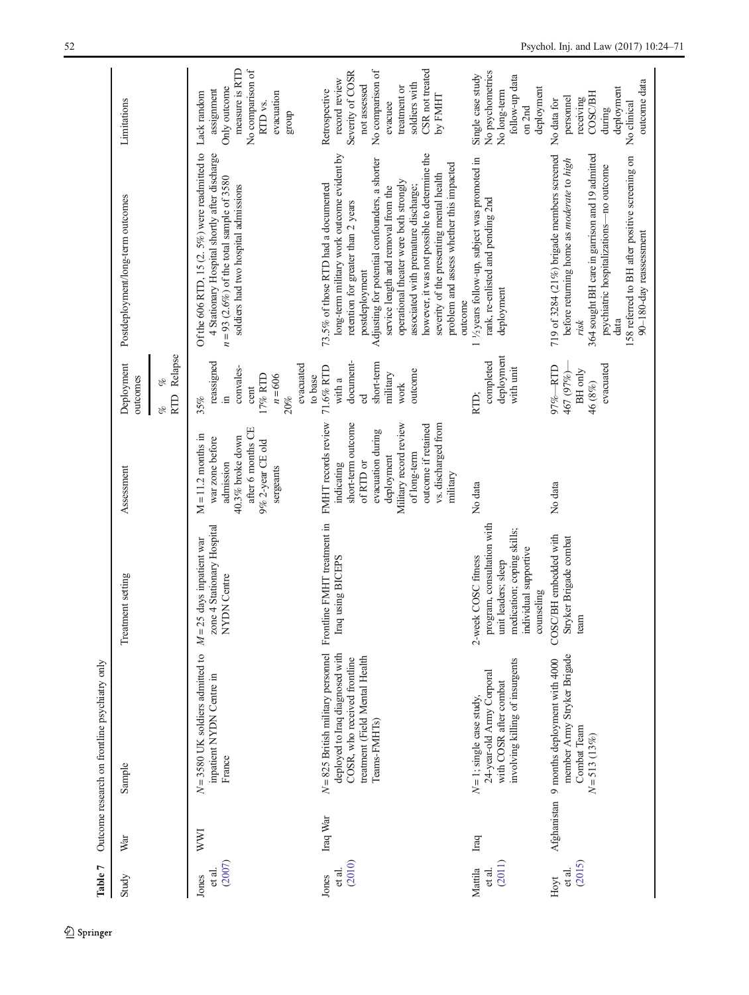<span id="page-28-0"></span>

| Table 7                     |               | Outcome research on frontline psychiatry only                                                                                                             |                                                                                                                                               |                                                                                                                                                                                                             |                                                                                                        |                                                                                                                                                                                                                                                                                                                                                                                                                                                                          |                                                                                                                                                                  |
|-----------------------------|---------------|-----------------------------------------------------------------------------------------------------------------------------------------------------------|-----------------------------------------------------------------------------------------------------------------------------------------------|-------------------------------------------------------------------------------------------------------------------------------------------------------------------------------------------------------------|--------------------------------------------------------------------------------------------------------|--------------------------------------------------------------------------------------------------------------------------------------------------------------------------------------------------------------------------------------------------------------------------------------------------------------------------------------------------------------------------------------------------------------------------------------------------------------------------|------------------------------------------------------------------------------------------------------------------------------------------------------------------|
| Study                       | War           | Sample                                                                                                                                                    | Treatment setting                                                                                                                             | Assessment                                                                                                                                                                                                  | Deployment<br>outcomes                                                                                 | Postdeployment/long-term outcomes                                                                                                                                                                                                                                                                                                                                                                                                                                        | Limitations                                                                                                                                                      |
|                             |               |                                                                                                                                                           |                                                                                                                                               |                                                                                                                                                                                                             | Relapse<br>$\mathcal{O}_{\!\!\mathcal{O}}$<br><b>RTD</b><br>of                                         |                                                                                                                                                                                                                                                                                                                                                                                                                                                                          |                                                                                                                                                                  |
| (2007)<br>et al.<br>Jones   | WWI           | $N = 3580$ UK soldiers admitted to<br>inpatient NYDN Centre in<br>France                                                                                  | zone 4 Stationary Hospital<br>$M = 25$ days inpatient war<br>NYDN Centre                                                                      | after 6 months CE<br>$M = 11.2$ months in<br>$40.3\%$ broke down<br>war zone before<br>9% 2-year CE old<br>admission<br>sergeants                                                                           | reassigned<br>evacuated<br>convales-<br>17% RTD<br>$n = 606$<br>to base<br>cent<br>20%<br>$\Xi$<br>35% | Of the 606 RTD, 15 $(2.5\%)$ were readmitted to<br>4 Stationary Hospital shortly after discharge<br>$n = 93$ (2.6%) of the total sample of 3580<br>soldiers had two hospital admissions                                                                                                                                                                                                                                                                                  | measure is RTD<br>No comparison of<br>Only outcome<br>assignment<br>Lack random<br>evacuation<br>RTD <sub>vs.</sub><br>group                                     |
| (2010)<br>et al.<br>Jones   | Iraq War      | $N = 825$ British military personnel<br>deployed to Iraq diagnosed with<br>treatment (Field Mental Health<br>COSR, who received frontline<br>Teams-FMHTs) | Frontline FMHT treatment in<br>Iraq using BICEPS                                                                                              | FMHT records review<br>short-term outcome<br>vs. discharged from<br>Military record review<br>outcome if retained<br>evacuation during<br>of long-term<br>deployment<br>of RTD or<br>indicating<br>military | document-<br>short-term<br>71.6% RTD<br>outcome<br>military<br>with a<br>work<br>ed                    | however, it was not possible to determine the<br>long-term military work outcome evident by<br>Adjusting for potential confounders, a shorter<br>problem and assess whether this impacted<br>severity of the presenting mental health<br>operational theater were both strongly<br>73.5% of those RTD had a documented<br>associated with premature discharge;<br>service length and removal from the<br>retention for greater than 2 years<br>postdeployment<br>outcome | CSR not treated<br>No comparison of<br>Severity of COSR<br>record review<br>soldiers with<br>not assessed<br>treatment or<br>Retrospective<br>by FMHT<br>evacuee |
| (2011)<br>Mattila<br>et al. | $_{\rm Iraq}$ | involving killing of insurgents<br>24-year-old Army Corporal<br>with COSR after combat<br>$N = 1$ ; single case study,                                    | program, consultation with<br>medication; coping skills;<br>individual supportive<br>2-week COSC fitness<br>unit leaders; sleep<br>counseling | No data                                                                                                                                                                                                     | deployment<br>completed<br>with unit<br>RTD:                                                           | 1/2 years follow-up, subject was promoted in<br>rank, re-enlisted and pending 2nd<br>deployment                                                                                                                                                                                                                                                                                                                                                                          | No psychometrics<br>Single case study<br>follow-up data<br>deployment<br>No long-term<br>on 2nd                                                                  |
| (2015)<br>et al.<br>Hoyt    |               | member Army Stryker Brigade<br>Afghanistan 9 months deployment with 4000<br>Combat Team<br>$N = 513(13%)$                                                 | COSC/BH embedded with<br>Stryker Brigade combat<br>team                                                                                       | No data                                                                                                                                                                                                     | evacuated<br>$-RTD$<br>BH only<br>467 (97%)<br>46 (8%)<br>$97% -$                                      | 364 sought BH care in garrison and 19 admitted<br>719 of 3284 (21%) brigade members screened<br>158 referred to BH after positive screening on<br>before returning home as <i>moderate</i> to high<br>psychiatric hospitalizations-no outcome<br>90-180-day reassessment<br>data<br>risk                                                                                                                                                                                 | outcome data<br>deployment<br><b>COSC/BH</b><br>personnel<br>receiving<br>No data for<br>No clinical<br>during                                                   |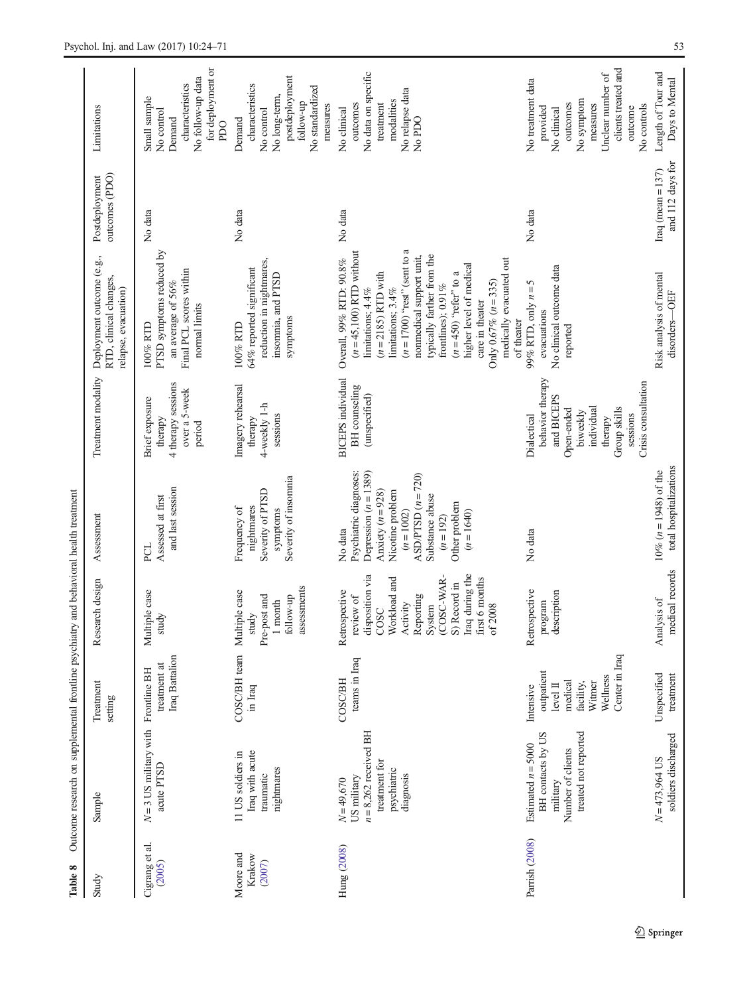<span id="page-29-0"></span>

| Table 8                       | Outcome research on supplemental frontline psychiatry and behavioral health treatment               |                                                                                                     |                                                                                                                                                                                            |                                                                                                                                                                                                                  |                                                                                                                                                     |                                                                                                                                                                                                                                                                                                                                                                                   |                                          |                                                                                                                                                          |
|-------------------------------|-----------------------------------------------------------------------------------------------------|-----------------------------------------------------------------------------------------------------|--------------------------------------------------------------------------------------------------------------------------------------------------------------------------------------------|------------------------------------------------------------------------------------------------------------------------------------------------------------------------------------------------------------------|-----------------------------------------------------------------------------------------------------------------------------------------------------|-----------------------------------------------------------------------------------------------------------------------------------------------------------------------------------------------------------------------------------------------------------------------------------------------------------------------------------------------------------------------------------|------------------------------------------|----------------------------------------------------------------------------------------------------------------------------------------------------------|
| Study                         | Sample                                                                                              | Treatment<br>setting                                                                                | Research design                                                                                                                                                                            | Assessment                                                                                                                                                                                                       | Treatment modality                                                                                                                                  | Deployment outcome (e.g.,<br>RTD, clinical changes,<br>relapse, evacuation)                                                                                                                                                                                                                                                                                                       | outcomes (PDO)<br>Postdeployment         | Limitations                                                                                                                                              |
| Cigrang et al.<br>(2005)      | $N = 3$ US military with Frontline BH<br>acute PTSD                                                 | Iraq Battalion<br>treatment at                                                                      | Multiple case<br>study                                                                                                                                                                     | and last session<br>Assessed at first<br>ECI                                                                                                                                                                     | 4 therapy sessions<br>over a 5-week<br>Brief exposure<br>therapy<br>period                                                                          | PTSD symptoms reduced by<br>Final PCL scores within<br>an average of 56%<br>normal limits<br>100% RTD                                                                                                                                                                                                                                                                             | No data                                  | for deployment or<br>No follow-up data<br>characteristics<br>Small sample<br>No control<br>Demand<br><b>PDO</b>                                          |
| Moore and<br>Krakow<br>(2007) | Iraq with acute<br>11 US soldiers in<br>nightmares<br>traumatic                                     | COSC/BH team<br>in Iraq                                                                             | assessments<br>Multiple case<br>Pre-post and<br>follow-up<br>$1$ month<br>study                                                                                                            | Severity of insomnia<br>Severity of PTSD<br>nightmares<br>Frequency of<br>symptoms                                                                                                                               | Imagery rehearsal<br>4-weekly 1-h<br>sessions<br>therapy                                                                                            | reduction in nightmares,<br>64% reported significant<br>insomnia, and PTSD<br>symptoms<br>100% RTD                                                                                                                                                                                                                                                                                | No data                                  | postdeployment<br>characteristics<br>No standardized<br>No long-term,<br>follow-up<br>measures<br>No control<br>Demand                                   |
| Hung (2008)                   | $n = 8,262$ received BH<br>treatment for<br>psychiatric<br>diagnosis<br>US military<br>$N = 49,670$ | teams in Iraq<br><b>COSC/BH</b>                                                                     | Activity<br>Repoting<br>System<br>System<br>(COSC-WAR-<br>S) Record in<br>Shecord in<br>disposition via<br>Workload and<br>first 6 months<br>Retrospective<br>review of<br>of 2008<br>COSC | Depression $(n = 1389)$<br>Psychiatric diagnoses:<br>ASD/PTSD $(n = 720)$<br>Anxiety $(n = 928)$<br>Nicotine problem<br>Substance abuse<br>Other problem<br>$(n = 1002)$<br>$(n=1640)$<br>$(n = 192)$<br>No data | <b>BICEPS</b> individual<br>BH counseling<br>(unspecified)                                                                                          | $(n = 1700)$ "rest" (sent to a<br>$(n=45,100)$ RTD without<br>typically farther from the<br>nonmedical support unit,<br>Overall, 99% RTD: 90.8%<br>medically evacuated out<br>higher level of medical<br>$(n = 2185)$ RTD with<br>$(n=450)$ "refer" to a<br>Only 0.67% $(n=335)$<br>frontlines); 0.91%<br>limitations; 4.4%<br>limitations; 3.4%<br>care in theater<br>of theater | No data                                  | No data on specific<br>No relapse data<br>modalities<br>outcomes<br>treatment<br>No clinical<br>No PDO                                                   |
| Parrish (2008)                | treated not reported<br>BH contacts by US<br>Estimated $n = 5000$<br>Number of clients<br>military  | Center in Iraq<br>outpatient<br>Wellness<br>medical<br>Witner<br>facility,<br>level II<br>Intensive | Retrospective<br>description<br>program                                                                                                                                                    | No data                                                                                                                                                                                                          | behavior therapy<br>Crisis consultation<br>and BICEPS<br>Group skills<br>individual<br>Open-ended<br>biweekly<br>sessions<br>Dialectical<br>therapy | No clinical outcome data<br>99% RTD, only $n = 5$<br>evacuations<br>reported                                                                                                                                                                                                                                                                                                      | No data                                  | clients treated and<br>Unclear number of<br>No treatment data<br>No symptom<br>outcomes<br>measures<br>No controls<br>provided<br>outcome<br>No clinical |
|                               | soldiers discharged<br>$N = 473,964$ US                                                             | treatment<br>Unspecified                                                                            | medical records<br>Analysis of                                                                                                                                                             | total hospitalizations<br>$10\% (n = 1948)$ of the                                                                                                                                                               |                                                                                                                                                     | Risk analysis of mental<br>-OEF<br>disorders-                                                                                                                                                                                                                                                                                                                                     | and 112 days for<br>Iraq (mean $= 137$ ) | Length of Tour and<br>Days to Mental                                                                                                                     |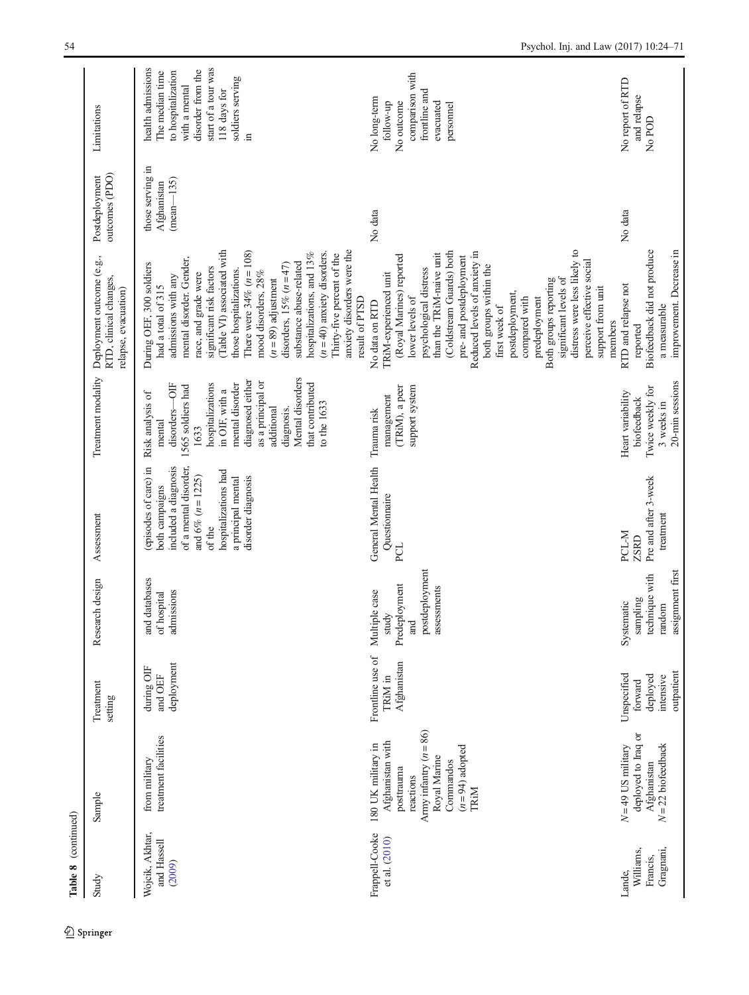| Table 8 (continued)                          |                                                                                                                                                        |                                                               |                                                                                 |                                                                                                                                                                                                 |                                                                                                                                                                                                                                                                 |                                                                                                                                                                                                                                                                                                                                                                                                                                                                                                  |                                                 |                                                                                                                                                                      |
|----------------------------------------------|--------------------------------------------------------------------------------------------------------------------------------------------------------|---------------------------------------------------------------|---------------------------------------------------------------------------------|-------------------------------------------------------------------------------------------------------------------------------------------------------------------------------------------------|-----------------------------------------------------------------------------------------------------------------------------------------------------------------------------------------------------------------------------------------------------------------|--------------------------------------------------------------------------------------------------------------------------------------------------------------------------------------------------------------------------------------------------------------------------------------------------------------------------------------------------------------------------------------------------------------------------------------------------------------------------------------------------|-------------------------------------------------|----------------------------------------------------------------------------------------------------------------------------------------------------------------------|
| Study                                        | Sample                                                                                                                                                 | Treatment<br>setting                                          | Research design                                                                 | Assessment                                                                                                                                                                                      | Treatment modality                                                                                                                                                                                                                                              | Deployment outcome (e.g.,<br>RTD, clinical changes,<br>relapse, evacuation)                                                                                                                                                                                                                                                                                                                                                                                                                      | outcomes (PDO)<br>Postdeployment                | Limitations                                                                                                                                                          |
| Wojcik, Akhtar,<br>and Hassell<br>(2009)     | treatment facilities<br>from military                                                                                                                  | deployment<br>during OIF<br>and OEF                           | and databases<br>admissions<br>of hospital                                      | (episodes of care) in<br>of a mental disorder,<br>included a diagnosis<br>hospitalizations had<br>and 6% ( $n = 1225$ )<br>a principal mental<br>disorder diagnosis<br>both campaigns<br>of the | Mental disorders<br>diagnosed either<br>as a principal or<br>mental disorder<br>that contributed<br>5<br>hospitalizations<br>1565 soldiers had<br>in OIF, with a<br>Risk analysis of<br>to the 1633<br>additional<br>diagnosis.<br>disorders-<br>mental<br>1633 | (Table VI) associated with<br>There were $34\% (n = 108)$<br>anxiety disorders were the<br>hospitalizations, and 13%<br>$(n=40)$ anxiety disorders.<br>Thirty-five percent of the<br>mental disorder. Gender,<br>substance abuse-related<br>During OEF, 300 soldiers<br>disorders, $15\%$ $(n=47)$<br>significant risk factors<br>those hospitalizations.<br>mood disorders, 28%<br>race, and grade were<br>admissions with any<br>$(n = 89)$ adjustment<br>had a total of 315<br>result of PTSD | those serving in<br>$(mean-135)$<br>Afghanistan | start of a tour was<br>health admissions<br>disorder from the<br>to hospitalization<br>The median time<br>soldiers serving<br>with a mental<br>118 days for<br>$\Xi$ |
| Frappell-Cooke<br>et al. (2010)              | Army infantry $(n = 86)$<br>Afghanistan with<br>180 UK military in<br>$(n=94)$ adopted<br>Royal Marine<br>Commandos<br>posttrauma<br>reactions<br>TRIM | Frontline use of<br>Afghanistan<br>TRiM in                    | postdeployment<br>Predeployment<br>assessments<br>Multiple case<br>study<br>and | General Mental Health<br>Questionnaire<br>PCL                                                                                                                                                   | (TRiM), a peer<br>support system<br>management<br>Trauma risk                                                                                                                                                                                                   | distress were less likely to<br>(Coldstream Guards) both<br>Reduced levels of anxiety in<br>than the TRiM-naive unit<br>(Royal Marines) reported<br>pre- and postdeployment<br>perceive effective social<br>both groups within the<br>psychological distress<br>TRiM-experienced unit<br>significant levels of<br>Both groups reporting<br>support from unit<br>postdeployment,<br>lower levels of<br>compared with<br>predeployment<br>No data on RTD<br>first week of                          | No data                                         | comparison with<br>frontline and<br>No long-term<br>No outcome<br>follow-up<br>evacuated<br>personnel                                                                |
| Gragnani,<br>Williams,<br>Francis,<br>Lande. | deployed to Iraq or<br>$N = 22$ biofeedback<br>$N = 49$ US military<br>Afghanistan                                                                     | outpatient<br>Unspecified<br>deployed<br>intensive<br>forward | assignment first<br>technique with<br>sampling<br>Systematic<br>random          | Pre and after 3-week<br>treatment<br>PCL-M<br>ZSRD                                                                                                                                              | 20-min sessions<br>Twice weekly for<br>Heart variability<br>biofeedback<br>3 weeks in                                                                                                                                                                           | improvement. Decrease in<br>Biofeedback did not produce<br>RTD and relapse not<br>a measurable<br>members<br>reported                                                                                                                                                                                                                                                                                                                                                                            | No data                                         | No report of RTD<br>and relapse<br>No POD                                                                                                                            |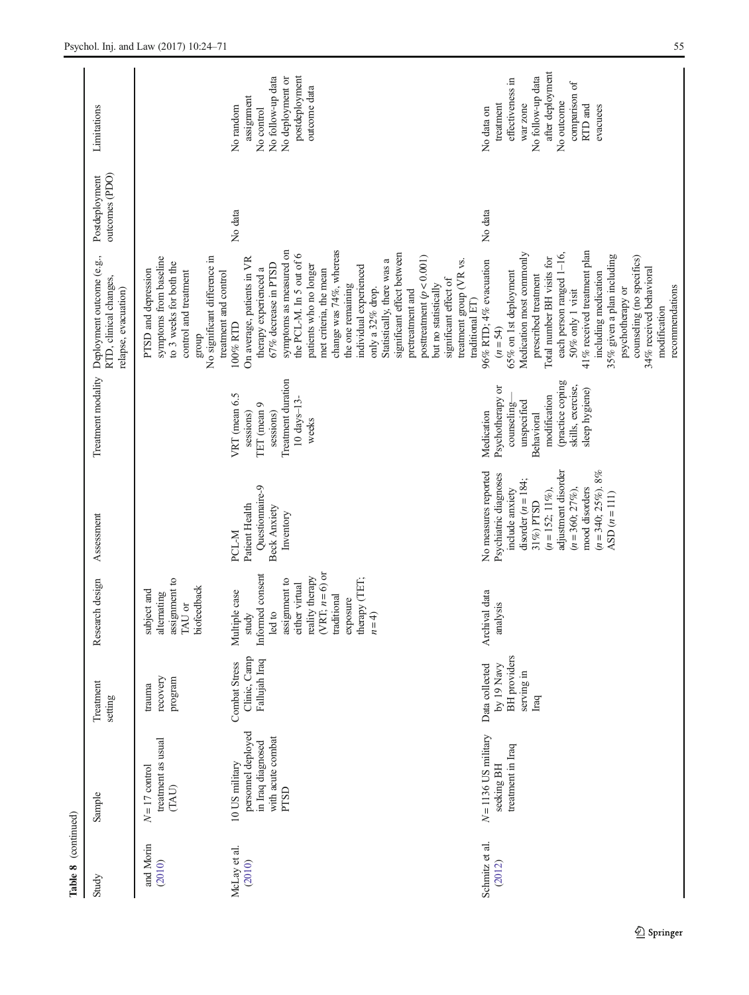| Table 8 (continued)      |                                                                                               |                                                                           |                                                                                                                                                                                     |                                                                                                                                                                                                                               |                                                                                                                                                       |                                                                                                                                                                                                                                                                                                                                                                                                                                                                                 |                                  |                                                                                                                                                        |
|--------------------------|-----------------------------------------------------------------------------------------------|---------------------------------------------------------------------------|-------------------------------------------------------------------------------------------------------------------------------------------------------------------------------------|-------------------------------------------------------------------------------------------------------------------------------------------------------------------------------------------------------------------------------|-------------------------------------------------------------------------------------------------------------------------------------------------------|---------------------------------------------------------------------------------------------------------------------------------------------------------------------------------------------------------------------------------------------------------------------------------------------------------------------------------------------------------------------------------------------------------------------------------------------------------------------------------|----------------------------------|--------------------------------------------------------------------------------------------------------------------------------------------------------|
| Study                    | Sample                                                                                        | Treatment<br>setting                                                      | arch design<br>Rese                                                                                                                                                                 | Assessment                                                                                                                                                                                                                    | Treatment modality                                                                                                                                    | Deployment outcome (e.g.,<br>RTD, clinical changes,<br>relapse, evacuation)                                                                                                                                                                                                                                                                                                                                                                                                     | outcomes (PDO)<br>Postdeployment | Limitations                                                                                                                                            |
| and Morin<br>(2010)      | treatment as usual<br>$N\!=\!17$ control<br>(TAU)                                             | recovery<br>program<br>trauma                                             | assignment to<br>biofeedback<br>subject and<br>alternating<br>TAU or                                                                                                                |                                                                                                                                                                                                                               |                                                                                                                                                       | No significant difference in<br>symptoms from baseline<br>to 3 weeks for both the<br>PTSD and depression<br>control and treatment<br>group                                                                                                                                                                                                                                                                                                                                      |                                  |                                                                                                                                                        |
| McLay et al.<br>(2010)   | personnel deployed<br>with acute combat<br>in Iraq diagnosed<br>10 US military<br><b>PTSD</b> | Clinic, Camp<br>Fallujah Iraq<br>Combat Stress                            | (VRT; $n=6$ ) or<br>Informed consent<br>reality therapy<br>therapy (TET;<br>assignment to<br>either virtual<br>Multiple case<br>traditional<br>exposure<br>led to<br>$n=4$<br>study | Questionnaire-9<br>Patient Health<br><b>Beck Anxiety</b><br>Inventory<br>PCL-M                                                                                                                                                | Treatment duration<br>VRT (mean 6.5<br>$10 \; days - 13 -$<br>TET (mean 9<br>sessions)<br>sessions)<br>weeks                                          | symptoms as measured on<br>change was 74%, whereas<br>significant effect between<br>the PCL-M. In 5 out of 6<br>posttreatment $(p < 0.001)$<br>On average, patients in VR<br>Statistically, there was a<br>patients who no longer<br>individual experienced<br>67% decrease in PTSD<br>therapy experienced a<br>met criteria, the mean<br>treatment and control<br>the one remaining<br>but no statistically<br>only a 32% drop.<br>pretreatment and<br>100% RTD                | No data                          | postdeployment<br>No follow-up data<br>No deployment or<br>outcome data<br>assignment<br>No random<br>No control                                       |
| Schmitz et al.<br>(2012) | $N = 1136$ US military<br>treatment in Iraq<br>seeking BH                                     | <b>BH</b> providers<br>by 19 Navy<br>Data collected<br>serving in<br>Iraq | Archival data<br>analysis                                                                                                                                                           | adjustment disorder<br>$(n=340; 25\%)$ , 8%<br>No measures reported<br>Psychiatric diagnoses<br>disorder $(n = 184;$<br>mood disorders<br>include anxiety<br>$(n=152; 11\%)$<br>$(n=360; 27\%)$<br>ASD $(n=111)$<br>31%) PTSD | (practice coping<br>skills, exercise,<br>Psychotherapy or<br>sleep hygiene)<br>modification<br>unspecified<br>counseling-<br>Medication<br>Behavioral | 41% received treatment plan<br>Medication most commonly<br>each person ranged 1-16,<br>35% given a plan including<br>counseling (no specifics)<br>Total number BH visits for<br>treatment group (VR vs.<br>96% RTD; 4% evacuation<br>34% received behavioral<br>65% on 1st deployment<br>including medication<br>prescribed treatment<br>significant effect of<br>recommendations<br>psychotherapy or<br>$50\%$ only $1$ visit<br>traditional ET)<br>modification<br>$(n = 54)$ | No data                          | after deployment<br>No follow-up data<br>effectiveness in<br>comparison of<br>No outcome<br>treatment<br>war zone<br>RTD and<br>evacuees<br>No data on |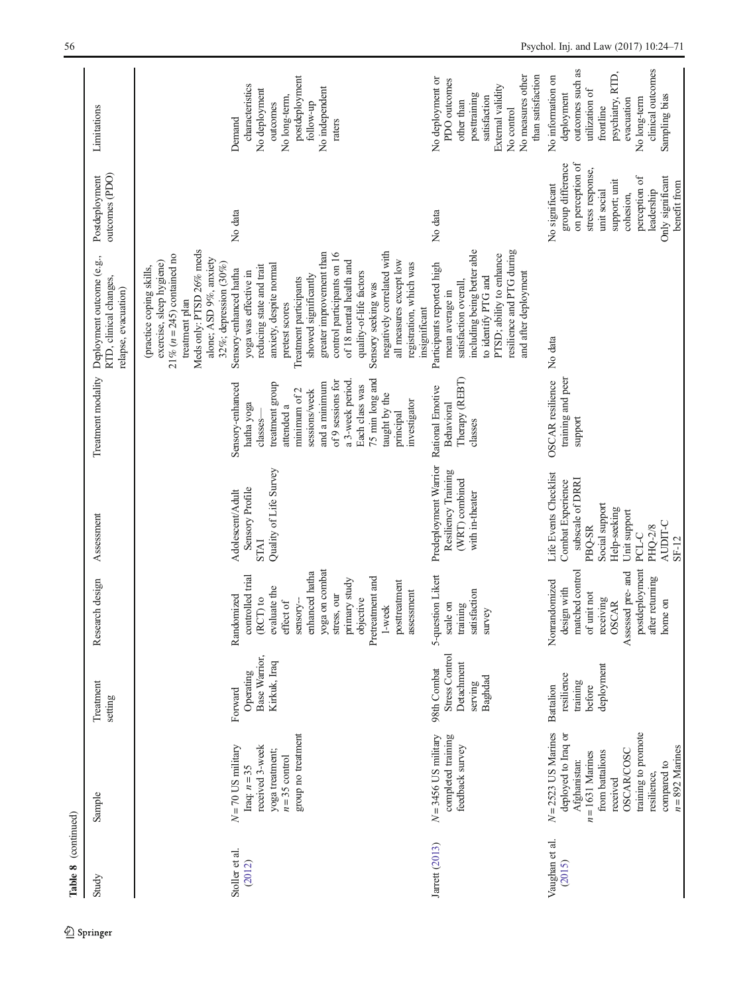| Table 8 (continued)      |                                                                                                                                                                                                                  |                                                                    |                                                                                                                                                                                                   |                                                                                                                                                                      |                                                                                                                                                                                                                         |                                                                                                                                                                                                                                                                                                                                                                     |                                                                                                                                                                                            |                                                                                                                                                                            |
|--------------------------|------------------------------------------------------------------------------------------------------------------------------------------------------------------------------------------------------------------|--------------------------------------------------------------------|---------------------------------------------------------------------------------------------------------------------------------------------------------------------------------------------------|----------------------------------------------------------------------------------------------------------------------------------------------------------------------|-------------------------------------------------------------------------------------------------------------------------------------------------------------------------------------------------------------------------|---------------------------------------------------------------------------------------------------------------------------------------------------------------------------------------------------------------------------------------------------------------------------------------------------------------------------------------------------------------------|--------------------------------------------------------------------------------------------------------------------------------------------------------------------------------------------|----------------------------------------------------------------------------------------------------------------------------------------------------------------------------|
| Study                    | Sample                                                                                                                                                                                                           | Treatment<br>setting                                               | Research design                                                                                                                                                                                   | Assessment                                                                                                                                                           | Treatment modality                                                                                                                                                                                                      | Deployment outcome (e.g.,<br>RTD, clinical changes,<br>relapse, evacuation)                                                                                                                                                                                                                                                                                         | outcomes (PDO)<br>Postdeployment                                                                                                                                                           | Limitations                                                                                                                                                                |
| Stoller et al.<br>(2012) | $N = 70$ US military<br>Iraq: $n = 35$                                                                                                                                                                           | Operating<br>Forward                                               | controlled trial<br>Randomized                                                                                                                                                                    | Sensory Profile<br>Adolescent/Adult                                                                                                                                  | Sensory-enhanced<br>hatha yoga                                                                                                                                                                                          | Meds only: PTSD 26% meds<br>$21\%$ ( $n = 245$ ) contained no<br>alone; ASD 9%, anxiety<br>exercise, sleep hygiene)<br>32%; depression $(30\%)$<br>(practice coping skills,<br>Sensory-enhanced hatha<br>yoga was effective in<br>treatment plan                                                                                                                    | No data                                                                                                                                                                                    | characteristics<br>Demand                                                                                                                                                  |
|                          | group no treatment<br>received 3-week<br>yoga treatment:<br>$n = 35$ control                                                                                                                                     | Base Warrior,<br>Kirkuk, Iraq                                      | yoga on combat<br>enhanced hatha<br>Pretreatment and<br>primary study<br>posttreatment<br>evaluate the<br>assessment<br>stress, our<br>objective<br>$(RCT)$ to<br>effect of<br>sensory-<br>1-week | Quality of Life Survey<br><b>INTS</b>                                                                                                                                | 75 min long and<br>of 9 sessions for<br>a 3-week period.<br>and a minimum<br>treatment group<br>Each class was<br>minimum of 2<br>sessions/week<br>taught by the<br>investigator<br>attended a<br>principal<br>classes- | negatively correlated with<br>greater improvement than<br>control participants on 16<br>all measures except low<br>of 18 mental health and<br>registration, which was<br>anxiety, despite normal<br>reducing state and trait<br>quality-of-life factors<br>showed significantly<br>Treatment participants<br>Sensory seeking was<br>pretest scores<br>insignificant |                                                                                                                                                                                            | postdeployment<br>No independent<br>No deployment<br>No long-term,<br>outcomes<br>follow-up<br>raters                                                                      |
| Jarrett (2013)           | $N = 3456$ US military<br>completed training<br>feedback survey                                                                                                                                                  | Stress Control<br>Detachment<br>98th Combat<br>Baghdad<br>serving  | 5-question Likert<br>satisfaction<br>scale on<br>training<br>survey                                                                                                                               | Predeployment Warrior<br>Resiliency Training<br>(WRT) combined<br>with in-theater                                                                                    | Therapy (REBT)<br>Rational Emotive<br>Behavioral<br>classes                                                                                                                                                             | resilience and PTG during<br>including being better able<br>PTSD; ability to enhance<br>Participants reported high<br>and after deployment<br>to identify PTG and<br>satisfaction overall<br>mean average in                                                                                                                                                        | No data                                                                                                                                                                                    | No measures other<br>than satisfaction<br>No deployment or<br>PDO outcomes<br>External validity<br>posttraining<br>satisfaction<br>other than<br>No control                |
| Vaughan et al.<br>(2015) | $N = 2523$ US Marines<br>training to promote<br>deployed to Iraq or<br>$n = 892$ Marines<br><b>OSCAR/COSC</b><br>from battalions<br>$n = 1631$ Marines<br>Afghanistan:<br>compared to<br>resilience,<br>received | deployment<br>resilience<br>training<br><b>Battalion</b><br>before | postdeployment<br>matched control<br>Assessed pre- and<br>after returning<br>Nonrandomized<br>design with<br>of unit not<br>receiving<br>home on<br><b>OSCAR</b>                                  | Life Events Checklist<br>subscale of DRRI<br>Combat Experience<br>Social support<br>Help-seeking<br>Unit support<br>AUDIT-C<br>PHO-2/8<br>PBQ-SR<br>PCL-C<br>$SF-12$ | training and peer<br><b>OSCAR</b> resilience<br>support                                                                                                                                                                 | No data                                                                                                                                                                                                                                                                                                                                                             | group difference<br>on perception of<br>stress response,<br>perception of<br>Only significant<br>support; unit<br>benefit from<br>No significant<br>leadership<br>unit social<br>cohesion, | outcomes such as<br>clinical outcomes<br>psychiatry, RTD,<br>No information on<br>utilization of<br>deployment<br>Sampling bias<br>No long-term<br>evacuation<br>frontline |

56 Psychol. Inj. and Law (2017) 10:24–71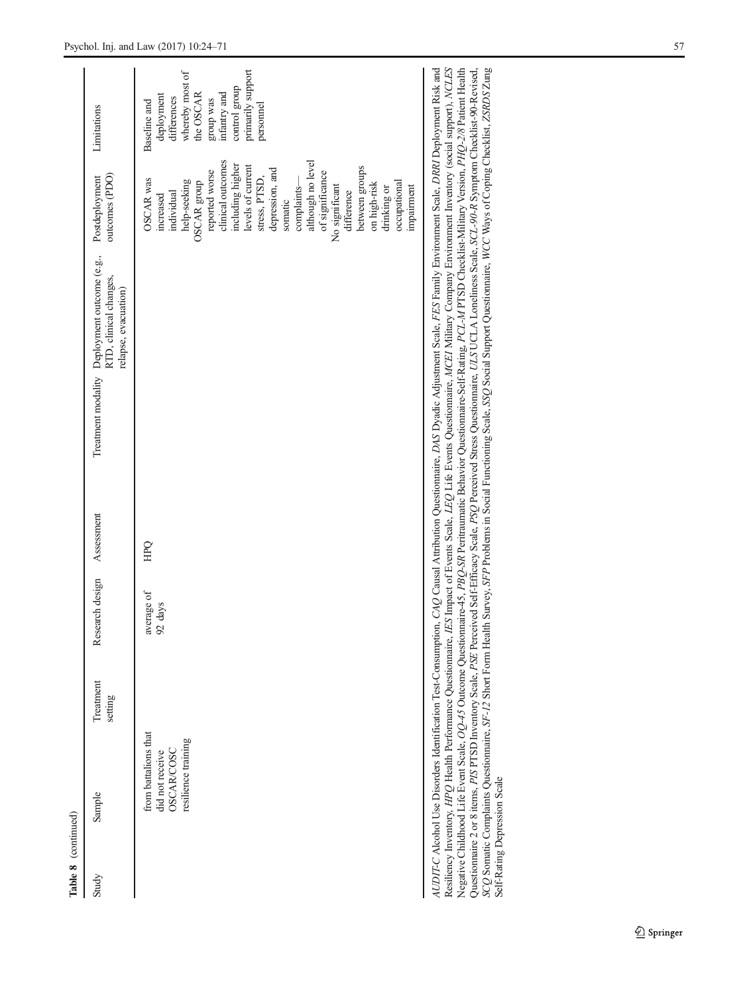| Table 8 (continued)                                                                 |                      |                       |            |                                                                                                                                                                                                                                                                                                                                                                                                                                                                                                                                                                                                                                                                                                                            |                                                                                                                                                                                                                                                                                                                                                                          |                                                                                                                                                           |
|-------------------------------------------------------------------------------------|----------------------|-----------------------|------------|----------------------------------------------------------------------------------------------------------------------------------------------------------------------------------------------------------------------------------------------------------------------------------------------------------------------------------------------------------------------------------------------------------------------------------------------------------------------------------------------------------------------------------------------------------------------------------------------------------------------------------------------------------------------------------------------------------------------------|--------------------------------------------------------------------------------------------------------------------------------------------------------------------------------------------------------------------------------------------------------------------------------------------------------------------------------------------------------------------------|-----------------------------------------------------------------------------------------------------------------------------------------------------------|
| Sample<br>Study                                                                     | Treatment<br>setting | Research design       | Assessment | Treatment modality Deployment outcome (e.g.,<br>RTD, clinical changes,<br>relapse, evacuation)                                                                                                                                                                                                                                                                                                                                                                                                                                                                                                                                                                                                                             | outcomes (PDO)<br>Postdeployment                                                                                                                                                                                                                                                                                                                                         | Limitations                                                                                                                                               |
| from battalions that<br>resilience training<br><b>OSCAR/COSC</b><br>did not receive |                      | average of<br>92 days | <b>HPO</b> |                                                                                                                                                                                                                                                                                                                                                                                                                                                                                                                                                                                                                                                                                                                            | although no level<br>clinical outcomes<br>including higher<br>levels of current<br>between groups<br>depression, and<br>reported worse<br>of significance<br>stress, PTSD,<br>OSCAR was<br>help-seeking<br>OSCAR group<br>occupational<br>on high-risk<br>No significant<br>complaints-<br>impairment<br>drinking or<br>difference<br>individual<br>increased<br>somatic | primarily support<br>whereby most of<br>control group<br>the OSCAR<br>infantry and<br>deployment<br>differences<br>group was<br>Baseline and<br>personnel |
| Resiliency Inventory, HPQ Health Performance Questionnaire, a                       |                      |                       |            | ES Impact of Events Scale, LEQ Life Events Questionnaire, MCEI Military Company Environment Inventory (social support), NCLES<br>AUDIT-C Alcohol Use Disorders Identification Test-Consumption, CAQ Causal Attribution Questionnaire, DAS Dyadic Adjustment Scale, FES Family Environment Scale, DRNI Deployment Risk and<br>Negative Childhood Life Event Scale, OQ-45 Outcome Questionnaire-45, PBQ-SR Peritraumatic Behavior Questionnaire-Self-Rating, PCL-M PTSD Checklist-Military Version, PHQ-2/8 Patient Health<br>Questionnaire 2 or 8 items, PIS DTSD Inventory Scale, PSE Perceived Self-Efficacy Scale, PSQ Perceived Stress Questionnaire, ULS UCLA Loneliness Scale, SCL-90-R Symptom Checklist-90-Revised, |                                                                                                                                                                                                                                                                                                                                                                          |                                                                                                                                                           |

SCQ Somatic Complaints Questionnaire, SF-12 Short Form Health Survey, SFP Problems in Social Functioning Scale, SSQ Social Support Questionnaire, WCC Ways of Coping Checklist, ZSRDS Zung

Self-Rating Depression Scale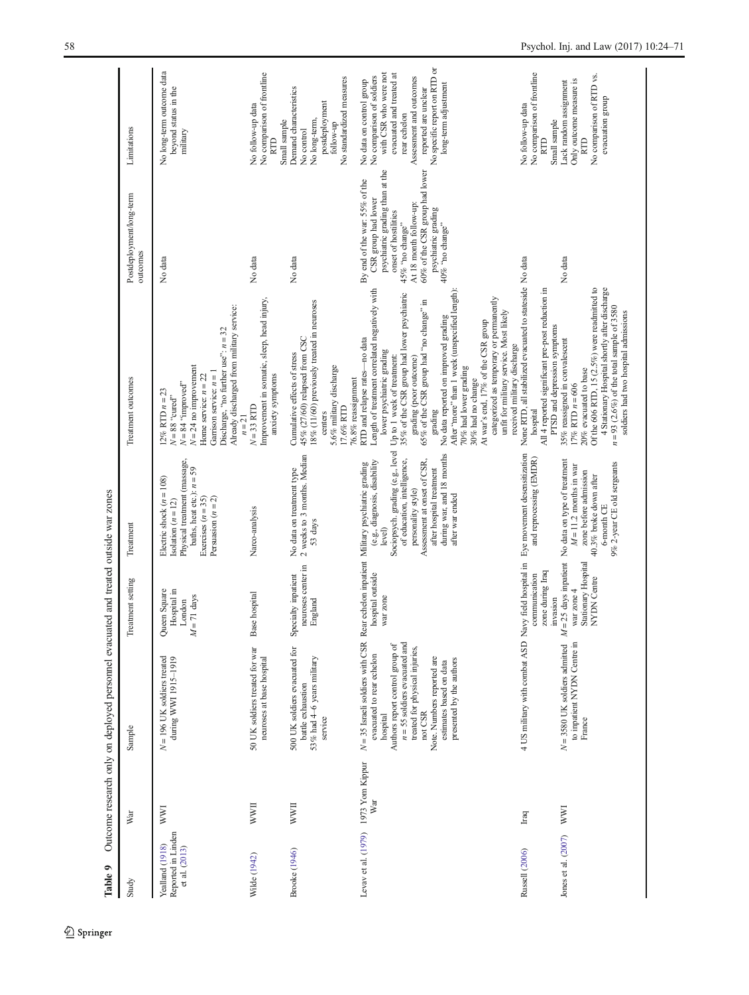<span id="page-34-0"></span>

| Study                                                  | War                                        | Sample                                                                                                                                                                                                                                                                                                                                                                                 | Treatment setting                                                      | Treatment                                                                                                                                                                                                  | Treatment outcomes                                                                                                                                                                                                                                                                                                                                                                                                                                                                                                                             | Postdeployment/long-term<br>outcomes                                                                                                                                                                                                     | Limitations                                                                                                                                                                                                                           |
|--------------------------------------------------------|--------------------------------------------|----------------------------------------------------------------------------------------------------------------------------------------------------------------------------------------------------------------------------------------------------------------------------------------------------------------------------------------------------------------------------------------|------------------------------------------------------------------------|------------------------------------------------------------------------------------------------------------------------------------------------------------------------------------------------------------|------------------------------------------------------------------------------------------------------------------------------------------------------------------------------------------------------------------------------------------------------------------------------------------------------------------------------------------------------------------------------------------------------------------------------------------------------------------------------------------------------------------------------------------------|------------------------------------------------------------------------------------------------------------------------------------------------------------------------------------------------------------------------------------------|---------------------------------------------------------------------------------------------------------------------------------------------------------------------------------------------------------------------------------------|
| Reported in Linden<br>Yealland (1918)<br>et al. (2013) | WWI                                        | $N = 196$ UK soldiers treated<br>during WWI 1915-1919                                                                                                                                                                                                                                                                                                                                  | Hospital in<br>Queen Square<br>$= 71 \text{ days}$<br>London<br>z      | Physical treatment (massage,<br>baths, heat etc.): $n = 59$<br>Electric shock $(n = 108)$<br>Exercises $(n = 35)$<br>Persuasion $(n = 2)$<br>Isolation $(n = 12)$                                          | Already discharged from military service:<br>Discharge, "no further use": $n = 32$<br>$N = 24$ no improvement<br>Garrison service: $n = 1$<br>Home service: $n = 22$<br>$N = 84$ "improved"<br>$12\%$ RTD $n = 23$<br>$N = 88$ "cured"                                                                                                                                                                                                                                                                                                         | No data                                                                                                                                                                                                                                  | No long-term outcome data<br>beyond status in the<br>military                                                                                                                                                                         |
| Wilde (1942)                                           | <b>IIMM</b>                                | 50 UK soldiers treated for war<br>neuroses at base hospital                                                                                                                                                                                                                                                                                                                            | Base hospital                                                          | Narco-analysis                                                                                                                                                                                             | Improvement in somatic, sleep, head injury,<br>anxiety symptoms<br>$N = 33$ RTD<br>$n = 21$                                                                                                                                                                                                                                                                                                                                                                                                                                                    | No data                                                                                                                                                                                                                                  | No comparison of frontline<br>No follow-up data<br><b>RTD</b>                                                                                                                                                                         |
| <b>Brooke</b> (1946)                                   | <b>WWII</b>                                | 500 UK soldiers evacuated for<br>53% had 4-6 years military<br>battle exhaustion<br>service                                                                                                                                                                                                                                                                                            | neuroses center in<br>Specialty inpatient<br>England                   | 2 weeks to 3 months. Median<br>No data on treatment type<br>53 days                                                                                                                                        | 18% (11/60) previously treated in neuroses<br>45% (27/60) relapsed from CSC<br>Cumulative effects of stress<br>5.6% military discharge<br>76.8% reassignment<br>17.6% RTD<br>centers                                                                                                                                                                                                                                                                                                                                                           | No data                                                                                                                                                                                                                                  | No standardized measures<br>Demand characteristics<br>postdeployment<br>No long-term,<br>Small sample<br>follow-up<br>No control                                                                                                      |
|                                                        | Levav et al. (1979) 1973 Yom Kippur<br>War | $N = 35$ Israeli soldiers with CSR Rear echelon inpatient Military psychiatric grading evacuated to rear echelon hospital outside $(e, g,$ , diagnosis, disability<br>$n = 55$ soldiers evacuated and<br>Authors report control group of<br>treated for physical injuries,<br>Note. Numbers reported are<br>presented by the authors<br>estimates based on data<br>not CSR<br>hospital | war zone                                                               | Sociopsych. grading (e.g., level<br>during war, and 18 months<br>of education, intelligence,<br>Assessment at onset of CSR,<br>after hospital treatment<br>personality style)<br>after war ended<br>level) | Length of treatment correlated negatively with<br>After "more" than 1 week (unspecified length)<br>35% of the CSR group had lower psychiatric<br>categorized as temporary or permanently<br>$65\%$ of the CSR group had "no change" in<br>unfit for military service. Most likely<br>No data reported on improved grading<br>At war's end, 17% of the CSR group<br>RTD and relapse rates-no data<br>lower psychiatric grading<br>Up to 1 week of treatment:<br>grading (poor outcome)<br>70% had lower grading<br>30% had no change<br>grading | psychiatric grading than at the<br>60% of the CSR group had lower<br>By end of the war: 55% of the<br>CSR group had lower<br>At 18 month follow-up:<br>psychiatric grading<br>onset of hostilities<br>40% "no change"<br>45% "no change" | No specific report on RTD or<br>with CSR who were not<br>evacuated and treated at<br>No comparison of soldiers<br>Assessment and outcomes<br>No data on control group<br>long-term adjustment<br>reported are unclear<br>rear echelon |
| Russell (2006)                                         | Iraq                                       | 4 US military with combat ASD N                                                                                                                                                                                                                                                                                                                                                        | avy field hospital in<br>zone during Iraq<br>communication<br>invasion | Eye movement desensitization<br>and reprocessing (EMDR)                                                                                                                                                    | None RTD, all stabilized evacuated to stateside No data<br>All 4 reported significant pre-post reduction in<br>received military discharge<br>hospital                                                                                                                                                                                                                                                                                                                                                                                         |                                                                                                                                                                                                                                          | No comparison of frontline<br>No follow-up data<br><b>RTD</b>                                                                                                                                                                         |
| Jones et al. (2007)                                    | <b>WWI</b>                                 | $N = 3580$ UK soldiers admitted<br>to inpatient NYDN Centre in<br>France                                                                                                                                                                                                                                                                                                               | Stationary Hospital<br>NYDN Centre<br>war zone 4<br>z                  | = 25 days inpatient No data on type of treatment<br>9% 2-year CE old sergeants<br>$M = 11.2$ months in war<br>zone before admission<br>40.3% broke down after<br>6-month CE                                | Of the 606 RTD, 15 (2.5%) were readmitted to<br>4 Stationary Hospital shortly after discharge<br>$n = 93$ (2.6%) of the total sample of 3580<br>soldiers had two hospital admissions<br>PTSD and depression symptoms<br>35% reassigned in convalescent<br>20% evacuated to base<br>$17\%$ RTD $n=606$                                                                                                                                                                                                                                          | No data                                                                                                                                                                                                                                  | No comparison of RTD vs.<br>Only outcome measure is<br>Lack random assignment<br>evacuation group<br>Small sample<br><b>RTD</b>                                                                                                       |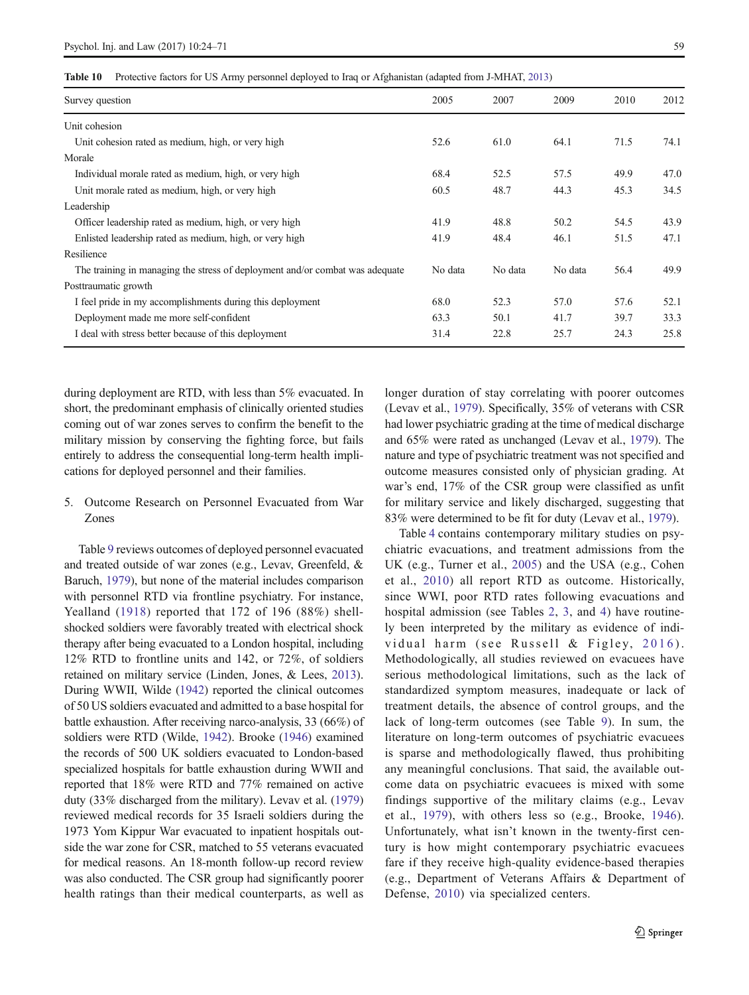<span id="page-35-0"></span>Table 10 Protective factors for US Army personnel deployed to Iraq or Afghanistan (adapted from J-MHAT, [2013\)](#page-45-0)

| Survey question                                                              | 2005    | 2007    | 2009    | 2010 | 2012 |
|------------------------------------------------------------------------------|---------|---------|---------|------|------|
| Unit cohesion                                                                |         |         |         |      |      |
| Unit cohesion rated as medium, high, or very high                            | 52.6    | 61.0    | 64.1    | 71.5 | 74.1 |
| Morale                                                                       |         |         |         |      |      |
| Individual morale rated as medium, high, or very high                        | 68.4    | 52.5    | 57.5    | 49.9 | 47.0 |
| Unit morale rated as medium, high, or very high                              | 60.5    | 48.7    | 44.3    | 45.3 | 34.5 |
| Leadership                                                                   |         |         |         |      |      |
| Officer leadership rated as medium, high, or very high                       | 41.9    | 48.8    | 50.2    | 54.5 | 43.9 |
| Enlisted leadership rated as medium, high, or very high                      | 41.9    | 48.4    | 46.1    | 51.5 | 47.1 |
| Resilience                                                                   |         |         |         |      |      |
| The training in managing the stress of deployment and/or combat was adequate | No data | No data | No data | 56.4 | 49.9 |
| Posttraumatic growth                                                         |         |         |         |      |      |
| I feel pride in my accomplishments during this deployment                    | 68.0    | 52.3    | 57.0    | 57.6 | 52.1 |
| Deployment made me more self-confident                                       | 63.3    | 50.1    | 41.7    | 39.7 | 33.3 |
| I deal with stress better because of this deployment                         | 31.4    | 22.8    | 25.7    | 24.3 | 25.8 |
|                                                                              |         |         |         |      |      |

during deployment are RTD, with less than 5% evacuated. In short, the predominant emphasis of clinically oriented studies coming out of war zones serves to confirm the benefit to the military mission by conserving the fighting force, but fails entirely to address the consequential long-term health implications for deployed personnel and their families.

## 5. Outcome Research on Personnel Evacuated from War Zones

Table [9](#page-34-0) reviews outcomes of deployed personnel evacuated and treated outside of war zones (e.g., Levav, Greenfeld, & Baruch, [1979\)](#page-45-0), but none of the material includes comparison with personnel RTD via frontline psychiatry. For instance, Yealland ([1918\)](#page-47-0) reported that 172 of 196 (88%) shellshocked soldiers were favorably treated with electrical shock therapy after being evacuated to a London hospital, including 12% RTD to frontline units and 142, or 72%, of soldiers retained on military service (Linden, Jones, & Lees, [2013\)](#page-45-0). During WWII, Wilde ([1942](#page-47-0)) reported the clinical outcomes of 50 US soldiers evacuated and admitted to a base hospital for battle exhaustion. After receiving narco-analysis, 33 (66%) of soldiers were RTD (Wilde, [1942\)](#page-47-0). Brooke [\(1946\)](#page-44-0) examined the records of 500 UK soldiers evacuated to London-based specialized hospitals for battle exhaustion during WWII and reported that 18% were RTD and 77% remained on active duty (33% discharged from the military). Levav et al. [\(1979\)](#page-45-0) reviewed medical records for 35 Israeli soldiers during the 1973 Yom Kippur War evacuated to inpatient hospitals outside the war zone for CSR, matched to 55 veterans evacuated for medical reasons. An 18-month follow-up record review was also conducted. The CSR group had significantly poorer health ratings than their medical counterparts, as well as

longer duration of stay correlating with poorer outcomes (Levav et al., [1979](#page-45-0)). Specifically, 35% of veterans with CSR had lower psychiatric grading at the time of medical discharge and 65% were rated as unchanged (Levav et al., [1979](#page-45-0)). The nature and type of psychiatric treatment was not specified and outcome measures consisted only of physician grading. At war's end, 17% of the CSR group were classified as unfit for military service and likely discharged, suggesting that 83% were determined to be fit for duty (Levav et al., [1979\)](#page-45-0).

Table [4](#page-13-0) contains contemporary military studies on psychiatric evacuations, and treatment admissions from the UK (e.g., Turner et al., [2005\)](#page-47-0) and the USA (e.g., Cohen et al., [2010\)](#page-44-0) all report RTD as outcome. Historically, since WWI, poor RTD rates following evacuations and hospital admission (see Tables [2,](#page-4-0) [3,](#page-10-0) and [4\)](#page-13-0) have routinely been interpreted by the military as evidence of indi-vidual harm (see Russell & Figley, [2016](#page-46-0)). Methodologically, all studies reviewed on evacuees have serious methodological limitations, such as the lack of standardized symptom measures, inadequate or lack of treatment details, the absence of control groups, and the lack of long-term outcomes (see Table [9](#page-34-0)). In sum, the literature on long-term outcomes of psychiatric evacuees is sparse and methodologically flawed, thus prohibiting any meaningful conclusions. That said, the available outcome data on psychiatric evacuees is mixed with some findings supportive of the military claims (e.g., Levav et al., [1979](#page-45-0)), with others less so (e.g., Brooke, [1946](#page-44-0)). Unfortunately, what isn't known in the twenty-first century is how might contemporary psychiatric evacuees fare if they receive high-quality evidence-based therapies (e.g., Department of Veterans Affairs & Department of Defense, [2010](#page-44-0)) via specialized centers.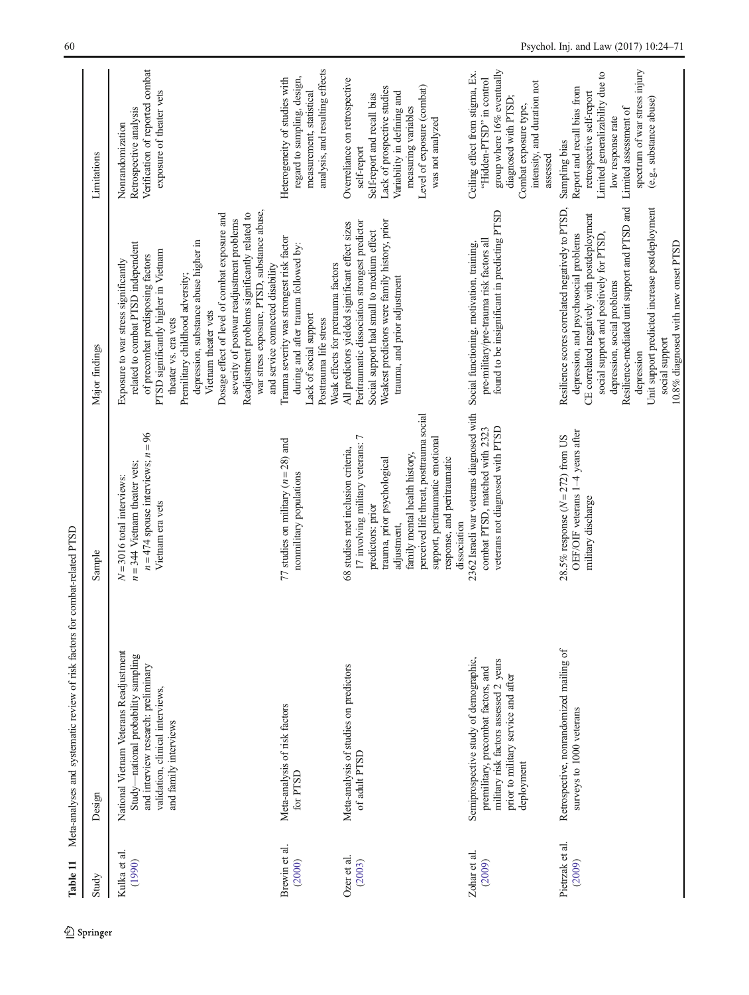<span id="page-36-0"></span>

| Study                     | Design                                                                                                                                                                            | Sample                                                                                                                                                                                                                                                                                                     | Major findings                                                                                                                                                                                                                                                                                                                                                                                                                                                                                                          | Limitations                                                                                                                                                                                                            |
|---------------------------|-----------------------------------------------------------------------------------------------------------------------------------------------------------------------------------|------------------------------------------------------------------------------------------------------------------------------------------------------------------------------------------------------------------------------------------------------------------------------------------------------------|-------------------------------------------------------------------------------------------------------------------------------------------------------------------------------------------------------------------------------------------------------------------------------------------------------------------------------------------------------------------------------------------------------------------------------------------------------------------------------------------------------------------------|------------------------------------------------------------------------------------------------------------------------------------------------------------------------------------------------------------------------|
| Kulka et al.<br>(1990)    | National Vietnam Veterans Readjustment<br>Study-national probability sampling<br>and interview research: preliminary<br>validation, clinical interviews,<br>and family interviews | $n = 474$ spouse interviews; $n = 96$<br>$n = 344$ Vietnam theater vets;<br>$N = 3016$ total interviews:<br>Vietnam era vets                                                                                                                                                                               | war stress exposure, PTSD, substance abuse,<br>Readjustment problems significantly related to<br>Dosage effect of level of combat exposure and<br>severity of postwar readjustment problems<br>depression, substance abuse higher in<br>related to combat PTSD independent<br>PTSD significantly higher in Vietnam<br>of precombat predisposing factors<br>Exposure to war stress significantly<br>and service connected disability<br>Premilitary childhood adversity;<br>Vietnam theater vets<br>theater vs. era vets | Verification of reported combat<br>exposure of theater vets<br>Retrospective analysis<br>Nonrandomization                                                                                                              |
| Brewin et al.<br>(2000)   | Meta-analysis of risk factors<br>for PTSD                                                                                                                                         | 77 studies on military $(n = 28)$ and<br>nonmilitary populations                                                                                                                                                                                                                                           | Trauma severity was strongest risk factor<br>during and after trauma followed by:<br>Weak effects for pretrauma factors<br>Lack of social support<br>Posttrauma life stress                                                                                                                                                                                                                                                                                                                                             | analysis, and resulting effects<br>regard to sampling, design,<br>Heterogeneity of studies with<br>measurement, statistical                                                                                            |
| Ozer et al.<br>(2003)     | Meta-analysis of studies on predictors<br>of adult PTSD                                                                                                                           | perceived life threat, posttrauma social<br>17 involving military veterans: 7<br>support, peritraumatic emotional<br>68 studies met inclusion criteria,<br>family mental health history,<br>response, and peritraumatic<br>trauma, prior psychological<br>predictors: prior<br>dissociation<br>adjustment, | Weakest predictors were family history, prior<br>Peritraumatic dissociation strongest predictor<br>All predictors yielded significant effect sizes<br>Social support had small to medium effect<br>trauma, and prior adjustment                                                                                                                                                                                                                                                                                         | Overreliance on retrospective<br>Level of exposure (combat)<br>Lack of prospective studies<br>Variability in defining and<br>Self-report and recall bias<br>measuring variables<br>was not analyzed<br>self-report     |
| Zohar et al.<br>(2009)    | Semiprospective study of demographic,<br>military risk factors assessed 2 years<br>premilitary, precombat factors, and<br>prior to military service and after<br>deployment       | 2362 Israeli war veterans diagnosed with<br>veterans not diagnosed with PTSD<br>combat PTSD, matched with 2323                                                                                                                                                                                             | found to be insignificant in predicting PTSD<br>pre-military/pre-trauma risk factors all<br>Social functioning, motivation, training,                                                                                                                                                                                                                                                                                                                                                                                   | group where 16% eventually<br>Ceiling effect from stigma, Ex.<br>"Hidden-PTSD" in control<br>intensity, and duration not<br>diagnosed with PTSD;<br>Combat exposure type,<br>assessed                                  |
| Pietrzak et al.<br>(2009) | Retrospective, nonrandomized mailing of<br>surveys to 1000 veterans                                                                                                               | OEF/OIF veterans 1-4 years after<br>28.5% response $(N = 272)$ from US<br>military discharge                                                                                                                                                                                                               | Resilience-mediated unit support and PTSD and<br>Resilience scores correlated negatively to PTSD,<br>Unit support predicted increase postdeployment<br>CE correlated negatively with postdeployment<br>social support and positively for PTSD,<br>depression, and psychosocial problems<br>10.8% diagnosed with new onset PTSD<br>depression, social problems<br>social support<br>depression                                                                                                                           | spectrum of war stress injury<br>Limited generalizability due to<br>Report and recall bias from<br>retrospective self-report<br>(e.g., substance abuse)<br>Limited assessment of<br>low response rate<br>Sampling bias |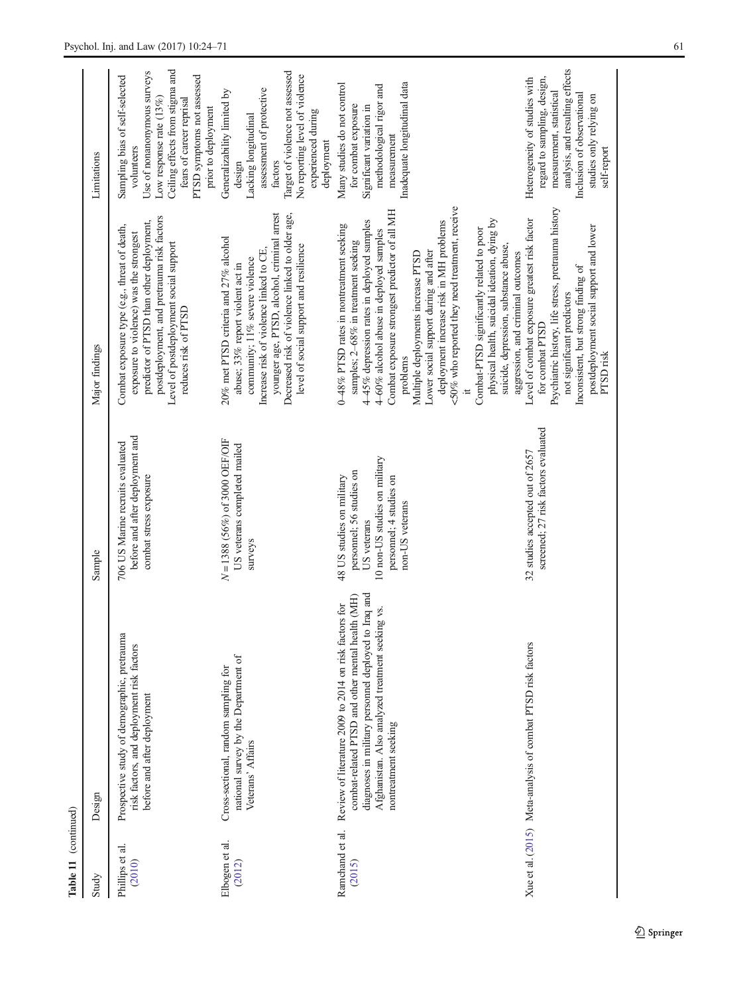| Study                     | Design                                                                                                                                                                                                                                        | Sample                                                                                                                                              | Major findings                                                                                                                                                                                                                                                                                                                                                                                                                                                                                                                                                                                       | Limitations                                                                                                                                                                                                                  |
|---------------------------|-----------------------------------------------------------------------------------------------------------------------------------------------------------------------------------------------------------------------------------------------|-----------------------------------------------------------------------------------------------------------------------------------------------------|------------------------------------------------------------------------------------------------------------------------------------------------------------------------------------------------------------------------------------------------------------------------------------------------------------------------------------------------------------------------------------------------------------------------------------------------------------------------------------------------------------------------------------------------------------------------------------------------------|------------------------------------------------------------------------------------------------------------------------------------------------------------------------------------------------------------------------------|
| Phillips et al.<br>(2010) | Prospective study of demographic, pretrauma<br>risk factors, and deployment risk factors<br>before and after deployment                                                                                                                       | before and after deployment and<br>706 US Marine recruits evaluated<br>combat stress exposure                                                       | postdeployment, and pretrauma risk factors<br>predictor of PTSD than other deployment,<br>Combat exposure type (e.g., threat of death,<br>exposure to violence) was the strongest<br>Level of postdeployment social support<br>reduces risk of PTSD                                                                                                                                                                                                                                                                                                                                                  | Ceiling effects from stigma and<br>Use of nonanonymous surveys<br>Sampling bias of self-selected<br>PTSD symptoms not assessed<br>Low response rate $(13%)$<br>fears of career reprisal<br>prior to deployment<br>volunteers |
| Elbogen et al.<br>(2012)  | national survey by the Department of<br>Cross-sectional, random sampling for<br>Veterans' Affairs                                                                                                                                             | $N = 1388$ (56%) of 3000 OEF/OIF<br>US veterans completed mailed<br>surveys                                                                         | younger age, PTSD, alcohol, criminal arrest<br>Decreased risk of violence linked to older age,<br>20% met PTSD criteria and 27% alcohol<br>level of social support and resilience<br>Increase risk of violence linked to CE,<br>community; 11% severe violence<br>abuse; 33% report violent act in                                                                                                                                                                                                                                                                                                   | Target of violence not assessed<br>No reporting level of violence<br>assessment of protective<br>Generalizability limited by<br>experienced during<br>Lacking longitudinal<br>deployment<br>factors<br>design                |
| Ramchand et al.<br>(2015) | diagnoses in military personnel deployed to Iraq and<br>combat-related PTSD and other mental health (MH)<br>Review of literature 2009 to 2014 on risk factors for<br>Afghanistan. Also analyzed treatment seeking vs.<br>nontreatment seeking | 10 non-US studies on military<br>personnel; 56 studies on<br>48 US studies on military<br>personnel; 4 studies on<br>non-US veterans<br>US veterans | <50% who reported they need treatment, receive<br>Combat exposure strongest predictor of all MH<br>physical health, suicidal ideation, dying by<br>deployment increase risk in MH problems<br>445% depression rates in deployed samples<br>0-48% PTSD rates in nontreatment seeking<br>Combat-PTSD significantly related to poor<br>4-60% alcohol abuse in deployed samples<br>samples; 2-68% in treatment seeking<br>suicide, depression, substance abuse,<br>Lower social support during and after<br>Multiple deployments increase PTSD<br>aggression, and criminal outcomes<br>problems<br>$\pm$ | Inadequate longitudinal data<br>Many studies do not control<br>methodological rigor and<br>for combat exposure<br>Significant variation in<br>measurement                                                                    |
|                           | Xue et al. (2015) Meta-analysis of combat PTSD risk factors                                                                                                                                                                                   | screened; 27 risk factors evaluated<br>32 studies accepted out of 2657                                                                              | Psychiatric history, life stress, pretrauma history<br>Level of combat exposure greatest risk factor<br>postdeployment social support and lower<br>Inconsistent, but strong finding of<br>not significant predictors<br>for combat PTSD<br>PTSD risk                                                                                                                                                                                                                                                                                                                                                 | analysis, and resulting effects<br>regard to sampling, design,<br>Heterogeneity of studies with<br>measurement, statistical<br>Inclusion of observational<br>studies only relying on<br>self-report                          |

Table 11 (continued)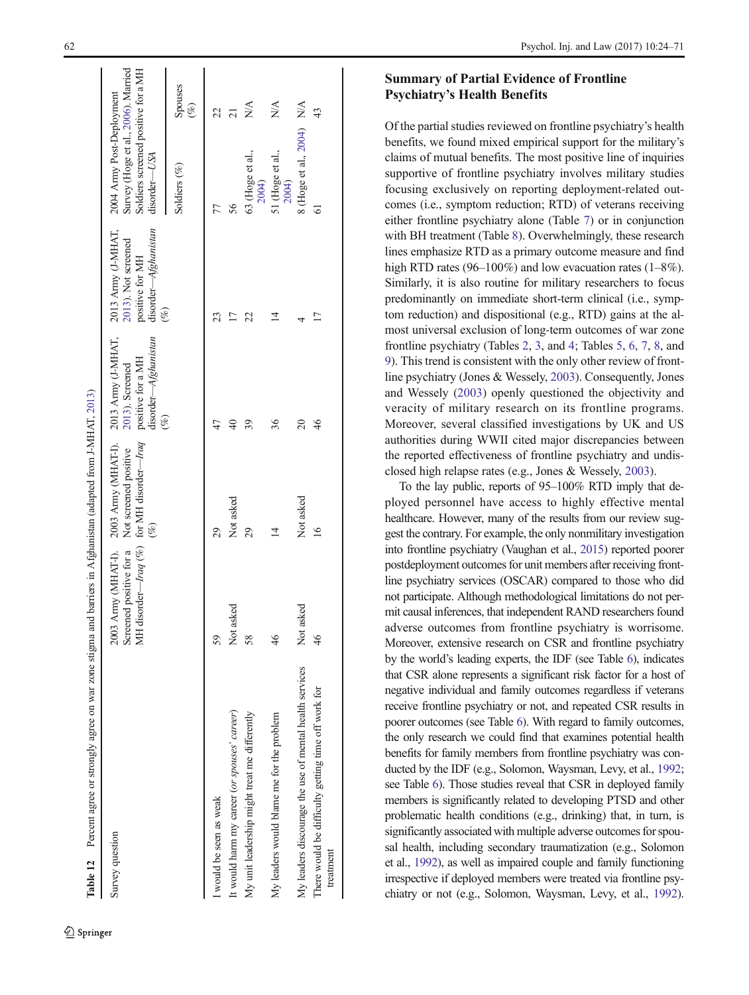<span id="page-38-0"></span>

| Table 12 Percent agree or strongly agree on war zone stigma and barriers in Afghanistan (adapted from J-MHAT, 2013) |                                               |                                                                                                                                  |                                                                        |                                                                          |                                                                                                                         |                              |
|---------------------------------------------------------------------------------------------------------------------|-----------------------------------------------|----------------------------------------------------------------------------------------------------------------------------------|------------------------------------------------------------------------|--------------------------------------------------------------------------|-------------------------------------------------------------------------------------------------------------------------|------------------------------|
| Survey question                                                                                                     | Screened positive for a Not screened positive | 2003 Army (MHAT-1). 2003 Army (MHAT-1). 2013 Army (J-MHAT, 2013 Army (J-MHAT,<br>MH disorder—Iraq (%) for MH disorder—Iraq<br>(% | disorder-Afghanistan<br>positive for a MH<br>2013). Screened<br>$(\%)$ | disorder-Afghanistan<br>2013). Not screened<br>positive for MH<br>$(\%)$ | Survey (Hoge et al., 2006). Married<br>Soldiers screened positive for a MH<br>2004 Army Post-Deployment<br>disorder-USA |                              |
|                                                                                                                     |                                               |                                                                                                                                  |                                                                        |                                                                          | Soldiers (%)                                                                                                            | Spouses<br>$(\%)$            |
| I would be seen as weak                                                                                             | 59                                            | 29                                                                                                                               | 47                                                                     | 23                                                                       |                                                                                                                         |                              |
| It would harm my career (or spouses' career)                                                                        | Not asked                                     | Not asked                                                                                                                        | $\overline{40}$                                                        | 17                                                                       | 56                                                                                                                      |                              |
| My unit leadership might treat me differently                                                                       | 58                                            | 29                                                                                                                               | 39                                                                     | 22                                                                       | 63 (Hoge et al.,<br>2004)                                                                                               | $\stackrel{\triangle}{\geq}$ |
| My leaders would blame me for the problem                                                                           | 46                                            | 14                                                                                                                               | 36                                                                     | 4                                                                        | 51 (Hoge et al.,<br>2004)                                                                                               | $\frac{\lambda}{\lambda}$    |
| My leaders discourage the use of mental health services                                                             | Not asked                                     | Not asked                                                                                                                        | $\overline{20}$                                                        |                                                                          | 8 (Hoge et al., 2004) N/A                                                                                               |                              |
| There would be difficulty getting time off work for<br>treatment                                                    | 46                                            | $\overline{16}$                                                                                                                  | 46                                                                     | 17                                                                       | 61                                                                                                                      | 43                           |
|                                                                                                                     |                                               |                                                                                                                                  |                                                                        |                                                                          |                                                                                                                         |                              |

# Summary of Partial Evidence of Frontline Psychiatry 's Health Benefits

Of the partial studies reviewed on frontline psychiatry 's health benefits, we found mixed empirical support for the military ' s claims of mutual benefits. The most positive line of inquiries supportive of frontline psychiatry involves military studies focusing exclusively on reporting deployment-related outcomes (i.e., symptom reduction; RTD) of veterans receiving either frontline psychiatry alone (Table [7](#page-28-0)) or in conjunction with BH treatment (Table [8](#page-29-0)). Overwhelmingly, these research lines emphasize RTD as a primary outcome measure and find high RTD rates (96–100%) and low evacuation rates (1–8%). Similarly, it is also routine for military researchers to focus predominantly on immediate short-term clinical (i.e., symptom reduction) and dispositional (e.g., RTD) gains at the almost universal exclusion of long-term outcomes of war zone frontline psychiatry (Tables [2](#page-4-0), [3](#page-10-0), and [4](#page-13-0); Tables [5](#page-16-0), [6](#page-20-0), [7](#page-28-0), [8](#page-29-0), and [9](#page-34-0)). This trend is consistent with the only other review of frontline psychiatry (Jones & Wessely, [2003](#page-45-0)). Consequently, Jones and Wessely ([2003\)](#page-45-0) openly questioned the objectivity and veracity of military research on its frontline programs. Moreover, several classified investigations by UK and US authorities during WWII cited major discrepancies between the reported effectiveness of frontline psychiatry and undisclosed high relapse rates (e.g., Jones & Wessely, [2003\)](#page-45-0).

To the lay public, reports of 95 –100% RTD imply that deployed personnel have access to highly effective mental healthcare. However, many of the results from our review suggest the contrary. For example, the only nonmilitary investigation into frontline psychiatry (Vaughan et al., [2015](#page-47-0)) reported poorer postdeployment outcomes for unit members after receiving frontline psychiatry services (OSCAR) compared to those who did not participate. Although methodological limitations do not permit causal inferences, that independent RAND researchers found adverse outcomes from frontline psychiatry is worrisome. Moreover, extensive research on CSR and frontline psychiatry by the world 's leading experts, the IDF (see Table [6](#page-20-0)), indicates that CSR alone represents a significant risk factor for a host of negative individual and family outcomes regardless if veterans receive frontline psychiatry or not, and repeated CSR results in poorer outcomes (see Table [6\)](#page-20-0). With regard to family outcomes, the only research we could find that examines potential health benefits for family members from frontline psychiatry was conducted by the IDF (e.g., Solomon, Waysman, Levy, et al., [1992;](#page-47-0) see Table [6\)](#page-20-0). Those studies reveal that CSR in deployed family members is significantly related to developing PTSD and other problematic health conditions (e.g., drinking) that, in turn, is significantly associated with multiple adverse outcomes for spousal health, including secondary traumatization (e.g., Solomon et al., [1992\)](#page-47-0), as well as impaired couple and family functioning irrespective if deployed members were treated via frontline psychiatry or not (e.g., Solomon, Waysman, Levy, et al., [1992\)](#page-47-0).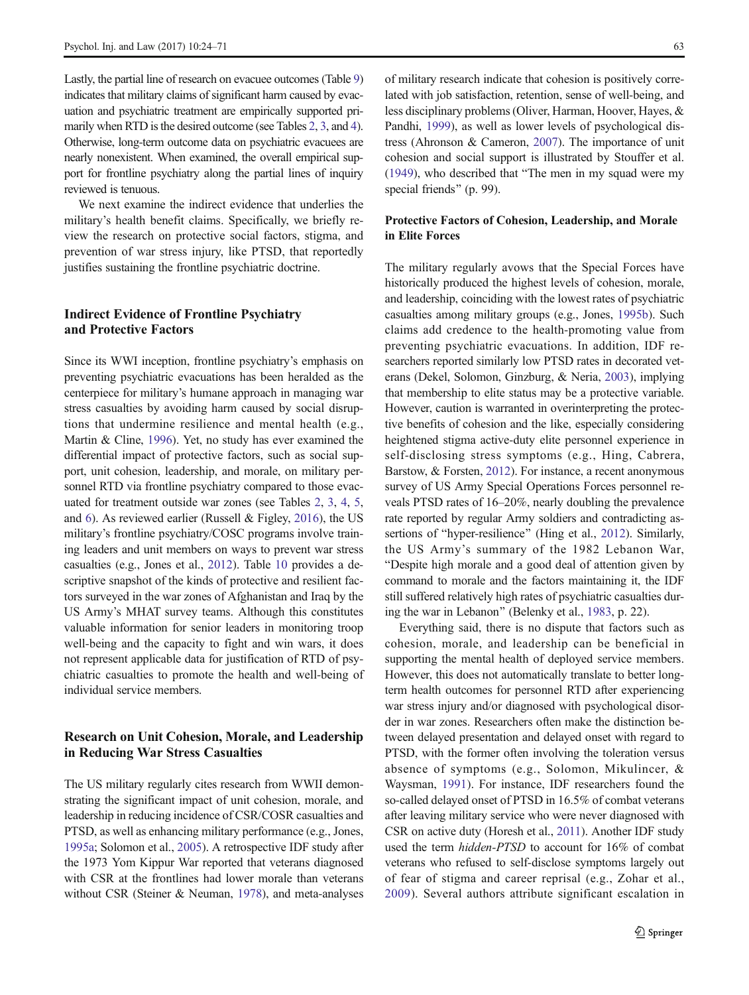Lastly, the partial line of research on evacuee outcomes (Table [9\)](#page-34-0) indicates that military claims of significant harm caused by evacuation and psychiatric treatment are empirically supported primarily when RTD is the desired outcome (see Tables [2](#page-4-0), [3](#page-10-0), and [4\)](#page-13-0). Otherwise, long-term outcome data on psychiatric evacuees are nearly nonexistent. When examined, the overall empirical support for frontline psychiatry along the partial lines of inquiry reviewed is tenuous.

We next examine the indirect evidence that underlies the military's health benefit claims. Specifically, we briefly review the research on protective social factors, stigma, and prevention of war stress injury, like PTSD, that reportedly justifies sustaining the frontline psychiatric doctrine.

#### Indirect Evidence of Frontline Psychiatry and Protective Factors

Since its WWI inception, frontline psychiatry's emphasis on preventing psychiatric evacuations has been heralded as the centerpiece for military's humane approach in managing war stress casualties by avoiding harm caused by social disruptions that undermine resilience and mental health (e.g., Martin & Cline, [1996\)](#page-46-0). Yet, no study has ever examined the differential impact of protective factors, such as social support, unit cohesion, leadership, and morale, on military personnel RTD via frontline psychiatry compared to those evacuated for treatment outside war zones (see Tables [2](#page-4-0), [3,](#page-10-0) [4](#page-13-0), [5,](#page-16-0) and [6\)](#page-20-0). As reviewed earlier (Russell & Figley, [2016\)](#page-46-0), the US military's frontline psychiatry/COSC programs involve training leaders and unit members on ways to prevent war stress casualties (e.g., Jones et al., [2012\)](#page-45-0). Table [10](#page-35-0) provides a descriptive snapshot of the kinds of protective and resilient factors surveyed in the war zones of Afghanistan and Iraq by the US Army's MHAT survey teams. Although this constitutes valuable information for senior leaders in monitoring troop well-being and the capacity to fight and win wars, it does not represent applicable data for justification of RTD of psychiatric casualties to promote the health and well-being of individual service members.

# Research on Unit Cohesion, Morale, and Leadership in Reducing War Stress Casualties

The US military regularly cites research from WWII demonstrating the significant impact of unit cohesion, morale, and leadership in reducing incidence of CSR/COSR casualties and PTSD, as well as enhancing military performance (e.g., Jones, [1995a;](#page-45-0) Solomon et al., [2005\)](#page-47-0). A retrospective IDF study after the 1973 Yom Kippur War reported that veterans diagnosed with CSR at the frontlines had lower morale than veterans without CSR (Steiner & Neuman, [1978](#page-47-0)), and meta-analyses of military research indicate that cohesion is positively correlated with job satisfaction, retention, sense of well-being, and less disciplinary problems (Oliver, Harman, Hoover, Hayes, & Pandhi, [1999](#page-46-0)), as well as lower levels of psychological distress (Ahronson & Cameron, [2007\)](#page-44-0). The importance of unit cohesion and social support is illustrated by Stouffer et al.  $(1949)$ , who described that "The men in my squad were my special friends" (p. 99).

#### Protective Factors of Cohesion, Leadership, and Morale in Elite Forces

The military regularly avows that the Special Forces have historically produced the highest levels of cohesion, morale, and leadership, coinciding with the lowest rates of psychiatric casualties among military groups (e.g., Jones, [1995b\)](#page-45-0). Such claims add credence to the health-promoting value from preventing psychiatric evacuations. In addition, IDF researchers reported similarly low PTSD rates in decorated veterans (Dekel, Solomon, Ginzburg, & Neria, [2003\)](#page-44-0), implying that membership to elite status may be a protective variable. However, caution is warranted in overinterpreting the protective benefits of cohesion and the like, especially considering heightened stigma active-duty elite personnel experience in self-disclosing stress symptoms (e.g., Hing, Cabrera, Barstow, & Forsten, [2012](#page-45-0)). For instance, a recent anonymous survey of US Army Special Operations Forces personnel reveals PTSD rates of 16–20%, nearly doubling the prevalence rate reported by regular Army soldiers and contradicting as-sertions of "hyper-resilience" (Hing et al., [2012\)](#page-45-0). Similarly, the US Army's summary of the 1982 Lebanon War, "Despite high morale and a good deal of attention given by command to morale and the factors maintaining it, the IDF still suffered relatively high rates of psychiatric casualties dur-ing the war in Lebanon" (Belenky et al., [1983](#page-44-0), p. 22).

Everything said, there is no dispute that factors such as cohesion, morale, and leadership can be beneficial in supporting the mental health of deployed service members. However, this does not automatically translate to better longterm health outcomes for personnel RTD after experiencing war stress injury and/or diagnosed with psychological disorder in war zones. Researchers often make the distinction between delayed presentation and delayed onset with regard to PTSD, with the former often involving the toleration versus absence of symptoms (e.g., Solomon, Mikulincer, & Waysman, [1991](#page-47-0)). For instance, IDF researchers found the so-called delayed onset of PTSD in 16.5% of combat veterans after leaving military service who were never diagnosed with CSR on active duty (Horesh et al., [2011](#page-45-0)). Another IDF study used the term hidden-PTSD to account for 16% of combat veterans who refused to self-disclose symptoms largely out of fear of stigma and career reprisal (e.g., Zohar et al., [2009\)](#page-47-0). Several authors attribute significant escalation in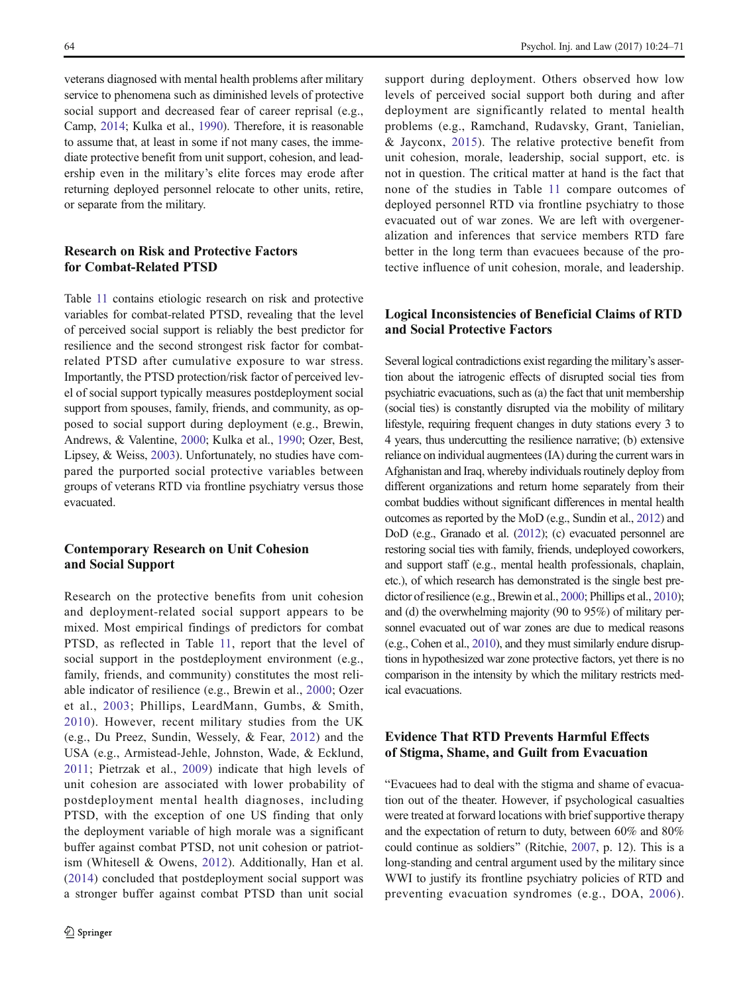veterans diagnosed with mental health problems after military service to phenomena such as diminished levels of protective social support and decreased fear of career reprisal (e.g., Camp, [2014;](#page-44-0) Kulka et al., [1990](#page-45-0)). Therefore, it is reasonable to assume that, at least in some if not many cases, the immediate protective benefit from unit support, cohesion, and leadership even in the military's elite forces may erode after returning deployed personnel relocate to other units, retire, or separate from the military.

## Research on Risk and Protective Factors for Combat-Related PTSD

Table [11](#page-36-0) contains etiologic research on risk and protective variables for combat-related PTSD, revealing that the level of perceived social support is reliably the best predictor for resilience and the second strongest risk factor for combatrelated PTSD after cumulative exposure to war stress. Importantly, the PTSD protection/risk factor of perceived level of social support typically measures postdeployment social support from spouses, family, friends, and community, as opposed to social support during deployment (e.g., Brewin, Andrews, & Valentine, [2000;](#page-44-0) Kulka et al., [1990](#page-45-0); Ozer, Best, Lipsey, & Weiss, [2003\)](#page-46-0). Unfortunately, no studies have compared the purported social protective variables between groups of veterans RTD via frontline psychiatry versus those evacuated.

#### Contemporary Research on Unit Cohesion and Social Support

Research on the protective benefits from unit cohesion and deployment-related social support appears to be mixed. Most empirical findings of predictors for combat PTSD, as reflected in Table [11](#page-36-0), report that the level of social support in the postdeployment environment (e.g., family, friends, and community) constitutes the most reliable indicator of resilience (e.g., Brewin et al., [2000](#page-44-0); Ozer et al., [2003;](#page-46-0) Phillips, LeardMann, Gumbs, & Smith, [2010](#page-46-0)). However, recent military studies from the UK (e.g., Du Preez, Sundin, Wessely, & Fear, [2012](#page-44-0)) and the USA (e.g., Armistead-Jehle, Johnston, Wade, & Ecklund, [2011](#page-44-0); Pietrzak et al., [2009\)](#page-46-0) indicate that high levels of unit cohesion are associated with lower probability of postdeployment mental health diagnoses, including PTSD, with the exception of one US finding that only the deployment variable of high morale was a significant buffer against combat PTSD, not unit cohesion or patriotism (Whitesell & Owens, [2012](#page-47-0)). Additionally, Han et al. [\(2014\)](#page-45-0) concluded that postdeployment social support was a stronger buffer against combat PTSD than unit social

support during deployment. Others observed how low levels of perceived social support both during and after deployment are significantly related to mental health problems (e.g., Ramchand, Rudavsky, Grant, Tanielian, & Jayconx, [2015\)](#page-46-0). The relative protective benefit from unit cohesion, morale, leadership, social support, etc. is not in question. The critical matter at hand is the fact that none of the studies in Table [11](#page-36-0) compare outcomes of deployed personnel RTD via frontline psychiatry to those evacuated out of war zones. We are left with overgeneralization and inferences that service members RTD fare better in the long term than evacuees because of the protective influence of unit cohesion, morale, and leadership.

# Logical Inconsistencies of Beneficial Claims of RTD and Social Protective Factors

Several logical contradictions exist regarding the military's assertion about the iatrogenic effects of disrupted social ties from psychiatric evacuations, such as (a) the fact that unit membership (social ties) is constantly disrupted via the mobility of military lifestyle, requiring frequent changes in duty stations every 3 to 4 years, thus undercutting the resilience narrative; (b) extensive reliance on individual augmentees (IA) during the current wars in Afghanistan and Iraq, whereby individuals routinely deploy from different organizations and return home separately from their combat buddies without significant differences in mental health outcomes as reported by the MoD (e.g., Sundin et al., [2012](#page-47-0)) and DoD (e.g., Granado et al. [\(2012](#page-44-0)); (c) evacuated personnel are restoring social ties with family, friends, undeployed coworkers, and support staff (e.g., mental health professionals, chaplain, etc.), of which research has demonstrated is the single best predictor of resilience (e.g., Brewin et al., [2000;](#page-44-0) Phillips et al., [2010\)](#page-46-0); and (d) the overwhelming majority (90 to 95%) of military personnel evacuated out of war zones are due to medical reasons (e.g., Cohen et al., [2010](#page-44-0)), and they must similarly endure disruptions in hypothesized war zone protective factors, yet there is no comparison in the intensity by which the military restricts medical evacuations.

# Evidence That RTD Prevents Harmful Effects of Stigma, Shame, and Guilt from Evacuation

BEvacuees had to deal with the stigma and shame of evacuation out of the theater. However, if psychological casualties were treated at forward locations with brief supportive therapy and the expectation of return to duty, between 60% and 80% could continue as soldiers" (Ritchie, [2007](#page-46-0), p. 12). This is a long-standing and central argument used by the military since WWI to justify its frontline psychiatry policies of RTD and preventing evacuation syndromes (e.g., DOA, [2006](#page-44-0)).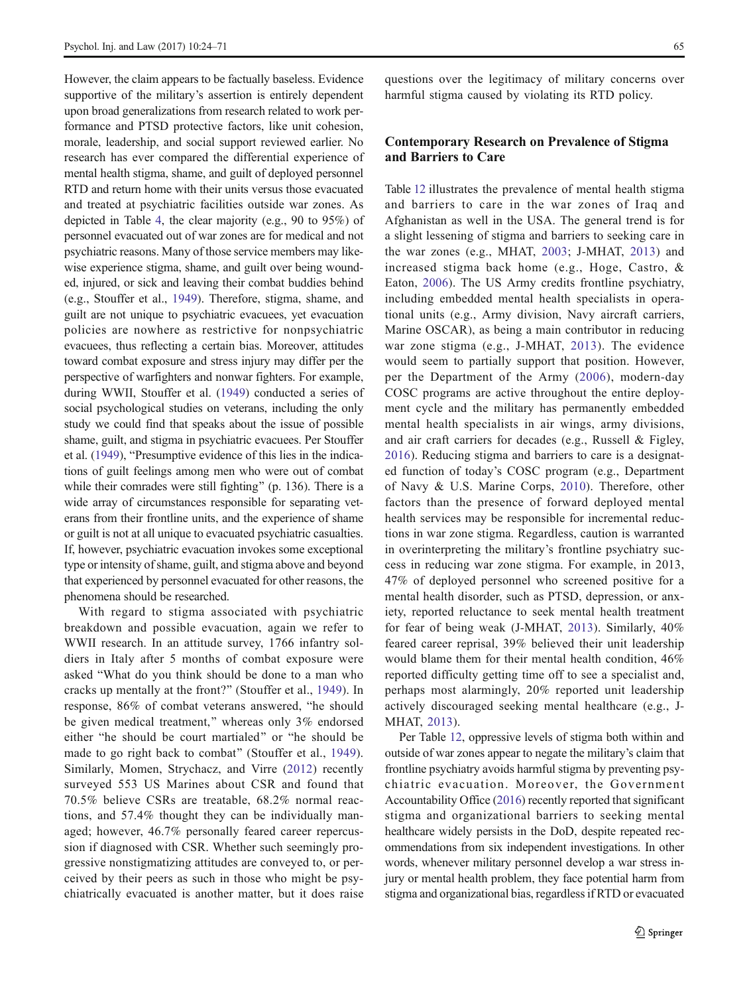However, the claim appears to be factually baseless. Evidence supportive of the military's assertion is entirely dependent upon broad generalizations from research related to work performance and PTSD protective factors, like unit cohesion, morale, leadership, and social support reviewed earlier. No research has ever compared the differential experience of mental health stigma, shame, and guilt of deployed personnel RTD and return home with their units versus those evacuated and treated at psychiatric facilities outside war zones. As depicted in Table [4](#page-13-0), the clear majority (e.g., 90 to 95%) of personnel evacuated out of war zones are for medical and not psychiatric reasons. Many of those service members may likewise experience stigma, shame, and guilt over being wounded, injured, or sick and leaving their combat buddies behind (e.g., Stouffer et al., [1949\)](#page-47-0). Therefore, stigma, shame, and guilt are not unique to psychiatric evacuees, yet evacuation policies are nowhere as restrictive for nonpsychiatric evacuees, thus reflecting a certain bias. Moreover, attitudes toward combat exposure and stress injury may differ per the perspective of warfighters and nonwar fighters. For example, during WWII, Stouffer et al. [\(1949](#page-47-0)) conducted a series of social psychological studies on veterans, including the only study we could find that speaks about the issue of possible shame, guilt, and stigma in psychiatric evacuees. Per Stouffer et al. [\(1949\)](#page-47-0), "Presumptive evidence of this lies in the indications of guilt feelings among men who were out of combat while their comrades were still fighting" (p. 136). There is a wide array of circumstances responsible for separating veterans from their frontline units, and the experience of shame or guilt is not at all unique to evacuated psychiatric casualties. If, however, psychiatric evacuation invokes some exceptional type or intensity of shame, guilt, and stigma above and beyond that experienced by personnel evacuated for other reasons, the phenomena should be researched.

With regard to stigma associated with psychiatric breakdown and possible evacuation, again we refer to WWII research. In an attitude survey, 1766 infantry soldiers in Italy after 5 months of combat exposure were asked "What do you think should be done to a man who cracks up mentally at the front?" (Stouffer et al., [1949](#page-47-0)). In response, 86% of combat veterans answered, "he should be given medical treatment," whereas only 3% endorsed either "he should be court martialed" or "he should be made to go right back to combat" (Stouffer et al., [1949](#page-47-0)). Similarly, Momen, Strychacz, and Virre [\(2012\)](#page-46-0) recently surveyed 553 US Marines about CSR and found that 70.5% believe CSRs are treatable, 68.2% normal reactions, and 57.4% thought they can be individually managed; however, 46.7% personally feared career repercussion if diagnosed with CSR. Whether such seemingly progressive nonstigmatizing attitudes are conveyed to, or perceived by their peers as such in those who might be psychiatrically evacuated is another matter, but it does raise questions over the legitimacy of military concerns over harmful stigma caused by violating its RTD policy.

## Contemporary Research on Prevalence of Stigma and Barriers to Care

Table [12](#page-38-0) illustrates the prevalence of mental health stigma and barriers to care in the war zones of Iraq and Afghanistan as well in the USA. The general trend is for a slight lessening of stigma and barriers to seeking care in the war zones (e.g., MHAT, [2003;](#page-46-0) J-MHAT, [2013\)](#page-45-0) and increased stigma back home (e.g., Hoge, Castro, & Eaton, [2006\)](#page-45-0). The US Army credits frontline psychiatry, including embedded mental health specialists in operational units (e.g., Army division, Navy aircraft carriers, Marine OSCAR), as being a main contributor in reducing war zone stigma (e.g., J-MHAT, [2013](#page-45-0)). The evidence would seem to partially support that position. However, per the Department of the Army ([2006](#page-44-0)), modern-day COSC programs are active throughout the entire deployment cycle and the military has permanently embedded mental health specialists in air wings, army divisions, and air craft carriers for decades (e.g., Russell & Figley, [2016](#page-46-0)). Reducing stigma and barriers to care is a designated function of today's COSC program (e.g., Department of Navy & U.S. Marine Corps, [2010](#page-44-0)). Therefore, other factors than the presence of forward deployed mental health services may be responsible for incremental reductions in war zone stigma. Regardless, caution is warranted in overinterpreting the military's frontline psychiatry success in reducing war zone stigma. For example, in 2013, 47% of deployed personnel who screened positive for a mental health disorder, such as PTSD, depression, or anxiety, reported reluctance to seek mental health treatment for fear of being weak (J-MHAT, [2013](#page-45-0)). Similarly, 40% feared career reprisal, 39% believed their unit leadership would blame them for their mental health condition, 46% reported difficulty getting time off to see a specialist and, perhaps most alarmingly, 20% reported unit leadership actively discouraged seeking mental healthcare (e.g., J-MHAT, [2013](#page-45-0)).

Per Table [12](#page-38-0), oppressive levels of stigma both within and outside of war zones appear to negate the military's claim that frontline psychiatry avoids harmful stigma by preventing psychiatric evacuation. Moreover, the Government Accountability Office [\(2016\)](#page-44-0) recently reported that significant stigma and organizational barriers to seeking mental healthcare widely persists in the DoD, despite repeated recommendations from six independent investigations. In other words, whenever military personnel develop a war stress injury or mental health problem, they face potential harm from stigma and organizational bias, regardless if RTD or evacuated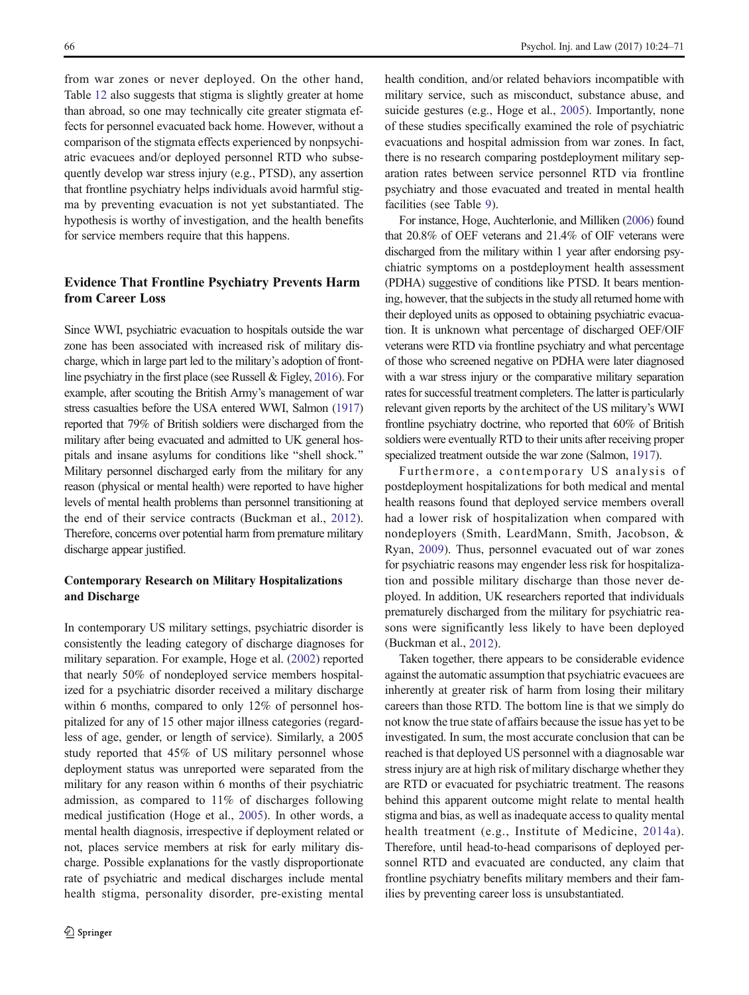from war zones or never deployed. On the other hand, Table [12](#page-38-0) also suggests that stigma is slightly greater at home than abroad, so one may technically cite greater stigmata effects for personnel evacuated back home. However, without a comparison of the stigmata effects experienced by nonpsychiatric evacuees and/or deployed personnel RTD who subsequently develop war stress injury (e.g., PTSD), any assertion that frontline psychiatry helps individuals avoid harmful stigma by preventing evacuation is not yet substantiated. The hypothesis is worthy of investigation, and the health benefits for service members require that this happens.

# Evidence That Frontline Psychiatry Prevents Harm from Career Loss

Since WWI, psychiatric evacuation to hospitals outside the war zone has been associated with increased risk of military discharge, which in large part led to the military's adoption of frontline psychiatry in the first place (see Russell & Figley, [2016\)](#page-46-0). For example, after scouting the British Army's management of war stress casualties before the USA entered WWI, Salmon [\(1917\)](#page-46-0) reported that 79% of British soldiers were discharged from the military after being evacuated and admitted to UK general hospitals and insane asylums for conditions like "shell shock." Military personnel discharged early from the military for any reason (physical or mental health) were reported to have higher levels of mental health problems than personnel transitioning at the end of their service contracts (Buckman et al., [2012](#page-44-0)). Therefore, concerns over potential harm from premature military discharge appear justified.

#### Contemporary Research on Military Hospitalizations and Discharge

In contemporary US military settings, psychiatric disorder is consistently the leading category of discharge diagnoses for military separation. For example, Hoge et al. ([2002](#page-45-0)) reported that nearly 50% of nondeployed service members hospitalized for a psychiatric disorder received a military discharge within 6 months, compared to only 12% of personnel hospitalized for any of 15 other major illness categories (regardless of age, gender, or length of service). Similarly, a 2005 study reported that 45% of US military personnel whose deployment status was unreported were separated from the military for any reason within 6 months of their psychiatric admission, as compared to 11% of discharges following medical justification (Hoge et al., [2005](#page-45-0)). In other words, a mental health diagnosis, irrespective if deployment related or not, places service members at risk for early military discharge. Possible explanations for the vastly disproportionate rate of psychiatric and medical discharges include mental health stigma, personality disorder, pre-existing mental health condition, and/or related behaviors incompatible with military service, such as misconduct, substance abuse, and suicide gestures (e.g., Hoge et al., [2005](#page-45-0)). Importantly, none of these studies specifically examined the role of psychiatric evacuations and hospital admission from war zones. In fact, there is no research comparing postdeployment military separation rates between service personnel RTD via frontline psychiatry and those evacuated and treated in mental health facilities (see Table [9\)](#page-34-0).

For instance, Hoge, Auchterlonie, and Milliken [\(2006\)](#page-45-0) found that 20.8% of OEF veterans and 21.4% of OIF veterans were discharged from the military within 1 year after endorsing psychiatric symptoms on a postdeployment health assessment (PDHA) suggestive of conditions like PTSD. It bears mentioning, however, that the subjects in the study all returned home with their deployed units as opposed to obtaining psychiatric evacuation. It is unknown what percentage of discharged OEF/OIF veterans were RTD via frontline psychiatry and what percentage of those who screened negative on PDHA were later diagnosed with a war stress injury or the comparative military separation rates for successful treatment completers. The latter is particularly relevant given reports by the architect of the US military's WWI frontline psychiatry doctrine, who reported that 60% of British soldiers were eventually RTD to their units after receiving proper specialized treatment outside the war zone (Salmon, [1917](#page-46-0)).

Furthermore, a contemporary US analysis of postdeployment hospitalizations for both medical and mental health reasons found that deployed service members overall had a lower risk of hospitalization when compared with nondeployers (Smith, LeardMann, Smith, Jacobson, & Ryan, [2009](#page-46-0)). Thus, personnel evacuated out of war zones for psychiatric reasons may engender less risk for hospitalization and possible military discharge than those never deployed. In addition, UK researchers reported that individuals prematurely discharged from the military for psychiatric reasons were significantly less likely to have been deployed (Buckman et al., [2012\)](#page-44-0).

Taken together, there appears to be considerable evidence against the automatic assumption that psychiatric evacuees are inherently at greater risk of harm from losing their military careers than those RTD. The bottom line is that we simply do not know the true state of affairs because the issue has yet to be investigated. In sum, the most accurate conclusion that can be reached is that deployed US personnel with a diagnosable war stress injury are at high risk of military discharge whether they are RTD or evacuated for psychiatric treatment. The reasons behind this apparent outcome might relate to mental health stigma and bias, as well as inadequate access to quality mental health treatment (e.g., Institute of Medicine, [2014a](#page-45-0)). Therefore, until head-to-head comparisons of deployed personnel RTD and evacuated are conducted, any claim that frontline psychiatry benefits military members and their families by preventing career loss is unsubstantiated.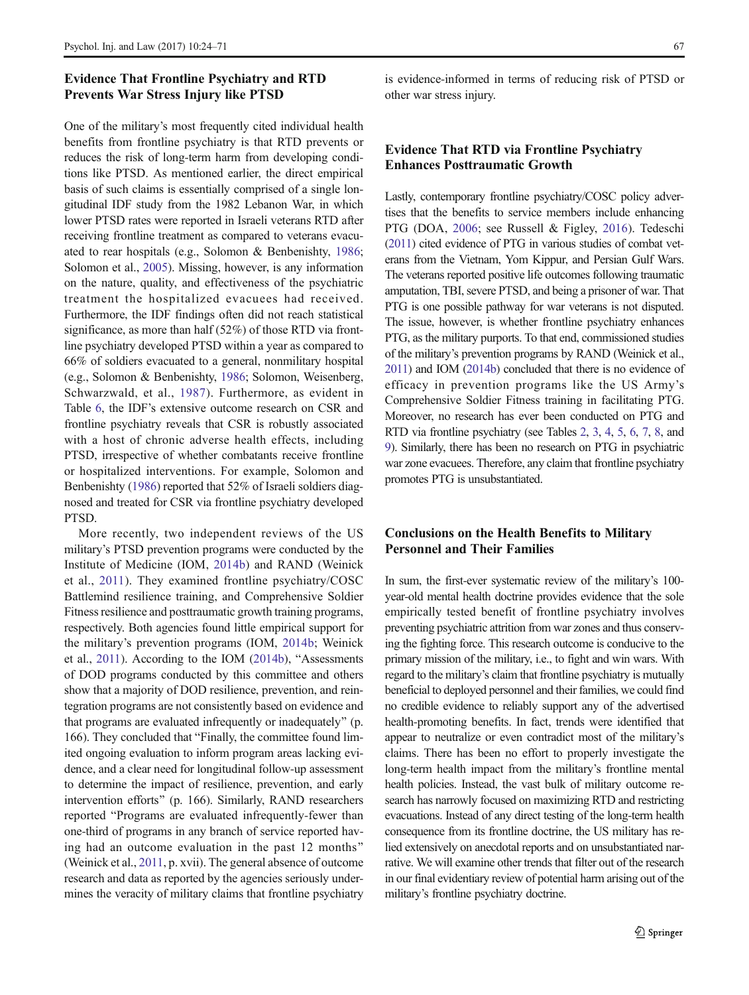### Evidence That Frontline Psychiatry and RTD Prevents War Stress Injury like PTSD

One of the military's most frequently cited individual health benefits from frontline psychiatry is that RTD prevents or reduces the risk of long-term harm from developing conditions like PTSD. As mentioned earlier, the direct empirical basis of such claims is essentially comprised of a single longitudinal IDF study from the 1982 Lebanon War, in which lower PTSD rates were reported in Israeli veterans RTD after receiving frontline treatment as compared to veterans evacuated to rear hospitals (e.g., Solomon & Benbenishty, [1986](#page-46-0); Solomon et al., [2005](#page-47-0)). Missing, however, is any information on the nature, quality, and effectiveness of the psychiatric treatment the hospitalized evacuees had received. Furthermore, the IDF findings often did not reach statistical significance, as more than half (52%) of those RTD via frontline psychiatry developed PTSD within a year as compared to 66% of soldiers evacuated to a general, nonmilitary hospital (e.g., Solomon & Benbenishty, [1986](#page-46-0); Solomon, Weisenberg, Schwarzwald, et al., [1987\)](#page-47-0). Furthermore, as evident in Table [6,](#page-20-0) the IDF's extensive outcome research on CSR and frontline psychiatry reveals that CSR is robustly associated with a host of chronic adverse health effects, including PTSD, irrespective of whether combatants receive frontline or hospitalized interventions. For example, Solomon and Benbenishty ([1986](#page-46-0)) reported that 52% of Israeli soldiers diagnosed and treated for CSR via frontline psychiatry developed PTSD.

More recently, two independent reviews of the US military's PTSD prevention programs were conducted by the Institute of Medicine (IOM, [2014b](#page-45-0)) and RAND (Weinick et al., [2011](#page-47-0)). They examined frontline psychiatry/COSC Battlemind resilience training, and Comprehensive Soldier Fitness resilience and posttraumatic growth training programs, respectively. Both agencies found little empirical support for the military's prevention programs (IOM, [2014b;](#page-45-0) Weinick et al.,  $2011$ ). According to the IOM ( $2014b$ ), "Assessments of DOD programs conducted by this committee and others show that a majority of DOD resilience, prevention, and reintegration programs are not consistently based on evidence and that programs are evaluated infrequently or inadequately^ (p. 166). They concluded that "Finally, the committee found limited ongoing evaluation to inform program areas lacking evidence, and a clear need for longitudinal follow-up assessment to determine the impact of resilience, prevention, and early intervention efforts" (p. 166). Similarly, RAND researchers reported "Programs are evaluated infrequently-fewer than one-third of programs in any branch of service reported having had an outcome evaluation in the past 12 months^ (Weinick et al., [2011,](#page-47-0) p. xvii). The general absence of outcome research and data as reported by the agencies seriously undermines the veracity of military claims that frontline psychiatry

is evidence-informed in terms of reducing risk of PTSD or other war stress injury.

## Evidence That RTD via Frontline Psychiatry Enhances Posttraumatic Growth

Lastly, contemporary frontline psychiatry/COSC policy advertises that the benefits to service members include enhancing PTG (DOA, [2006](#page-44-0); see Russell & Figley, [2016](#page-46-0)). Tedeschi [\(2011\)](#page-47-0) cited evidence of PTG in various studies of combat veterans from the Vietnam, Yom Kippur, and Persian Gulf Wars. The veterans reported positive life outcomes following traumatic amputation, TBI, severe PTSD, and being a prisoner of war. That PTG is one possible pathway for war veterans is not disputed. The issue, however, is whether frontline psychiatry enhances PTG, as the military purports. To that end, commissioned studies of the military's prevention programs by RAND (Weinick et al., [2011\)](#page-47-0) and IOM [\(2014b\)](#page-45-0) concluded that there is no evidence of efficacy in prevention programs like the US Army's Comprehensive Soldier Fitness training in facilitating PTG. Moreover, no research has ever been conducted on PTG and RTD via frontline psychiatry (see Tables [2](#page-4-0), [3](#page-10-0), [4,](#page-13-0) [5,](#page-16-0) [6,](#page-20-0) [7](#page-28-0), [8](#page-29-0), and [9\)](#page-34-0). Similarly, there has been no research on PTG in psychiatric war zone evacuees. Therefore, any claim that frontline psychiatry promotes PTG is unsubstantiated.

#### Conclusions on the Health Benefits to Military Personnel and Their Families

In sum, the first-ever systematic review of the military's 100 year-old mental health doctrine provides evidence that the sole empirically tested benefit of frontline psychiatry involves preventing psychiatric attrition from war zones and thus conserving the fighting force. This research outcome is conducive to the primary mission of the military, i.e., to fight and win wars. With regard to the military's claim that frontline psychiatry is mutually beneficial to deployed personnel and their families, we could find no credible evidence to reliably support any of the advertised health-promoting benefits. In fact, trends were identified that appear to neutralize or even contradict most of the military's claims. There has been no effort to properly investigate the long-term health impact from the military's frontline mental health policies. Instead, the vast bulk of military outcome research has narrowly focused on maximizing RTD and restricting evacuations. Instead of any direct testing of the long-term health consequence from its frontline doctrine, the US military has relied extensively on anecdotal reports and on unsubstantiated narrative. We will examine other trends that filter out of the research in our final evidentiary review of potential harm arising out of the military's frontline psychiatry doctrine.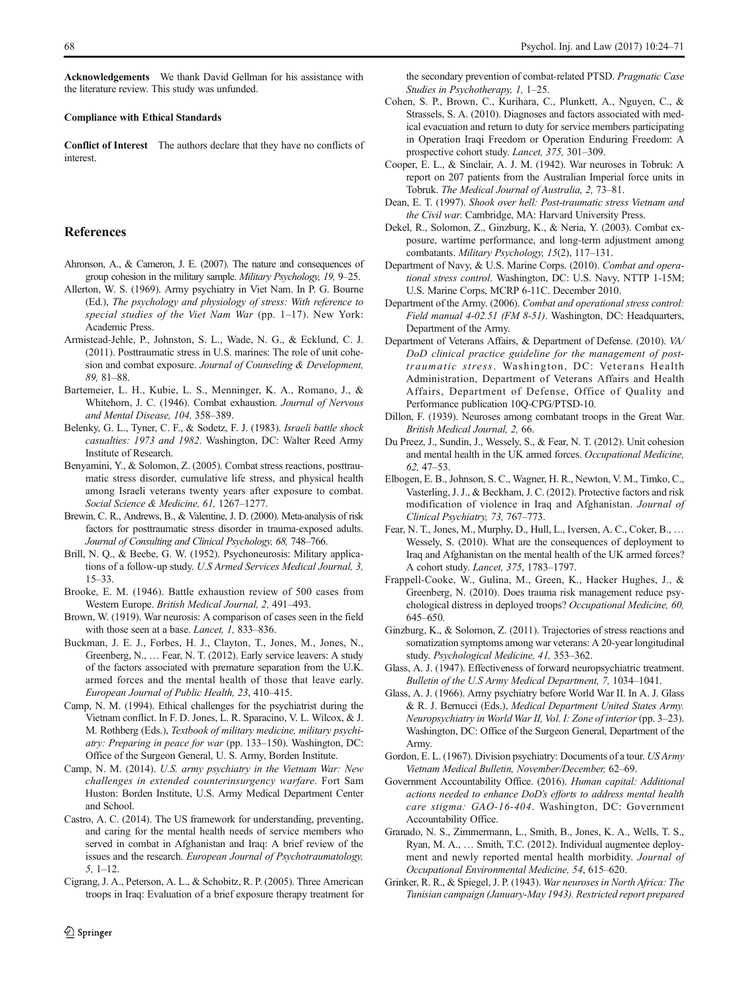<span id="page-44-0"></span>Acknowledgements We thank David Gellman for his assistance with the literature review. This study was unfunded.

#### Compliance with Ethical Standards

Conflict of Interest The authors declare that they have no conflicts of interest.

#### References

- Ahronson, A., & Cameron, J. E. (2007). The nature and consequences of group cohesion in the military sample. Military Psychology, 19, 9–25.
- Allerton, W. S. (1969). Army psychiatry in Viet Nam. In P. G. Bourne (Ed.), The psychology and physiology of stress: With reference to special studies of the Viet Nam War (pp. 1–17). New York: Academic Press.
- Armistead-Jehle, P., Johnston, S. L., Wade, N. G., & Ecklund, C. J. (2011). Posttraumatic stress in U.S. marines: The role of unit cohesion and combat exposure. Journal of Counseling & Development, 89, 81–88.
- Bartemeier, L. H., Kubie, L. S., Menninger, K. A., Romano, J., & Whitehorn, J. C. (1946). Combat exhaustion. Journal of Nervous and Mental Disease, 104, 358–389.
- Belenky, G. L., Tyner, C. F., & Sodetz, F. J. (1983). Israeli battle shock casualties: 1973 and 1982. Washington, DC: Walter Reed Army Institute of Research.
- Benyamini, Y., & Solomon, Z. (2005). Combat stress reactions, posttraumatic stress disorder, cumulative life stress, and physical health among Israeli veterans twenty years after exposure to combat. Social Science & Medicine, 61, 1267–1277.
- Brewin, C. R., Andrews, B., & Valentine, J. D. (2000). Meta-analysis of risk factors for posttraumatic stress disorder in trauma-exposed adults. Journal of Consulting and Clinical Psychology, 68, 748–766.
- Brill, N. Q., & Beebe, G. W. (1952). Psychoneurosis: Military applications of a follow-up study. U.S Armed Services Medical Journal, 3, 15–33.
- Brooke, E. M. (1946). Battle exhaustion review of 500 cases from Western Europe. British Medical Journal, 2, 491–493.
- Brown, W. (1919). War neurosis: A comparison of cases seen in the field with those seen at a base. Lancet, 1, 833–836.
- Buckman, J. E. J., Forbes, H. J., Clayton, T., Jones, M., Jones, N., Greenberg, N., … Fear, N. T. (2012). Early service leavers: A study of the factors associated with premature separation from the U.K. armed forces and the mental health of those that leave early. European Journal of Public Health, 23, 410–415.
- Camp, N. M. (1994). Ethical challenges for the psychiatrist during the Vietnam conflict. In F. D. Jones, L. R. Sparacino, V. L. Wilcox, & J. M. Rothberg (Eds.), Textbook of military medicine, military psychiatry: Preparing in peace for war (pp. 133–150). Washington, DC: Office of the Surgeon General, U. S. Army, Borden Institute.
- Camp, N. M. (2014). U.S. army psychiatry in the Vietnam War: New challenges in extended counterinsurgency warfare. Fort Sam Huston: Borden Institute, U.S. Army Medical Department Center and School.
- Castro, A. C. (2014). The US framework for understanding, preventing, and caring for the mental health needs of service members who served in combat in Afghanistan and Iraq: A brief review of the issues and the research. European Journal of Psychotraumatology, 5, 1–12.
- Cigrang, J. A., Peterson, A. L., & Schobitz, R. P. (2005). Three American troops in Iraq: Evaluation of a brief exposure therapy treatment for

the secondary prevention of combat-related PTSD. Pragmatic Case Studies in Psychotherapy, 1, 1–25.

- Cohen, S. P., Brown, C., Kurihara, C., Plunkett, A., Nguyen, C., & Strassels, S. A. (2010). Diagnoses and factors associated with medical evacuation and return to duty for service members participating in Operation Iraqi Freedom or Operation Enduring Freedom: A prospective cohort study. Lancet, 375, 301–309.
- Cooper, E. L., & Sinclair, A. J. M. (1942). War neuroses in Tobruk: A report on 207 patients from the Australian Imperial force units in Tobruk. The Medical Journal of Australia, 2, 73–81.
- Dean, E. T. (1997). Shook over hell: Post-traumatic stress Vietnam and the Civil war. Cambridge, MA: Harvard University Press.
- Dekel, R., Solomon, Z., Ginzburg, K., & Neria, Y. (2003). Combat exposure, wartime performance, and long-term adjustment among combatants. Military Psychology, 15(2), 117–131.
- Department of Navy, & U.S. Marine Corps. (2010). Combat and operational stress control. Washington, DC: U.S. Navy, NTTP 1-15M; U.S. Marine Corps, MCRP 6-11C. December 2010.
- Department of the Army. (2006). Combat and operational stress control: Field manual 4-02.51 (FM 8-51). Washington, DC: Headquarters, Department of the Army.
- Department of Veterans Affairs, & Department of Defense. (2010). VA/ DoD clinical practice guideline for the management of posttraumatic stress. Washington, DC: Veterans Health Administration, Department of Veterans Affairs and Health Affairs, Department of Defense, Office of Quality and Performance publication 10Q-CPG/PTSD-10.
- Dillon, F. (1939). Neuroses among combatant troops in the Great War. British Medical Journal, 2, 66.
- Du Preez, J., Sundin, J., Wessely, S., & Fear, N. T. (2012). Unit cohesion and mental health in the UK armed forces. Occupational Medicine, 62, 47–53.
- Elbogen, E. B., Johnson, S. C., Wagner, H. R., Newton, V. M., Timko, C., Vasterling, J. J., & Beckham, J. C. (2012). Protective factors and risk modification of violence in Iraq and Afghanistan. Journal of Clinical Psychiatry, 73, 767–773.
- Fear, N. T., Jones, M., Murphy, D., Hull, L., Iversen, A. C., Coker, B., … Wessely, S. (2010). What are the consequences of deployment to Iraq and Afghanistan on the mental health of the UK armed forces? A cohort study. Lancet, 375, 1783–1797.
- Frappell-Cooke, W., Gulina, M., Green, K., Hacker Hughes, J., & Greenberg, N. (2010). Does trauma risk management reduce psychological distress in deployed troops? Occupational Medicine, 60, 645–650.
- Ginzburg, K., & Solomon, Z. (2011). Trajectories of stress reactions and somatization symptoms among war veterans: A 20-year longitudinal study. Psychological Medicine, 41, 353–362.
- Glass, A. J. (1947). Effectiveness of forward neuropsychiatric treatment. Bulletin of the U.S Army Medical Department, 7, 1034–1041.
- Glass, A. J. (1966). Army psychiatry before World War II. In A. J. Glass & R. J. Bernucci (Eds.), Medical Department United States Army. Neuropsychiatry in World War II, Vol. I: Zone of interior (pp. 3–23). Washington, DC: Office of the Surgeon General, Department of the Army.
- Gordon, E. L. (1967). Division psychiatry: Documents of a tour. US Army Vietnam Medical Bulletin, November/December, 62–69.
- Government Accountability Office. (2016). Human capital: Additional actions needed to enhance DoD's efforts to address mental health care stigma: GAO-16-404. Washington, DC: Government Accountability Office.
- Granado, N. S., Zimmermann, L., Smith, B., Jones, K. A., Wells, T. S., Ryan, M. A., … Smith, T.C. (2012). Individual augmentee deployment and newly reported mental health morbidity. Journal of Occupational Environmental Medicine, 54, 615–620.
- Grinker, R. R., & Spiegel, J. P. (1943). War neuroses in North Africa: The Tunisian campaign (January-May 1943). Restricted report prepared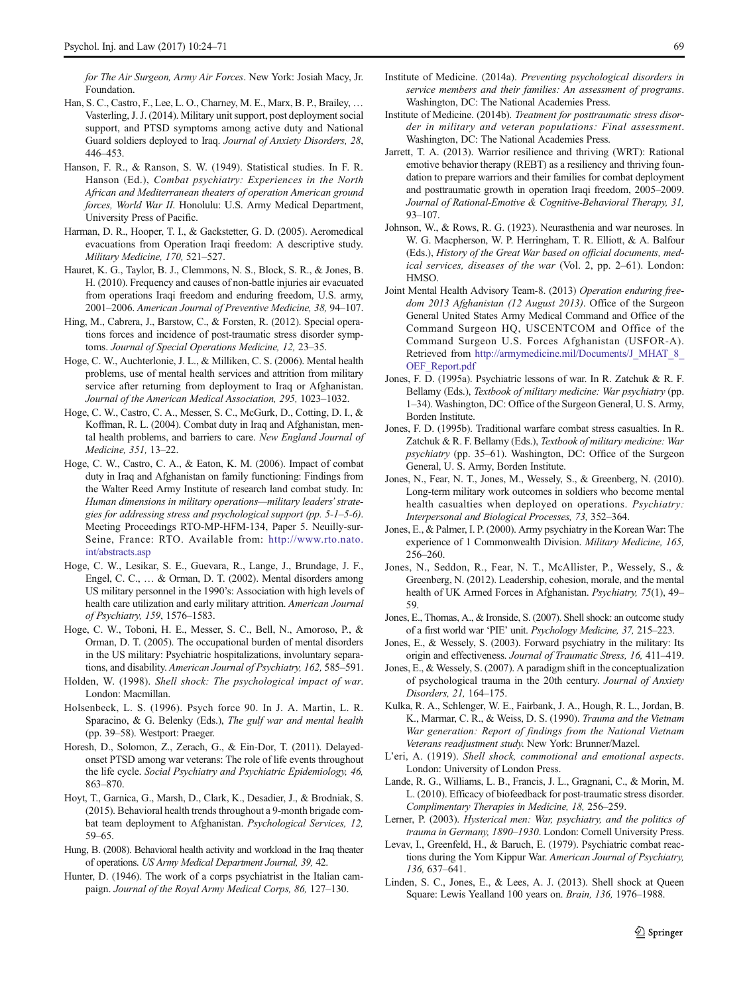- <span id="page-45-0"></span>Foundation. Han, S. C., Castro, F., Lee, L. O., Charney, M. E., Marx, B. P., Brailey, … Vasterling, J. J. (2014). Military unit support, post deployment social support, and PTSD symptoms among active duty and National Guard soldiers deployed to Iraq. Journal of Anxiety Disorders, 28, 446–453.
- Hanson, F. R., & Ranson, S. W. (1949). Statistical studies. In F. R. Hanson (Ed.), Combat psychiatry: Experiences in the North African and Mediterranean theaters of operation American ground forces, World War II. Honolulu: U.S. Army Medical Department, University Press of Pacific.
- Harman, D. R., Hooper, T. I., & Gackstetter, G. D. (2005). Aeromedical evacuations from Operation Iraqi freedom: A descriptive study. Military Medicine, 170, 521–527.
- Hauret, K. G., Taylor, B. J., Clemmons, N. S., Block, S. R., & Jones, B. H. (2010). Frequency and causes of non-battle injuries air evacuated from operations Iraqi freedom and enduring freedom, U.S. army, 2001–2006. American Journal of Preventive Medicine, 38, 94–107.
- Hing, M., Cabrera, J., Barstow, C., & Forsten, R. (2012). Special operations forces and incidence of post-traumatic stress disorder symptoms. Journal of Special Operations Medicine, 12, 23–35.
- Hoge, C. W., Auchterlonie, J. L., & Milliken, C. S. (2006). Mental health problems, use of mental health services and attrition from military service after returning from deployment to Iraq or Afghanistan. Journal of the American Medical Association, 295, 1023–1032.
- Hoge, C. W., Castro, C. A., Messer, S. C., McGurk, D., Cotting, D. I., & Koffman, R. L. (2004). Combat duty in Iraq and Afghanistan, mental health problems, and barriers to care. New England Journal of Medicine, 351, 13–22.
- Hoge, C. W., Castro, C. A., & Eaton, K. M. (2006). Impact of combat duty in Iraq and Afghanistan on family functioning: Findings from the Walter Reed Army Institute of research land combat study. In: Human dimensions in military operations—military leaders'strategies for addressing stress and psychological support (pp. 5-1–5-6). Meeting Proceedings RTO-MP-HFM-134, Paper 5. Neuilly-sur-Seine, France: RTO. Available from: [http://www.rto.nato.](http://www.rto.nato.int/abstracts.asp) [int/abstracts.asp](http://www.rto.nato.int/abstracts.asp)
- Hoge, C. W., Lesikar, S. E., Guevara, R., Lange, J., Brundage, J. F., Engel, C. C., … & Orman, D. T. (2002). Mental disorders among US military personnel in the 1990's: Association with high levels of health care utilization and early military attrition. American Journal of Psychiatry, 159, 1576–1583.
- Hoge, C. W., Toboni, H. E., Messer, S. C., Bell, N., Amoroso, P., & Orman, D. T. (2005). The occupational burden of mental disorders in the US military: Psychiatric hospitalizations, involuntary separations, and disability. American Journal of Psychiatry, 162, 585–591.
- Holden, W. (1998). Shell shock: The psychological impact of war. London: Macmillan.
- Holsenbeck, L. S. (1996). Psych force 90. In J. A. Martin, L. R. Sparacino, & G. Belenky (Eds.), The gulf war and mental health (pp. 39–58). Westport: Praeger.
- Horesh, D., Solomon, Z., Zerach, G., & Ein-Dor, T. (2011). Delayedonset PTSD among war veterans: The role of life events throughout the life cycle. Social Psychiatry and Psychiatric Epidemiology, 46, 863–870.
- Hoyt, T., Garnica, G., Marsh, D., Clark, K., Desadier, J., & Brodniak, S. (2015). Behavioral health trends throughout a 9-month brigade combat team deployment to Afghanistan. Psychological Services, 12, 59–65.
- Hung, B. (2008). Behavioral health activity and workload in the Iraq theater of operations. US Army Medical Department Journal, 39, 42.
- Hunter, D. (1946). The work of a corps psychiatrist in the Italian campaign. Journal of the Royal Army Medical Corps, 86, 127–130.
- Institute of Medicine. (2014a). Preventing psychological disorders in service members and their families: An assessment of programs. Washington, DC: The National Academies Press.
- Institute of Medicine. (2014b). Treatment for posttraumatic stress disorder in military and veteran populations: Final assessment. Washington, DC: The National Academies Press.
- Jarrett, T. A. (2013). Warrior resilience and thriving (WRT): Rational emotive behavior therapy (REBT) as a resiliency and thriving foundation to prepare warriors and their families for combat deployment and posttraumatic growth in operation Iraqi freedom, 2005–2009. Journal of Rational-Emotive & Cognitive-Behavioral Therapy, 31, 93–107.
- Johnson, W., & Rows, R. G. (1923). Neurasthenia and war neuroses. In W. G. Macpherson, W. P. Herringham, T. R. Elliott, & A. Balfour (Eds.), History of the Great War based on official documents, medical services, diseases of the war (Vol. 2, pp. 2–61). London: HMSO.
- Joint Mental Health Advisory Team-8. (2013) Operation enduring freedom 2013 Afghanistan (12 August 2013). Office of the Surgeon General United States Army Medical Command and Office of the Command Surgeon HQ, USCENTCOM and Office of the Command Surgeon U.S. Forces Afghanistan (USFOR-A). Retrieved from [http://armymedicine.mil/Documents/J\\_MHAT\\_8\\_](http://armymedicine.mil/Documents/J_MHAT_8_OEF_Report.pdf) [OEF\\_Report.pdf](http://armymedicine.mil/Documents/J_MHAT_8_OEF_Report.pdf)
- Jones, F. D. (1995a). Psychiatric lessons of war. In R. Zatchuk & R. F. Bellamy (Eds.), Textbook of military medicine: War psychiatry (pp. 1–34). Washington, DC: Office of the Surgeon General, U. S. Army, Borden Institute.
- Jones, F. D. (1995b). Traditional warfare combat stress casualties. In R. Zatchuk & R. F. Bellamy (Eds.), Textbook of military medicine: War psychiatry (pp. 35–61). Washington, DC: Office of the Surgeon General, U. S. Army, Borden Institute.
- Jones, N., Fear, N. T., Jones, M., Wessely, S., & Greenberg, N. (2010). Long-term military work outcomes in soldiers who become mental health casualties when deployed on operations. Psychiatry: Interpersonal and Biological Processes, 73, 352–364.
- Jones, E., & Palmer, I. P. (2000). Army psychiatry in the Korean War: The experience of 1 Commonwealth Division. Military Medicine, 165, 256–260.
- Jones, N., Seddon, R., Fear, N. T., McAllister, P., Wessely, S., & Greenberg, N. (2012). Leadership, cohesion, morale, and the mental health of UK Armed Forces in Afghanistan. Psychiatry, 75(1), 49-59.
- Jones, E., Thomas, A., & Ironside, S. (2007). Shell shock: an outcome study of a first world war 'PIE' unit. Psychology Medicine, 37, 215–223.
- Jones, E., & Wessely, S. (2003). Forward psychiatry in the military: Its origin and effectiveness. Journal of Traumatic Stress, 16, 411–419.
- Jones, E., & Wessely, S. (2007). A paradigm shift in the conceptualization of psychological trauma in the 20th century. Journal of Anxiety Disorders, 21, 164–175.
- Kulka, R. A., Schlenger, W. E., Fairbank, J. A., Hough, R. L., Jordan, B. K., Marmar, C. R., & Weiss, D. S. (1990). Trauma and the Vietnam War generation: Report of findings from the National Vietnam Veterans readjustment study. New York: Brunner/Mazel.
- L'eri, A. (1919). Shell shock, commotional and emotional aspects. London: University of London Press.
- Lande, R. G., Williams, L. B., Francis, J. L., Gragnani, C., & Morin, M. L. (2010). Efficacy of biofeedback for post-traumatic stress disorder. Complimentary Therapies in Medicine, 18, 256–259.
- Lerner, P. (2003). Hysterical men: War, psychiatry, and the politics of trauma in Germany, 1890–1930. London: Cornell University Press.
- Levav, I., Greenfeld, H., & Baruch, E. (1979). Psychiatric combat reactions during the Yom Kippur War. American Journal of Psychiatry, 136, 637–641.
- Linden, S. C., Jones, E., & Lees, A. J. (2013). Shell shock at Queen Square: Lewis Yealland 100 years on. Brain, 136, 1976–1988.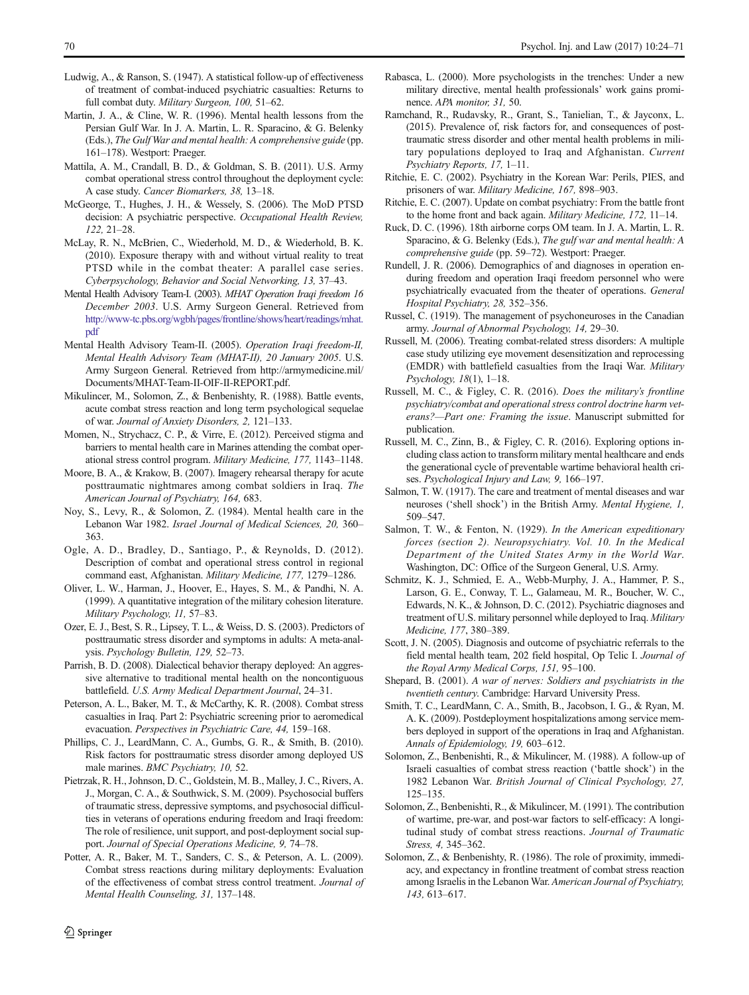- <span id="page-46-0"></span>Ludwig, A., & Ranson, S. (1947). A statistical follow-up of effectiveness of treatment of combat-induced psychiatric casualties: Returns to full combat duty. Military Surgeon, 100, 51–62.
- Martin, J. A., & Cline, W. R. (1996). Mental health lessons from the Persian Gulf War. In J. A. Martin, L. R. Sparacino, & G. Belenky (Eds.), The Gulf War and mental health: A comprehensive guide (pp. 161–178). Westport: Praeger.
- Mattila, A. M., Crandall, B. D., & Goldman, S. B. (2011). U.S. Army combat operational stress control throughout the deployment cycle: A case study. Cancer Biomarkers, 38, 13–18.
- McGeorge, T., Hughes, J. H., & Wessely, S. (2006). The MoD PTSD decision: A psychiatric perspective. Occupational Health Review, 122, 21–28.
- McLay, R. N., McBrien, C., Wiederhold, M. D., & Wiederhold, B. K. (2010). Exposure therapy with and without virtual reality to treat PTSD while in the combat theater: A parallel case series. Cyberpsychology, Behavior and Social Networking, 13, 37–43.
- Mental Health Advisory Team-I. (2003). MHAT Operation Iraqi freedom 16 December 2003. U.S. Army Surgeon General. Retrieved from [http://www-tc.pbs.org/wgbh/pages/frontline/shows/heart/readings/mhat.](http://www-tc.pbs.org/wgbh/pages/frontline/shows/heart/readings/mhat.pdf) [pdf](http://www-tc.pbs.org/wgbh/pages/frontline/shows/heart/readings/mhat.pdf)
- Mental Health Advisory Team-II. (2005). Operation Iraqi freedom-II, Mental Health Advisory Team (MHAT-II), 20 January 2005. U.S. Army Surgeon General. Retrieved from http://armymedicine.mil/ Documents/MHAT-Team-II-OIF-II-REPORT.pdf.
- Mikulincer, M., Solomon, Z., & Benbenishty, R. (1988). Battle events, acute combat stress reaction and long term psychological sequelae of war. Journal of Anxiety Disorders, 2, 121–133.
- Momen, N., Strychacz, C. P., & Virre, E. (2012). Perceived stigma and barriers to mental health care in Marines attending the combat operational stress control program. Military Medicine, 177, 1143–1148.
- Moore, B. A., & Krakow, B. (2007). Imagery rehearsal therapy for acute posttraumatic nightmares among combat soldiers in Iraq. The American Journal of Psychiatry, 164, 683.
- Noy, S., Levy, R., & Solomon, Z. (1984). Mental health care in the Lebanon War 1982. Israel Journal of Medical Sciences, 20, 360– 363.
- Ogle, A. D., Bradley, D., Santiago, P., & Reynolds, D. (2012). Description of combat and operational stress control in regional command east, Afghanistan. Military Medicine, 177, 1279–1286.
- Oliver, L. W., Harman, J., Hoover, E., Hayes, S. M., & Pandhi, N. A. (1999). A quantitative integration of the military cohesion literature. Military Psychology, 11, 57–83.
- Ozer, E. J., Best, S. R., Lipsey, T. L., & Weiss, D. S. (2003). Predictors of posttraumatic stress disorder and symptoms in adults: A meta-analysis. Psychology Bulletin, 129, 52–73.
- Parrish, B. D. (2008). Dialectical behavior therapy deployed: An aggressive alternative to traditional mental health on the noncontiguous battlefield. U.S. Army Medical Department Journal, 24–31.
- Peterson, A. L., Baker, M. T., & McCarthy, K. R. (2008). Combat stress casualties in Iraq. Part 2: Psychiatric screening prior to aeromedical evacuation. Perspectives in Psychiatric Care, 44, 159–168.
- Phillips, C. J., LeardMann, C. A., Gumbs, G. R., & Smith, B. (2010). Risk factors for posttraumatic stress disorder among deployed US male marines. BMC Psychiatry, 10, 52.
- Pietrzak, R. H., Johnson, D. C., Goldstein, M. B., Malley, J. C., Rivers, A. J., Morgan, C. A., & Southwick, S. M. (2009). Psychosocial buffers of traumatic stress, depressive symptoms, and psychosocial difficulties in veterans of operations enduring freedom and Iraqi freedom: The role of resilience, unit support, and post-deployment social support. Journal of Special Operations Medicine, 9, 74–78.
- Potter, A. R., Baker, M. T., Sanders, C. S., & Peterson, A. L. (2009). Combat stress reactions during military deployments: Evaluation of the effectiveness of combat stress control treatment. Journal of Mental Health Counseling, 31, 137–148.
- Rabasca, L. (2000). More psychologists in the trenches: Under a new military directive, mental health professionals' work gains prominence. APA monitor, 31, 50.
- Ramchand, R., Rudavsky, R., Grant, S., Tanielian, T., & Jayconx, L. (2015). Prevalence of, risk factors for, and consequences of posttraumatic stress disorder and other mental health problems in military populations deployed to Iraq and Afghanistan. Current Psychiatry Reports, 17, 1–11.
- Ritchie, E. C. (2002). Psychiatry in the Korean War: Perils, PIES, and prisoners of war. Military Medicine, 167, 898–903.
- Ritchie, E. C. (2007). Update on combat psychiatry: From the battle front to the home front and back again. Military Medicine, 172, 11–14.
- Ruck, D. C. (1996). 18th airborne corps OM team. In J. A. Martin, L. R. Sparacino, & G. Belenky (Eds.), The gulf war and mental health: A comprehensive guide (pp. 59–72). Westport: Praeger.
- Rundell, J. R. (2006). Demographics of and diagnoses in operation enduring freedom and operation Iraqi freedom personnel who were psychiatrically evacuated from the theater of operations. General Hospital Psychiatry, 28, 352–356.
- Russel, C. (1919). The management of psychoneuroses in the Canadian army. Journal of Abnormal Psychology, 14, 29–30.
- Russell, M. (2006). Treating combat-related stress disorders: A multiple case study utilizing eye movement desensitization and reprocessing (EMDR) with battlefield casualties from the Iraqi War. Military Psychology, 18(1), 1–18.
- Russell, M. C., & Figley, C. R. (2016). Does the military's frontline psychiatry/combat and operational stress control doctrine harm veterans?—Part one: Framing the issue. Manuscript submitted for publication.
- Russell, M. C., Zinn, B., & Figley, C. R. (2016). Exploring options including class action to transform military mental healthcare and ends the generational cycle of preventable wartime behavioral health crises. Psychological Injury and Law, 9, 166–197.
- Salmon, T. W. (1917). The care and treatment of mental diseases and war neuroses ('shell shock') in the British Army. Mental Hygiene, 1, 509–547.
- Salmon, T. W., & Fenton, N. (1929). In the American expeditionary forces (section 2). Neuropsychiatry. Vol. 10. In the Medical Department of the United States Army in the World War. Washington, DC: Office of the Surgeon General, U.S. Army.
- Schmitz, K. J., Schmied, E. A., Webb-Murphy, J. A., Hammer, P. S., Larson, G. E., Conway, T. L., Galameau, M. R., Boucher, W. C., Edwards, N. K., & Johnson, D. C. (2012). Psychiatric diagnoses and treatment of U.S. military personnel while deployed to Iraq. Military Medicine, 177, 380–389.
- Scott, J. N. (2005). Diagnosis and outcome of psychiatric referrals to the field mental health team, 202 field hospital, Op Telic I. Journal of the Royal Army Medical Corps, 151, 95–100.
- Shepard, B. (2001). A war of nerves: Soldiers and psychiatrists in the twentieth century. Cambridge: Harvard University Press.
- Smith, T. C., LeardMann, C. A., Smith, B., Jacobson, I. G., & Ryan, M. A. K. (2009). Postdeployment hospitalizations among service members deployed in support of the operations in Iraq and Afghanistan. Annals of Epidemiology, 19, 603–612.
- Solomon, Z., Benbenishti, R., & Mikulincer, M. (1988). A follow-up of Israeli casualties of combat stress reaction ('battle shock') in the 1982 Lebanon War. British Journal of Clinical Psychology, 27, 125–135.
- Solomon, Z., Benbenishti, R., & Mikulincer, M. (1991). The contribution of wartime, pre-war, and post-war factors to self-efficacy: A longitudinal study of combat stress reactions. Journal of Traumatic Stress, 4, 345–362.
- Solomon, Z., & Benbenishty, R. (1986). The role of proximity, immediacy, and expectancy in frontline treatment of combat stress reaction among Israelis in the Lebanon War. American Journal of Psychiatry, 143, 613–617.